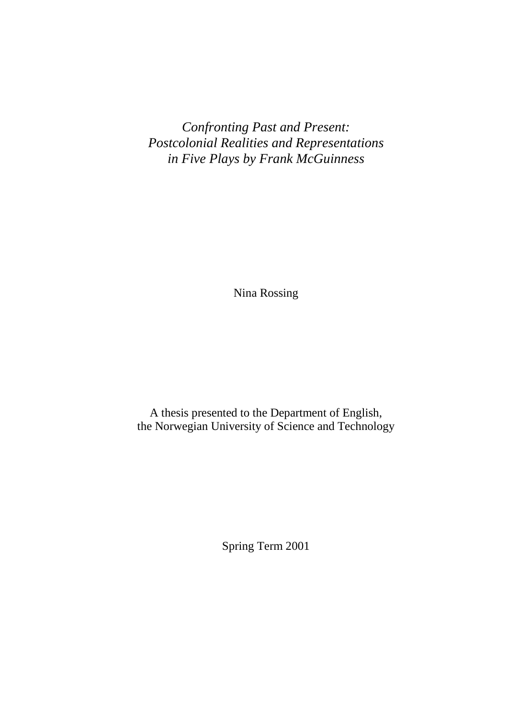*Confronting Past and Present: Postcolonial Realities and Representations in Five Plays by Frank McGuinness*

Nina Rossing

A thesis presented to the Department of English, the Norwegian University of Science and Technology

Spring Term 2001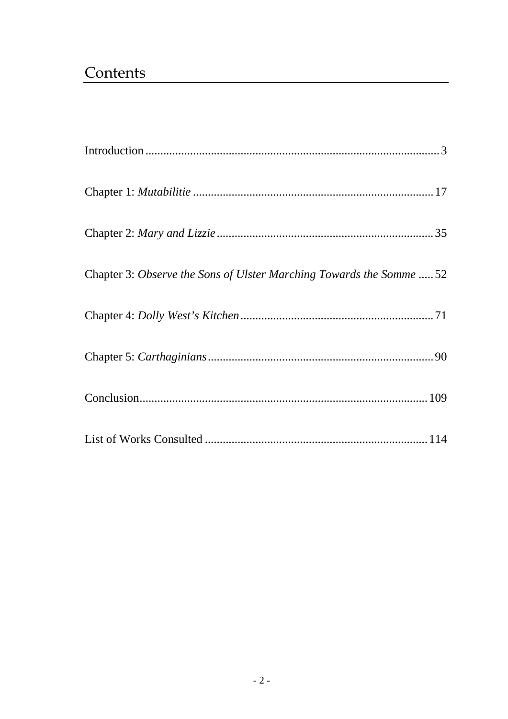## Contents

| Chapter 3: Observe the Sons of Ulster Marching Towards the Somme  52 |  |
|----------------------------------------------------------------------|--|
|                                                                      |  |
|                                                                      |  |
|                                                                      |  |
|                                                                      |  |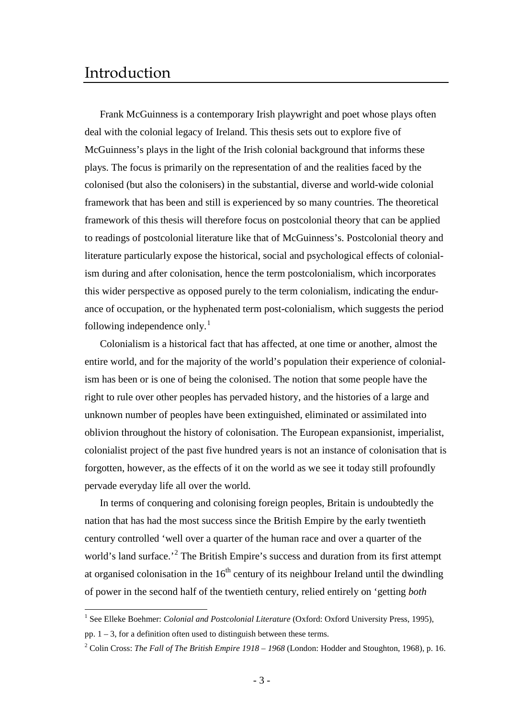## <span id="page-2-0"></span>Introduction

Frank McGuinness is a contemporary Irish playwright and poet whose plays often deal with the colonial legacy of Ireland. This thesis sets out to explore five of McGuinness's plays in the light of the Irish colonial background that informs these plays. The focus is primarily on the representation of and the realities faced by the colonised (but also the colonisers) in the substantial, diverse and world-wide colonial framework that has been and still is experienced by so many countries. The theoretical framework of this thesis will therefore focus on postcolonial theory that can be applied to readings of postcolonial literature like that of McGuinness's. Postcolonial theory and literature particularly expose the historical, social and psychological effects of colonialism during and after colonisation, hence the term postcolonialism, which incorporates this wider perspective as opposed purely to the term colonialism, indicating the endurance of occupation, or the hyphenated term post-colonialism, which suggests the period following independence only.<sup>[1](#page-2-1)</sup>

Colonialism is a historical fact that has affected, at one time or another, almost the entire world, and for the majority of the world's population their experience of colonialism has been or is one of being the colonised. The notion that some people have the right to rule over other peoples has pervaded history, and the histories of a large and unknown number of peoples have been extinguished, eliminated or assimilated into oblivion throughout the history of colonisation. The European expansionist, imperialist, colonialist project of the past five hundred years is not an instance of colonisation that is forgotten, however, as the effects of it on the world as we see it today still profoundly pervade everyday life all over the world.

In terms of conquering and colonising foreign peoples, Britain is undoubtedly the nation that has had the most success since the British Empire by the early twentieth century controlled 'well over a quarter of the human race and over a quarter of the world's land surface.<sup>[2](#page-2-2)</sup> The British Empire's success and duration from its first attempt at organised colonisation in the  $16<sup>th</sup>$  century of its neighbour Ireland until the dwindling of power in the second half of the twentieth century, relied entirely on 'getting *both* 

<span id="page-2-1"></span><sup>&</sup>lt;sup>1</sup> See Elleke Boehmer: *Colonial and Postcolonial Literature* (Oxford: Oxford University Press, 1995), pp.  $1 - 3$ , for a definition often used to distinguish between these terms.

<span id="page-2-2"></span><sup>2</sup> Colin Cross: *The Fall of The British Empire 1918 – 1968* (London: Hodder and Stoughton, 1968), p. 16.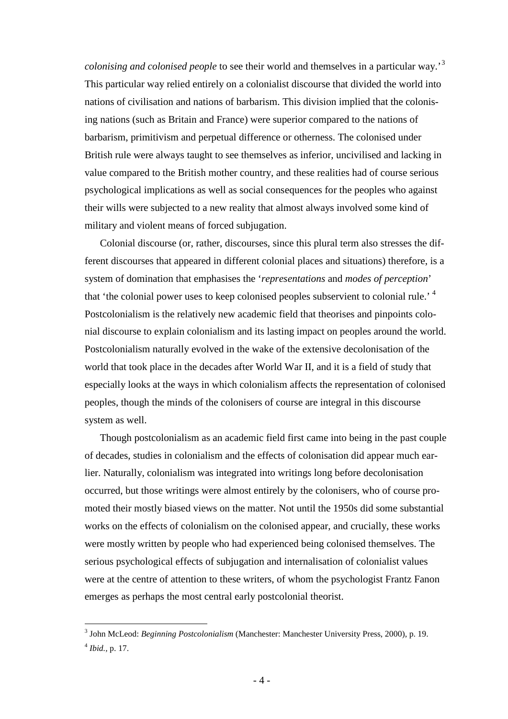*colonising and colonised people* to see their world and themselves in a particular way.'[3](#page-3-0) This particular way relied entirely on a colonialist discourse that divided the world into nations of civilisation and nations of barbarism. This division implied that the colonising nations (such as Britain and France) were superior compared to the nations of barbarism, primitivism and perpetual difference or otherness. The colonised under British rule were always taught to see themselves as inferior, uncivilised and lacking in value compared to the British mother country, and these realities had of course serious psychological implications as well as social consequences for the peoples who against their wills were subjected to a new reality that almost always involved some kind of military and violent means of forced subjugation.

Colonial discourse (or, rather, discourses, since this plural term also stresses the different discourses that appeared in different colonial places and situations) therefore, is a system of domination that emphasises the '*representations* and *modes of perception*' that 'the colonial power uses to keep colonised peoples subservient to colonial rule.' [4](#page-3-1) Postcolonialism is the relatively new academic field that theorises and pinpoints colonial discourse to explain colonialism and its lasting impact on peoples around the world. Postcolonialism naturally evolved in the wake of the extensive decolonisation of the world that took place in the decades after World War II, and it is a field of study that especially looks at the ways in which colonialism affects the representation of colonised peoples, though the minds of the colonisers of course are integral in this discourse system as well.

Though postcolonialism as an academic field first came into being in the past couple of decades, studies in colonialism and the effects of colonisation did appear much earlier. Naturally, colonialism was integrated into writings long before decolonisation occurred, but those writings were almost entirely by the colonisers, who of course promoted their mostly biased views on the matter. Not until the 1950s did some substantial works on the effects of colonialism on the colonised appear, and crucially, these works were mostly written by people who had experienced being colonised themselves. The serious psychological effects of subjugation and internalisation of colonialist values were at the centre of attention to these writers, of whom the psychologist Frantz Fanon emerges as perhaps the most central early postcolonial theorist.

<span id="page-3-1"></span><span id="page-3-0"></span> <sup>3</sup> John McLeod: *Beginning Postcolonialism* (Manchester: Manchester University Press, 2000), p. 19. <sup>4</sup> *Ibid.,* p. 17.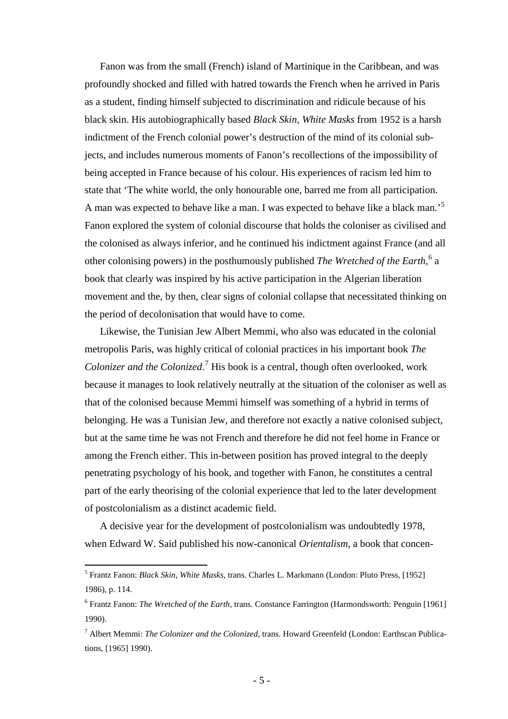Fanon was from the small (French) island of Martinique in the Caribbean, and was profoundly shocked and filled with hatred towards the French when he arrived in Paris as a student, finding himself subjected to discrimination and ridicule because of his black skin. His autobiographically based *Black Skin, White Masks* from 1952 is a harsh indictment of the French colonial power's destruction of the mind of its colonial subjects, and includes numerous moments of Fanon's recollections of the impossibility of being accepted in France because of his colour. His experiences of racism led him to state that 'The white world, the only honourable one, barred me from all participation. A man was expected to behave like a man. I was expected to behave like a black man.'[5](#page-4-0) Fanon explored the system of colonial discourse that holds the coloniser as civilised and the colonised as always inferior, and he continued his indictment against France (and all other colonising powers) in the posthumously published *The Wretched of the Earth*, [6](#page-4-1) a book that clearly was inspired by his active participation in the Algerian liberation movement and the, by then, clear signs of colonial collapse that necessitated thinking on the period of decolonisation that would have to come.

Likewise, the Tunisian Jew Albert Memmi, who also was educated in the colonial metropolis Paris, was highly critical of colonial practices in his important book *The Colonizer and the Colonized*. [7](#page-4-2) His book is a central, though often overlooked, work because it manages to look relatively neutrally at the situation of the coloniser as well as that of the colonised because Memmi himself was something of a hybrid in terms of belonging. He was a Tunisian Jew, and therefore not exactly a native colonised subject, but at the same time he was not French and therefore he did not feel home in France or among the French either. This in-between position has proved integral to the deeply penetrating psychology of his book, and together with Fanon, he constitutes a central part of the early theorising of the colonial experience that led to the later development of postcolonialism as a distinct academic field.

A decisive year for the development of postcolonialism was undoubtedly 1978, when Edward W. Said published his now-canonical *Orientalism*, a book that concen-

<span id="page-4-0"></span> <sup>5</sup> Frantz Fanon: *Black Skin, White Masks*, trans. Charles L. Markmann (London: Pluto Press, [1952] 1986), p. 114.

<span id="page-4-1"></span><sup>6</sup> Frantz Fanon: *The Wretched of the Earth*, trans. Constance Farrington (Harmondsworth: Penguin [1961] 1990).

<span id="page-4-2"></span><sup>7</sup> Albert Memmi: *The Colonizer and the Colonized*, trans. Howard Greenfeld (London: Earthscan Publications, [1965] 1990).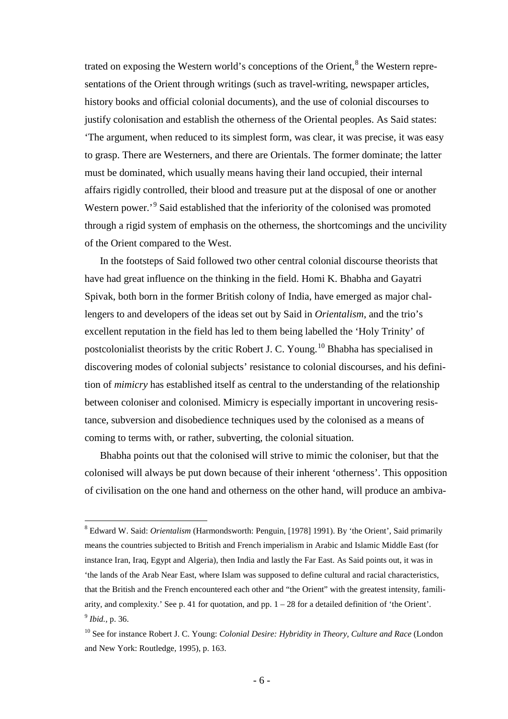trated on exposing the Western world's conceptions of the Orient, $<sup>8</sup>$  $<sup>8</sup>$  $<sup>8</sup>$  the Western repre-</sup> sentations of the Orient through writings (such as travel-writing, newspaper articles, history books and official colonial documents), and the use of colonial discourses to justify colonisation and establish the otherness of the Oriental peoples. As Said states: 'The argument, when reduced to its simplest form, was clear, it was precise, it was easy to grasp. There are Westerners, and there are Orientals. The former dominate; the latter must be dominated, which usually means having their land occupied, their internal affairs rigidly controlled, their blood and treasure put at the disposal of one or another Western power.<sup>[9](#page-5-1)</sup> Said established that the inferiority of the colonised was promoted through a rigid system of emphasis on the otherness, the shortcomings and the uncivility of the Orient compared to the West.

In the footsteps of Said followed two other central colonial discourse theorists that have had great influence on the thinking in the field. Homi K. Bhabha and Gayatri Spivak, both born in the former British colony of India, have emerged as major challengers to and developers of the ideas set out by Said in *Orientalism*, and the trio's excellent reputation in the field has led to them being labelled the 'Holy Trinity' of postcolonialist theorists by the critic Robert J. C. Young.<sup>[10](#page-5-2)</sup> Bhabha has specialised in discovering modes of colonial subjects' resistance to colonial discourses, and his definition of *mimicry* has established itself as central to the understanding of the relationship between coloniser and colonised. Mimicry is especially important in uncovering resistance, subversion and disobedience techniques used by the colonised as a means of coming to terms with, or rather, subverting, the colonial situation.

Bhabha points out that the colonised will strive to mimic the coloniser, but that the colonised will always be put down because of their inherent 'otherness'. This opposition of civilisation on the one hand and otherness on the other hand, will produce an ambiva-

<span id="page-5-0"></span> <sup>8</sup> Edward W. Said: *Orientalism* (Harmondsworth: Penguin, [1978] 1991). By 'the Orient', Said primarily means the countries subjected to British and French imperialism in Arabic and Islamic Middle East (for instance Iran, Iraq, Egypt and Algeria), then India and lastly the Far East. As Said points out, it was in 'the lands of the Arab Near East, where Islam was supposed to define cultural and racial characteristics, that the British and the French encountered each other and "the Orient" with the greatest intensity, familiarity, and complexity.' See p. 41 for quotation, and pp.  $1 - 28$  for a detailed definition of 'the Orient'. <sup>9</sup> *Ibid.,* p. 36.

<span id="page-5-2"></span><span id="page-5-1"></span><sup>10</sup> See for instance Robert J. C. Young: *Colonial Desire: Hybridity in Theory, Culture and Race* (London and New York: Routledge, 1995), p. 163.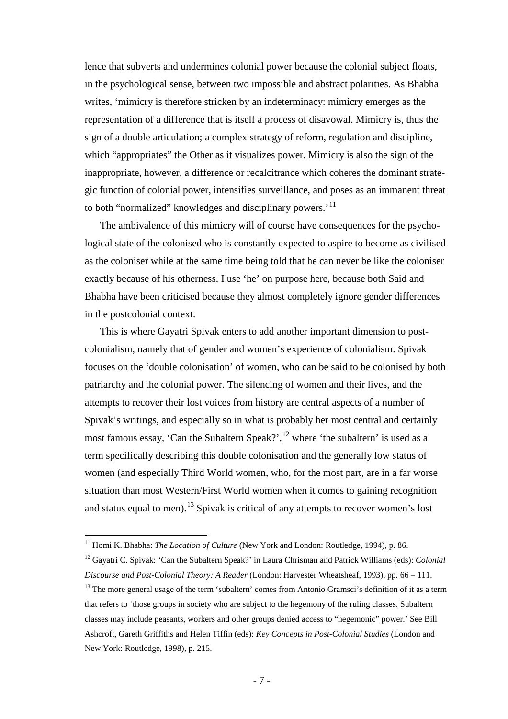lence that subverts and undermines colonial power because the colonial subject floats, in the psychological sense, between two impossible and abstract polarities. As Bhabha writes, 'mimicry is therefore stricken by an indeterminacy: mimicry emerges as the representation of a difference that is itself a process of disavowal. Mimicry is, thus the sign of a double articulation; a complex strategy of reform, regulation and discipline, which "appropriates" the Other as it visualizes power. Mimicry is also the sign of the inappropriate, however, a difference or recalcitrance which coheres the dominant strategic function of colonial power, intensifies surveillance, and poses as an immanent threat to both "normalized" knowledges and disciplinary powers.<sup>'[11](#page-6-0)</sup>

The ambivalence of this mimicry will of course have consequences for the psychological state of the colonised who is constantly expected to aspire to become as civilised as the coloniser while at the same time being told that he can never be like the coloniser exactly because of his otherness. I use 'he' on purpose here, because both Said and Bhabha have been criticised because they almost completely ignore gender differences in the postcolonial context.

This is where Gayatri Spivak enters to add another important dimension to postcolonialism, namely that of gender and women's experience of colonialism. Spivak focuses on the 'double colonisation' of women, who can be said to be colonised by both patriarchy and the colonial power. The silencing of women and their lives, and the attempts to recover their lost voices from history are central aspects of a number of Spivak's writings, and especially so in what is probably her most central and certainly most famous essay, 'Can the Subaltern Speak?',  $^{12}$  $^{12}$  $^{12}$  where 'the subaltern' is used as a term specifically describing this double colonisation and the generally low status of women (and especially Third World women, who, for the most part, are in a far worse situation than most Western/First World women when it comes to gaining recognition and status equal to men).<sup>[13](#page-6-2)</sup> Spivak is critical of any attempts to recover women's lost

<span id="page-6-0"></span><sup>&</sup>lt;sup>11</sup> Homi K. Bhabha: *The Location of Culture* (New York and London: Routledge, 1994), p. 86.

<span id="page-6-1"></span><sup>12</sup> Gayatri C. Spivak: 'Can the Subaltern Speak?' in Laura Chrisman and Patrick Williams (eds): *Colonial Discourse and Post-Colonial Theory: A Reader* (London: Harvester Wheatsheaf, 1993), pp. 66 – 111.

<span id="page-6-2"></span><sup>&</sup>lt;sup>13</sup> The more general usage of the term 'subaltern' comes from Antonio Gramsci's definition of it as a term that refers to 'those groups in society who are subject to the hegemony of the ruling classes. Subaltern classes may include peasants, workers and other groups denied access to "hegemonic" power.' See Bill Ashcroft, Gareth Griffiths and Helen Tiffin (eds): *Key Concepts in Post-Colonial Studies* (London and New York: Routledge, 1998), p. 215.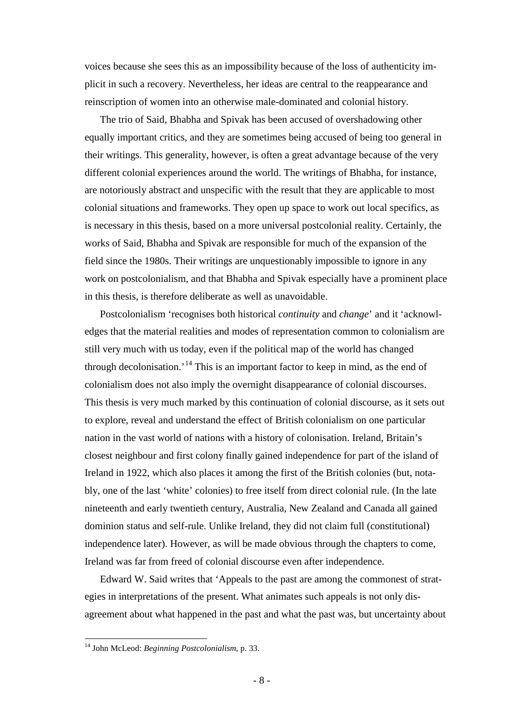voices because she sees this as an impossibility because of the loss of authenticity implicit in such a recovery. Nevertheless, her ideas are central to the reappearance and reinscription of women into an otherwise male-dominated and colonial history.

The trio of Said, Bhabha and Spivak has been accused of overshadowing other equally important critics, and they are sometimes being accused of being too general in their writings. This generality, however, is often a great advantage because of the very different colonial experiences around the world. The writings of Bhabha, for instance, are notoriously abstract and unspecific with the result that they are applicable to most colonial situations and frameworks. They open up space to work out local specifics, as is necessary in this thesis, based on a more universal postcolonial reality. Certainly, the works of Said, Bhabha and Spivak are responsible for much of the expansion of the field since the 1980s. Their writings are unquestionably impossible to ignore in any work on postcolonialism, and that Bhabha and Spivak especially have a prominent place in this thesis, is therefore deliberate as well as unavoidable.

Postcolonialism 'recognises both historical *continuity* and *change*' and it 'acknowledges that the material realities and modes of representation common to colonialism are still very much with us today, even if the political map of the world has changed through decolonisation.<sup>[14](#page-7-0)</sup> This is an important factor to keep in mind, as the end of colonialism does not also imply the overnight disappearance of colonial discourses. This thesis is very much marked by this continuation of colonial discourse, as it sets out to explore, reveal and understand the effect of British colonialism on one particular nation in the vast world of nations with a history of colonisation. Ireland, Britain's closest neighbour and first colony finally gained independence for part of the island of Ireland in 1922, which also places it among the first of the British colonies (but, notably, one of the last 'white' colonies) to free itself from direct colonial rule. (In the late nineteenth and early twentieth century, Australia, New Zealand and Canada all gained dominion status and self-rule. Unlike Ireland, they did not claim full (constitutional) independence later). However, as will be made obvious through the chapters to come, Ireland was far from freed of colonial discourse even after independence.

Edward W. Said writes that 'Appeals to the past are among the commonest of strategies in interpretations of the present. What animates such appeals is not only disagreement about what happened in the past and what the past was, but uncertainty about

<span id="page-7-0"></span> <sup>14</sup> John McLeod: *Beginning Postcolonialism*, p. 33.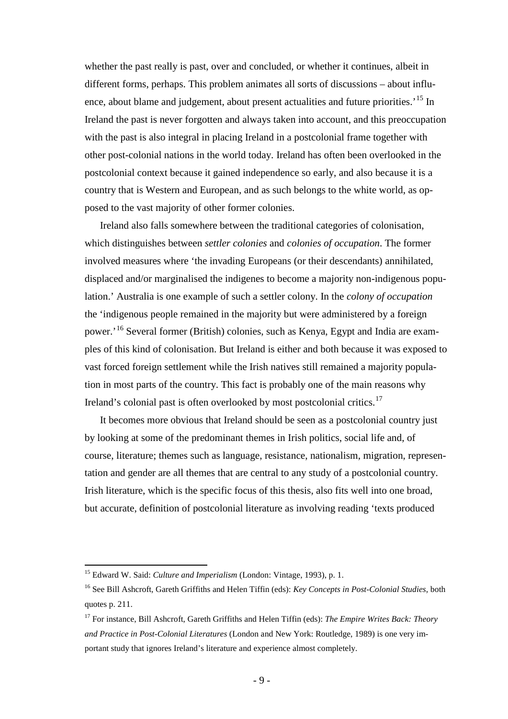whether the past really is past, over and concluded, or whether it continues, albeit in different forms, perhaps. This problem animates all sorts of discussions – about influ-ence, about blame and judgement, about present actualities and future priorities.<sup>[15](#page-8-0)</sup> In Ireland the past is never forgotten and always taken into account, and this preoccupation with the past is also integral in placing Ireland in a postcolonial frame together with other post-colonial nations in the world today. Ireland has often been overlooked in the postcolonial context because it gained independence so early, and also because it is a country that is Western and European, and as such belongs to the white world, as opposed to the vast majority of other former colonies.

Ireland also falls somewhere between the traditional categories of colonisation, which distinguishes between *settler colonies* and *colonies of occupation*. The former involved measures where 'the invading Europeans (or their descendants) annihilated, displaced and/or marginalised the indigenes to become a majority non-indigenous population.' Australia is one example of such a settler colony. In the *colony of occupation*  the 'indigenous people remained in the majority but were administered by a foreign power.'[16](#page-8-1) Several former (British) colonies, such as Kenya, Egypt and India are examples of this kind of colonisation. But Ireland is either and both because it was exposed to vast forced foreign settlement while the Irish natives still remained a majority population in most parts of the country. This fact is probably one of the main reasons why Ireland's colonial past is often overlooked by most postcolonial critics.<sup>[17](#page-8-2)</sup>

It becomes more obvious that Ireland should be seen as a postcolonial country just by looking at some of the predominant themes in Irish politics, social life and, of course, literature; themes such as language, resistance, nationalism, migration, representation and gender are all themes that are central to any study of a postcolonial country. Irish literature, which is the specific focus of this thesis, also fits well into one broad, but accurate, definition of postcolonial literature as involving reading 'texts produced

<span id="page-8-0"></span> <sup>15</sup> Edward W. Said: *Culture and Imperialism* (London: Vintage, 1993), p. 1.

<span id="page-8-1"></span><sup>16</sup> See Bill Ashcroft, Gareth Griffiths and Helen Tiffin (eds): *Key Concepts in Post-Colonial Studies*, both quotes p. 211.

<span id="page-8-2"></span><sup>17</sup> For instance, Bill Ashcroft, Gareth Griffiths and Helen Tiffin (eds): *The Empire Writes Back: Theory and Practice in Post-Colonial Literatures* (London and New York: Routledge, 1989) is one very important study that ignores Ireland's literature and experience almost completely.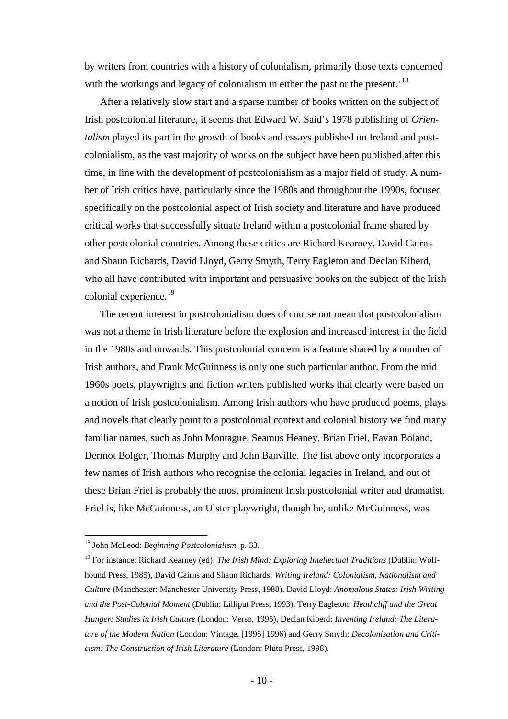by writers from countries with a history of colonialism, primarily those texts concerned with the workings and legacy of colonialism in either the past or the present.<sup>'[18](#page-9-0)</sup>

After a relatively slow start and a sparse number of books written on the subject of Irish postcolonial literature, it seems that Edward W. Said's 1978 publishing of *Orientalism* played its part in the growth of books and essays published on Ireland and postcolonialism, as the vast majority of works on the subject have been published after this time, in line with the development of postcolonialism as a major field of study. A number of Irish critics have, particularly since the 1980s and throughout the 1990s, focused specifically on the postcolonial aspect of Irish society and literature and have produced critical works that successfully situate Ireland within a postcolonial frame shared by other postcolonial countries. Among these critics are Richard Kearney, David Cairns and Shaun Richards, David Lloyd, Gerry Smyth, Terry Eagleton and Declan Kiberd, who all have contributed with important and persuasive books on the subject of the Irish colonial experience. $^{19}$  $^{19}$  $^{19}$ 

The recent interest in postcolonialism does of course not mean that postcolonialism was not a theme in Irish literature before the explosion and increased interest in the field in the 1980s and onwards. This postcolonial concern is a feature shared by a number of Irish authors, and Frank McGuinness is only one such particular author. From the mid 1960s poets, playwrights and fiction writers published works that clearly were based on a notion of Irish postcolonialism. Among Irish authors who have produced poems, plays and novels that clearly point to a postcolonial context and colonial history we find many familiar names, such as John Montague, Seamus Heaney, Brian Friel, Eavan Boland, Dermot Bolger, Thomas Murphy and John Banville. The list above only incorporates a few names of Irish authors who recognise the colonial legacies in Ireland, and out of these Brian Friel is probably the most prominent Irish postcolonial writer and dramatist. Friel is, like McGuinness, an Ulster playwright, though he, unlike McGuinness, was

<span id="page-9-0"></span> <sup>18</sup> John McLeod: *Beginning Postcolonialism*, p. 33.

<span id="page-9-1"></span><sup>19</sup> For instance: Richard Kearney (ed): *The Irish Mind: Exploring Intellectual Traditions* (Dublin: Wolfhound Press, 1985), David Cairns and Shaun Richards: *Writing Ireland: Colonialism, Nationalism and Culture* (Manchester: Manchester University Press, 1988), David Lloyd: *Anomalous States: Irish Writing and the Post-Colonial Moment* (Dublin: Lilliput Press, 1993), Terry Eagleton: *Heathcliff and the Great Hunger: Studies in Irish Culture* (London: Verso, 1995), Declan Kiberd: *Inventing Ireland: The Literature of the Modern Nation* (London: Vintage, [1995] 1996) and Gerry Smyth: *Decolonisation and Criticism: The Construction of Irish Literature* (London: Pluto Press, 1998).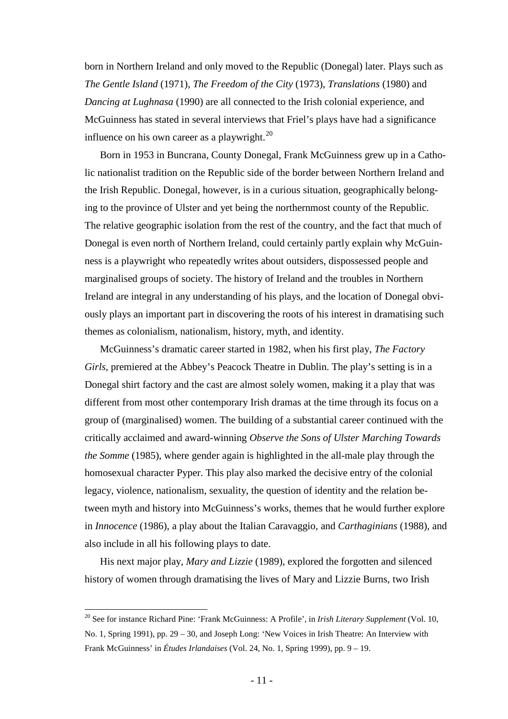born in Northern Ireland and only moved to the Republic (Donegal) later. Plays such as *The Gentle Island* (1971), *The Freedom of the City* (1973), *Translations* (1980) and *Dancing at Lughnasa* (1990) are all connected to the Irish colonial experience, and McGuinness has stated in several interviews that Friel's plays have had a significance influence on his own career as a playwright. $^{20}$  $^{20}$  $^{20}$ 

Born in 1953 in Buncrana, County Donegal, Frank McGuinness grew up in a Catholic nationalist tradition on the Republic side of the border between Northern Ireland and the Irish Republic. Donegal, however, is in a curious situation, geographically belonging to the province of Ulster and yet being the northernmost county of the Republic. The relative geographic isolation from the rest of the country, and the fact that much of Donegal is even north of Northern Ireland, could certainly partly explain why McGuinness is a playwright who repeatedly writes about outsiders, dispossessed people and marginalised groups of society. The history of Ireland and the troubles in Northern Ireland are integral in any understanding of his plays, and the location of Donegal obviously plays an important part in discovering the roots of his interest in dramatising such themes as colonialism, nationalism, history, myth, and identity.

McGuinness's dramatic career started in 1982, when his first play, *The Factory Girls*, premiered at the Abbey's Peacock Theatre in Dublin. The play's setting is in a Donegal shirt factory and the cast are almost solely women, making it a play that was different from most other contemporary Irish dramas at the time through its focus on a group of (marginalised) women. The building of a substantial career continued with the critically acclaimed and award-winning *Observe the Sons of Ulster Marching Towards the Somme* (1985), where gender again is highlighted in the all-male play through the homosexual character Pyper. This play also marked the decisive entry of the colonial legacy, violence, nationalism, sexuality, the question of identity and the relation between myth and history into McGuinness's works, themes that he would further explore in *Innocence* (1986), a play about the Italian Caravaggio, and *Carthaginians* (1988), and also include in all his following plays to date.

His next major play, *Mary and Lizzie* (1989), explored the forgotten and silenced history of women through dramatising the lives of Mary and Lizzie Burns, two Irish

<span id="page-10-0"></span> <sup>20</sup> See for instance Richard Pine: 'Frank McGuinness: A Profile', in *Irish Literary Supplement* (Vol. 10, No. 1, Spring 1991), pp. 29 – 30, and Joseph Long: 'New Voices in Irish Theatre: An Interview with Frank McGuinness' in *Études Irlandaises* (Vol. 24, No. 1, Spring 1999), pp. 9 – 19.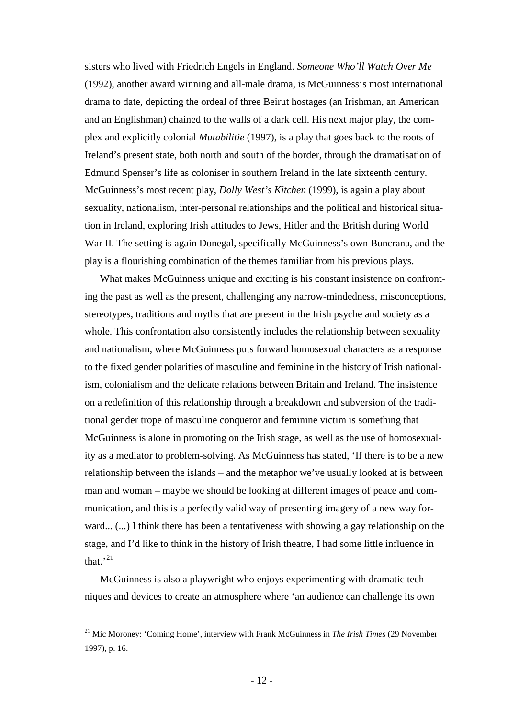sisters who lived with Friedrich Engels in England. *Someone Who'll Watch Over Me* (1992), another award winning and all-male drama, is McGuinness's most international drama to date, depicting the ordeal of three Beirut hostages (an Irishman, an American and an Englishman) chained to the walls of a dark cell. His next major play, the complex and explicitly colonial *Mutabilitie* (1997), is a play that goes back to the roots of Ireland's present state, both north and south of the border, through the dramatisation of Edmund Spenser's life as coloniser in southern Ireland in the late sixteenth century. McGuinness's most recent play, *Dolly West's Kitchen* (1999), is again a play about sexuality, nationalism, inter-personal relationships and the political and historical situation in Ireland, exploring Irish attitudes to Jews, Hitler and the British during World War II. The setting is again Donegal, specifically McGuinness's own Buncrana, and the play is a flourishing combination of the themes familiar from his previous plays.

What makes McGuinness unique and exciting is his constant insistence on confronting the past as well as the present, challenging any narrow-mindedness, misconceptions, stereotypes, traditions and myths that are present in the Irish psyche and society as a whole. This confrontation also consistently includes the relationship between sexuality and nationalism, where McGuinness puts forward homosexual characters as a response to the fixed gender polarities of masculine and feminine in the history of Irish nationalism, colonialism and the delicate relations between Britain and Ireland. The insistence on a redefinition of this relationship through a breakdown and subversion of the traditional gender trope of masculine conqueror and feminine victim is something that McGuinness is alone in promoting on the Irish stage, as well as the use of homosexuality as a mediator to problem-solving. As McGuinness has stated, 'If there is to be a new relationship between the islands – and the metaphor we've usually looked at is between man and woman – maybe we should be looking at different images of peace and communication, and this is a perfectly valid way of presenting imagery of a new way forward... (...) I think there has been a tentativeness with showing a gay relationship on the stage, and I'd like to think in the history of Irish theatre, I had some little influence in that.'[21](#page-11-0)

McGuinness is also a playwright who enjoys experimenting with dramatic techniques and devices to create an atmosphere where 'an audience can challenge its own

<span id="page-11-0"></span> <sup>21</sup> Mic Moroney: 'Coming Home', interview with Frank McGuinness in *The Irish Times* (29 November 1997), p. 16.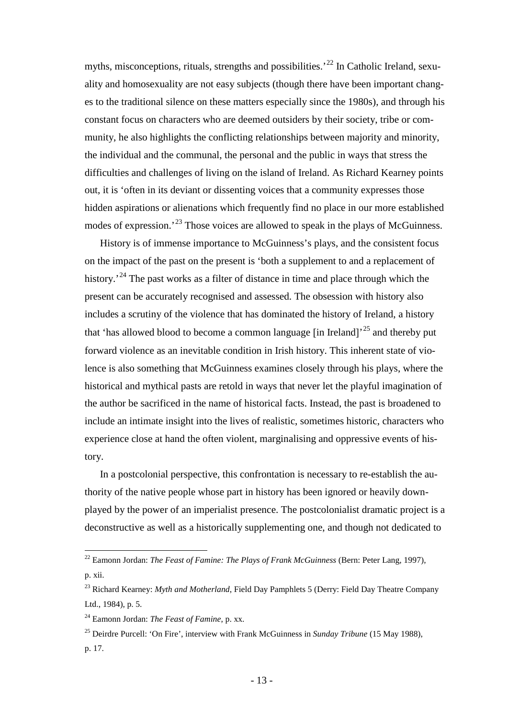myths, misconceptions, rituals, strengths and possibilities.<sup>[22](#page-12-0)</sup> In Catholic Ireland, sexuality and homosexuality are not easy subjects (though there have been important changes to the traditional silence on these matters especially since the 1980s), and through his constant focus on characters who are deemed outsiders by their society, tribe or community, he also highlights the conflicting relationships between majority and minority, the individual and the communal, the personal and the public in ways that stress the difficulties and challenges of living on the island of Ireland. As Richard Kearney points out, it is 'often in its deviant or dissenting voices that a community expresses those hidden aspirations or alienations which frequently find no place in our more established modes of expression.<sup>[23](#page-12-1)</sup> Those voices are allowed to speak in the plays of McGuinness.

History is of immense importance to McGuinness's plays, and the consistent focus on the impact of the past on the present is 'both a supplement to and a replacement of history.<sup>[24](#page-12-2)</sup> The past works as a filter of distance in time and place through which the present can be accurately recognised and assessed. The obsession with history also includes a scrutiny of the violence that has dominated the history of Ireland, a history that 'has allowed blood to become a common language [in Ireland]<sup>[25](#page-12-3)</sup> and thereby put forward violence as an inevitable condition in Irish history. This inherent state of violence is also something that McGuinness examines closely through his plays, where the historical and mythical pasts are retold in ways that never let the playful imagination of the author be sacrificed in the name of historical facts. Instead, the past is broadened to include an intimate insight into the lives of realistic, sometimes historic, characters who experience close at hand the often violent, marginalising and oppressive events of history.

In a postcolonial perspective, this confrontation is necessary to re-establish the authority of the native people whose part in history has been ignored or heavily downplayed by the power of an imperialist presence. The postcolonialist dramatic project is a deconstructive as well as a historically supplementing one, and though not dedicated to

<span id="page-12-0"></span> <sup>22</sup> Eamonn Jordan: *The Feast of Famine: The Plays of Frank McGuinness* (Bern: Peter Lang, 1997), p. xii.

<span id="page-12-1"></span><sup>23</sup> Richard Kearney: *Myth and Motherland*, Field Day Pamphlets 5 (Derry: Field Day Theatre Company Ltd., 1984), p. 5.

<span id="page-12-2"></span><sup>24</sup> Eamonn Jordan: *The Feast of Famine*, p. xx.

<span id="page-12-3"></span><sup>25</sup> Deirdre Purcell: 'On Fire', interview with Frank McGuinness in *Sunday Tribune* (15 May 1988), p. 17.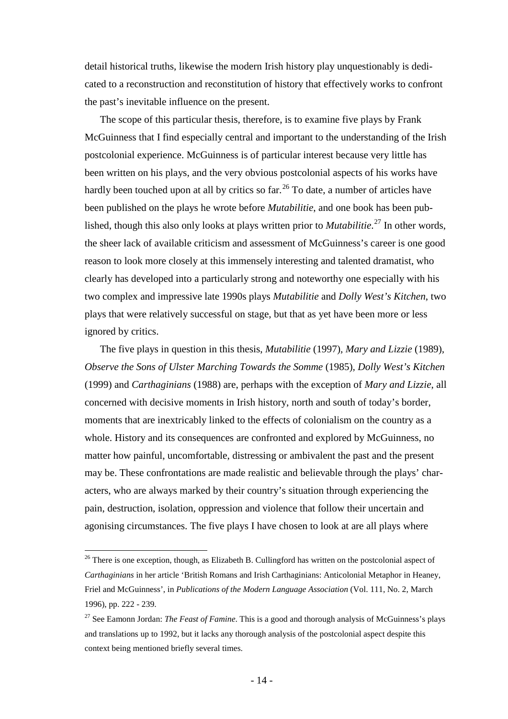detail historical truths, likewise the modern Irish history play unquestionably is dedicated to a reconstruction and reconstitution of history that effectively works to confront the past's inevitable influence on the present.

The scope of this particular thesis, therefore, is to examine five plays by Frank McGuinness that I find especially central and important to the understanding of the Irish postcolonial experience. McGuinness is of particular interest because very little has been written on his plays, and the very obvious postcolonial aspects of his works have hardly been touched upon at all by critics so  $far<sup>26</sup>$  $far<sup>26</sup>$  $far<sup>26</sup>$  To date, a number of articles have been published on the plays he wrote before *Mutabilitie*, and one book has been published, though this also only looks at plays written prior to *Mutabilitie*. [27](#page-13-1) In other words, the sheer lack of available criticism and assessment of McGuinness's career is one good reason to look more closely at this immensely interesting and talented dramatist, who clearly has developed into a particularly strong and noteworthy one especially with his two complex and impressive late 1990s plays *Mutabilitie* and *Dolly West's Kitchen*, two plays that were relatively successful on stage, but that as yet have been more or less ignored by critics.

The five plays in question in this thesis, *Mutabilitie* (1997)*, Mary and Lizzie* (1989)*, Observe the Sons of Ulster Marching Towards the Somme* (1985)*, Dolly West's Kitchen* (1999) and *Carthaginians* (1988) are, perhaps with the exception of *Mary and Lizzie*, all concerned with decisive moments in Irish history, north and south of today's border, moments that are inextricably linked to the effects of colonialism on the country as a whole. History and its consequences are confronted and explored by McGuinness, no matter how painful, uncomfortable, distressing or ambivalent the past and the present may be. These confrontations are made realistic and believable through the plays' characters, who are always marked by their country's situation through experiencing the pain, destruction, isolation, oppression and violence that follow their uncertain and agonising circumstances. The five plays I have chosen to look at are all plays where

<span id="page-13-0"></span><sup>&</sup>lt;sup>26</sup> There is one exception, though, as Elizabeth B. Cullingford has written on the postcolonial aspect of *Carthaginians* in her article 'British Romans and Irish Carthaginians: Anticolonial Metaphor in Heaney, Friel and McGuinness', in *Publications of the Modern Language Association* (Vol. 111, No. 2, March 1996), pp. 222 - 239.

<span id="page-13-1"></span><sup>27</sup> See Eamonn Jordan: *The Feast of Famine*. This is a good and thorough analysis of McGuinness's plays and translations up to 1992, but it lacks any thorough analysis of the postcolonial aspect despite this context being mentioned briefly several times.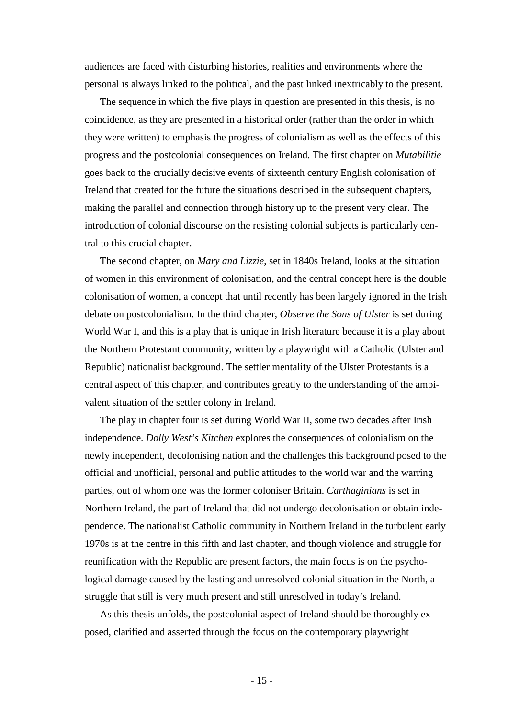audiences are faced with disturbing histories, realities and environments where the personal is always linked to the political, and the past linked inextricably to the present.

The sequence in which the five plays in question are presented in this thesis, is no coincidence, as they are presented in a historical order (rather than the order in which they were written) to emphasis the progress of colonialism as well as the effects of this progress and the postcolonial consequences on Ireland. The first chapter on *Mutabilitie* goes back to the crucially decisive events of sixteenth century English colonisation of Ireland that created for the future the situations described in the subsequent chapters, making the parallel and connection through history up to the present very clear. The introduction of colonial discourse on the resisting colonial subjects is particularly central to this crucial chapter.

The second chapter, on *Mary and Lizzie*, set in 1840s Ireland, looks at the situation of women in this environment of colonisation, and the central concept here is the double colonisation of women, a concept that until recently has been largely ignored in the Irish debate on postcolonialism. In the third chapter, *Observe the Sons of Ulster* is set during World War I, and this is a play that is unique in Irish literature because it is a play about the Northern Protestant community, written by a playwright with a Catholic (Ulster and Republic) nationalist background. The settler mentality of the Ulster Protestants is a central aspect of this chapter, and contributes greatly to the understanding of the ambivalent situation of the settler colony in Ireland.

The play in chapter four is set during World War II, some two decades after Irish independence. *Dolly West's Kitchen* explores the consequences of colonialism on the newly independent, decolonising nation and the challenges this background posed to the official and unofficial, personal and public attitudes to the world war and the warring parties, out of whom one was the former coloniser Britain. *Carthaginians* is set in Northern Ireland, the part of Ireland that did not undergo decolonisation or obtain independence. The nationalist Catholic community in Northern Ireland in the turbulent early 1970s is at the centre in this fifth and last chapter, and though violence and struggle for reunification with the Republic are present factors, the main focus is on the psychological damage caused by the lasting and unresolved colonial situation in the North, a struggle that still is very much present and still unresolved in today's Ireland.

As this thesis unfolds, the postcolonial aspect of Ireland should be thoroughly exposed, clarified and asserted through the focus on the contemporary playwright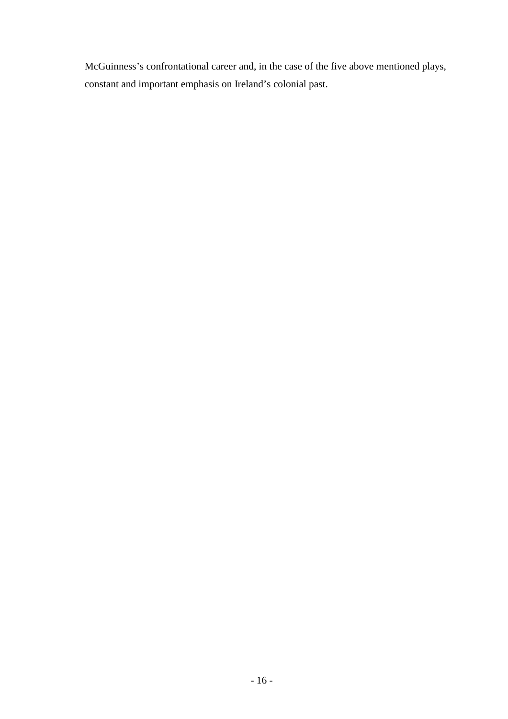McGuinness's confrontational career and, in the case of the five above mentioned plays, constant and important emphasis on Ireland's colonial past.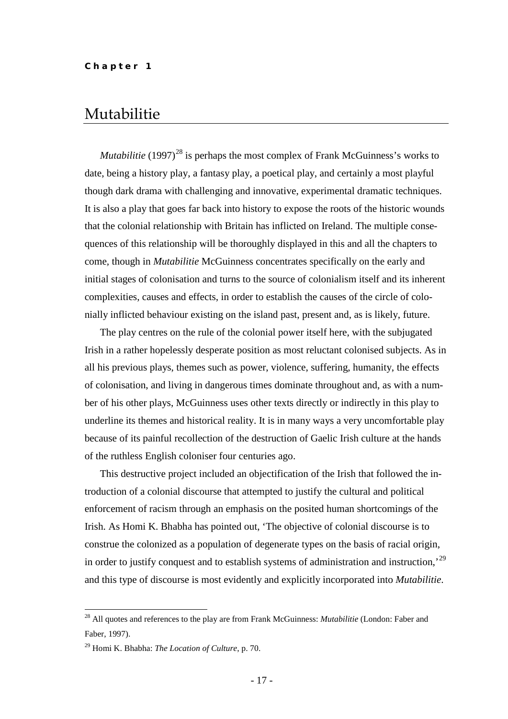## <span id="page-16-0"></span>Mutabilitie

*Mutabilitie* (1997)<sup>[28](#page-16-1)</sup> is perhaps the most complex of Frank McGuinness's works to date, being a history play, a fantasy play, a poetical play, and certainly a most playful though dark drama with challenging and innovative, experimental dramatic techniques. It is also a play that goes far back into history to expose the roots of the historic wounds that the colonial relationship with Britain has inflicted on Ireland. The multiple consequences of this relationship will be thoroughly displayed in this and all the chapters to come*,* though in *Mutabilitie* McGuinness concentrates specifically on the early and initial stages of colonisation and turns to the source of colonialism itself and its inherent complexities, causes and effects, in order to establish the causes of the circle of colonially inflicted behaviour existing on the island past, present and, as is likely, future.

The play centres on the rule of the colonial power itself here, with the subjugated Irish in a rather hopelessly desperate position as most reluctant colonised subjects. As in all his previous plays, themes such as power, violence, suffering, humanity, the effects of colonisation, and living in dangerous times dominate throughout and, as with a number of his other plays, McGuinness uses other texts directly or indirectly in this play to underline its themes and historical reality. It is in many ways a very uncomfortable play because of its painful recollection of the destruction of Gaelic Irish culture at the hands of the ruthless English coloniser four centuries ago.

This destructive project included an objectification of the Irish that followed the introduction of a colonial discourse that attempted to justify the cultural and political enforcement of racism through an emphasis on the posited human shortcomings of the Irish. As Homi K. Bhabha has pointed out, 'The objective of colonial discourse is to construe the colonized as a population of degenerate types on the basis of racial origin, in order to justify conquest and to establish systems of administration and instruction,'[29](#page-16-2) and this type of discourse is most evidently and explicitly incorporated into *Mutabilitie*.

<span id="page-16-1"></span> <sup>28</sup> All quotes and references to the play are from Frank McGuinness: *Mutabilitie* (London: Faber and Faber, 1997).

<span id="page-16-2"></span><sup>29</sup> Homi K. Bhabha: *The Location of Culture*, p. 70.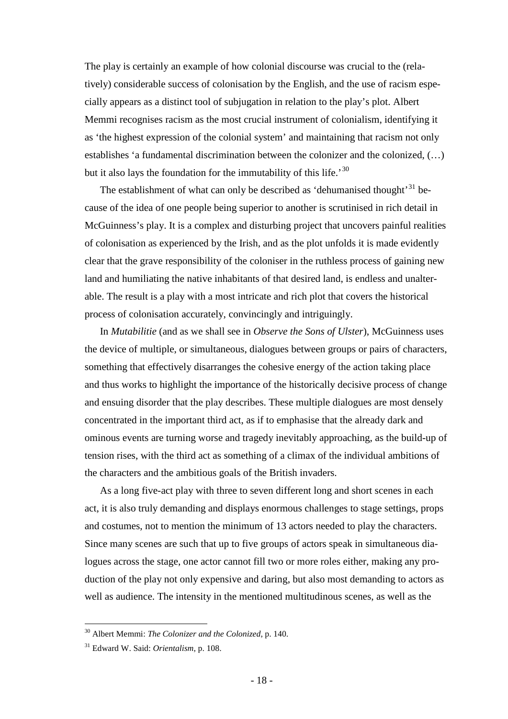The play is certainly an example of how colonial discourse was crucial to the (relatively) considerable success of colonisation by the English, and the use of racism especially appears as a distinct tool of subjugation in relation to the play's plot. Albert Memmi recognises racism as the most crucial instrument of colonialism, identifying it as 'the highest expression of the colonial system' and maintaining that racism not only establishes 'a fundamental discrimination between the colonizer and the colonized, (…) but it also lays the foundation for the immutability of this life.'<sup>[30](#page-17-0)</sup>

The establishment of what can only be described as 'dehumanised thought'<sup>[31](#page-17-1)</sup> because of the idea of one people being superior to another is scrutinised in rich detail in McGuinness's play. It is a complex and disturbing project that uncovers painful realities of colonisation as experienced by the Irish, and as the plot unfolds it is made evidently clear that the grave responsibility of the coloniser in the ruthless process of gaining new land and humiliating the native inhabitants of that desired land, is endless and unalterable. The result is a play with a most intricate and rich plot that covers the historical process of colonisation accurately, convincingly and intriguingly.

In *Mutabilitie* (and as we shall see in *Observe the Sons of Ulster*), McGuinness uses the device of multiple, or simultaneous, dialogues between groups or pairs of characters, something that effectively disarranges the cohesive energy of the action taking place and thus works to highlight the importance of the historically decisive process of change and ensuing disorder that the play describes. These multiple dialogues are most densely concentrated in the important third act, as if to emphasise that the already dark and ominous events are turning worse and tragedy inevitably approaching, as the build-up of tension rises, with the third act as something of a climax of the individual ambitions of the characters and the ambitious goals of the British invaders.

As a long five-act play with three to seven different long and short scenes in each act, it is also truly demanding and displays enormous challenges to stage settings, props and costumes, not to mention the minimum of 13 actors needed to play the characters. Since many scenes are such that up to five groups of actors speak in simultaneous dialogues across the stage, one actor cannot fill two or more roles either, making any production of the play not only expensive and daring, but also most demanding to actors as well as audience. The intensity in the mentioned multitudinous scenes, as well as the

<span id="page-17-0"></span> <sup>30</sup> Albert Memmi: *The Colonizer and the Colonized*, p. 140.

<span id="page-17-1"></span><sup>31</sup> Edward W. Said: *Orientalism*, p. 108.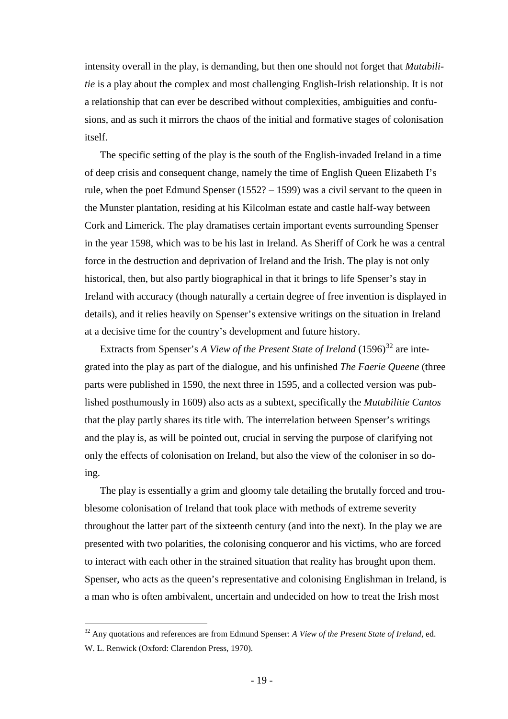intensity overall in the play, is demanding, but then one should not forget that *Mutabilitie* is a play about the complex and most challenging English-Irish relationship. It is not a relationship that can ever be described without complexities, ambiguities and confusions, and as such it mirrors the chaos of the initial and formative stages of colonisation itself.

The specific setting of the play is the south of the English-invaded Ireland in a time of deep crisis and consequent change, namely the time of English Queen Elizabeth I's rule, when the poet Edmund Spenser (1552? – 1599) was a civil servant to the queen in the Munster plantation, residing at his Kilcolman estate and castle half-way between Cork and Limerick. The play dramatises certain important events surrounding Spenser in the year 1598, which was to be his last in Ireland. As Sheriff of Cork he was a central force in the destruction and deprivation of Ireland and the Irish. The play is not only historical, then, but also partly biographical in that it brings to life Spenser's stay in Ireland with accuracy (though naturally a certain degree of free invention is displayed in details), and it relies heavily on Spenser's extensive writings on the situation in Ireland at a decisive time for the country's development and future history.

Extracts from Spenser's *A View of the Present State of Ireland* (1596)<sup>[32](#page-18-0)</sup> are integrated into the play as part of the dialogue, and his unfinished *The Faerie Queene* (three parts were published in 1590, the next three in 1595, and a collected version was published posthumously in 1609) also acts as a subtext, specifically the *Mutabilitie Cantos* that the play partly shares its title with. The interrelation between Spenser's writings and the play is, as will be pointed out, crucial in serving the purpose of clarifying not only the effects of colonisation on Ireland, but also the view of the coloniser in so doing.

The play is essentially a grim and gloomy tale detailing the brutally forced and troublesome colonisation of Ireland that took place with methods of extreme severity throughout the latter part of the sixteenth century (and into the next). In the play we are presented with two polarities, the colonising conqueror and his victims, who are forced to interact with each other in the strained situation that reality has brought upon them. Spenser, who acts as the queen's representative and colonising Englishman in Ireland, is a man who is often ambivalent, uncertain and undecided on how to treat the Irish most

<span id="page-18-0"></span> <sup>32</sup> Any quotations and references are from Edmund Spenser: *A View of the Present State of Ireland*, ed. W. L. Renwick (Oxford: Clarendon Press, 1970).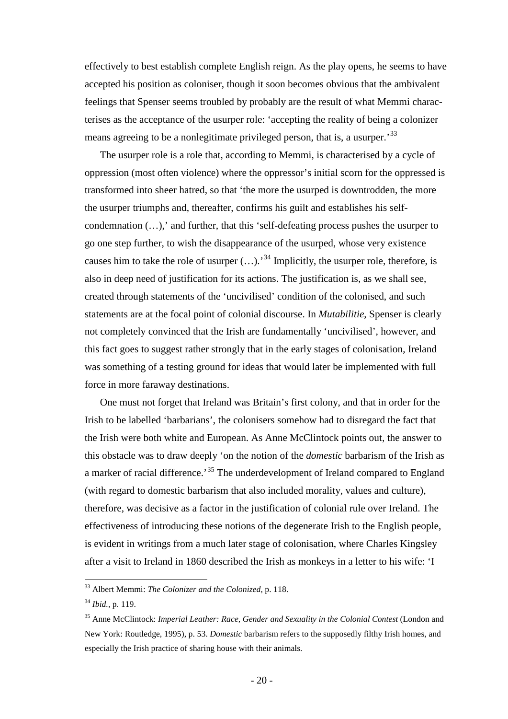effectively to best establish complete English reign. As the play opens, he seems to have accepted his position as coloniser, though it soon becomes obvious that the ambivalent feelings that Spenser seems troubled by probably are the result of what Memmi characterises as the acceptance of the usurper role: 'accepting the reality of being a colonizer means agreeing to be a nonlegitimate privileged person, that is, a usurper.<sup>[33](#page-19-0)</sup>

The usurper role is a role that, according to Memmi, is characterised by a cycle of oppression (most often violence) where the oppressor's initial scorn for the oppressed is transformed into sheer hatred, so that 'the more the usurped is downtrodden, the more the usurper triumphs and, thereafter, confirms his guilt and establishes his selfcondemnation (…),' and further, that this 'self-defeating process pushes the usurper to go one step further, to wish the disappearance of the usurped, whose very existence causes him to take the role of usurper  $(...).$ <sup>[34](#page-19-1)</sup> Implicitly, the usurper role, therefore, is also in deep need of justification for its actions. The justification is, as we shall see, created through statements of the 'uncivilised' condition of the colonised, and such statements are at the focal point of colonial discourse. In *Mutabilitie*, Spenser is clearly not completely convinced that the Irish are fundamentally 'uncivilised', however, and this fact goes to suggest rather strongly that in the early stages of colonisation, Ireland was something of a testing ground for ideas that would later be implemented with full force in more faraway destinations.

One must not forget that Ireland was Britain's first colony, and that in order for the Irish to be labelled 'barbarians', the colonisers somehow had to disregard the fact that the Irish were both white and European. As Anne McClintock points out, the answer to this obstacle was to draw deeply 'on the notion of the *domestic* barbarism of the Irish as a marker of racial difference.<sup>[35](#page-19-2)</sup> The underdevelopment of Ireland compared to England (with regard to domestic barbarism that also included morality, values and culture), therefore, was decisive as a factor in the justification of colonial rule over Ireland. The effectiveness of introducing these notions of the degenerate Irish to the English people, is evident in writings from a much later stage of colonisation, where Charles Kingsley after a visit to Ireland in 1860 described the Irish as monkeys in a letter to his wife: 'I

<span id="page-19-0"></span> <sup>33</sup> Albert Memmi: *The Colonizer and the Colonized*, p. 118.

<span id="page-19-1"></span><sup>34</sup> *Ibid.,* p. 119.

<span id="page-19-2"></span><sup>&</sup>lt;sup>35</sup> Anne McClintock: *Imperial Leather: Race, Gender and Sexuality in the Colonial Contest* (London and New York: Routledge, 1995), p. 53. *Domestic* barbarism refers to the supposedly filthy Irish homes, and especially the Irish practice of sharing house with their animals.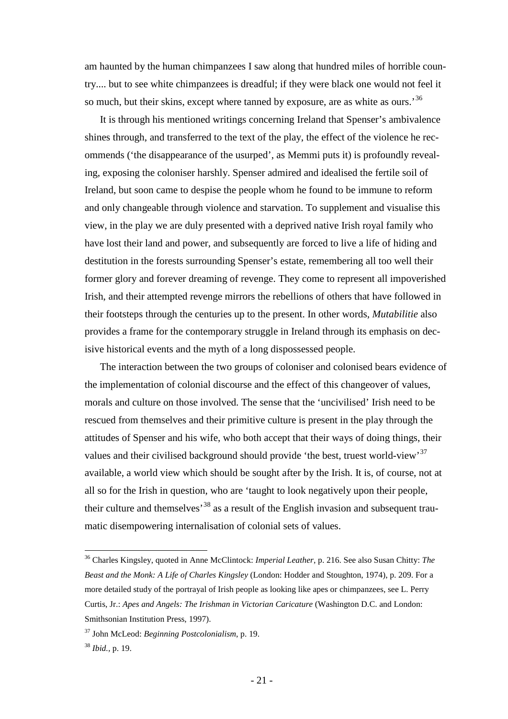am haunted by the human chimpanzees I saw along that hundred miles of horrible country.... but to see white chimpanzees is dreadful; if they were black one would not feel it so much, but their skins, except where tanned by exposure, are as white as ours.<sup>[36](#page-20-0)</sup>

It is through his mentioned writings concerning Ireland that Spenser's ambivalence shines through, and transferred to the text of the play, the effect of the violence he recommends ('the disappearance of the usurped', as Memmi puts it) is profoundly revealing, exposing the coloniser harshly. Spenser admired and idealised the fertile soil of Ireland, but soon came to despise the people whom he found to be immune to reform and only changeable through violence and starvation. To supplement and visualise this view, in the play we are duly presented with a deprived native Irish royal family who have lost their land and power, and subsequently are forced to live a life of hiding and destitution in the forests surrounding Spenser's estate, remembering all too well their former glory and forever dreaming of revenge. They come to represent all impoverished Irish, and their attempted revenge mirrors the rebellions of others that have followed in their footsteps through the centuries up to the present. In other words, *Mutabilitie* also provides a frame for the contemporary struggle in Ireland through its emphasis on decisive historical events and the myth of a long dispossessed people.

The interaction between the two groups of coloniser and colonised bears evidence of the implementation of colonial discourse and the effect of this changeover of values, morals and culture on those involved. The sense that the 'uncivilised' Irish need to be rescued from themselves and their primitive culture is present in the play through the attitudes of Spenser and his wife, who both accept that their ways of doing things, their values and their civilised background should provide 'the best, truest world-view'<sup>[37](#page-20-1)</sup> available, a world view which should be sought after by the Irish. It is, of course, not at all so for the Irish in question, who are 'taught to look negatively upon their people, their culture and themselves<sup>[38](#page-20-2)</sup> as a result of the English invasion and subsequent traumatic disempowering internalisation of colonial sets of values.

<span id="page-20-0"></span> <sup>36</sup> Charles Kingsley, quoted in Anne McClintock: *Imperial Leather*, p. 216. See also Susan Chitty: *The Beast and the Monk: A Life of Charles Kingsley* (London: Hodder and Stoughton, 1974), p. 209. For a more detailed study of the portrayal of Irish people as looking like apes or chimpanzees, see L. Perry Curtis, Jr.: *Apes and Angels: The Irishman in Victorian Caricature* (Washington D.C. and London: Smithsonian Institution Press, 1997).

<span id="page-20-1"></span><sup>37</sup> John McLeod: *Beginning Postcolonialism*, p. 19.

<span id="page-20-2"></span><sup>38</sup> *Ibid.,* p. 19.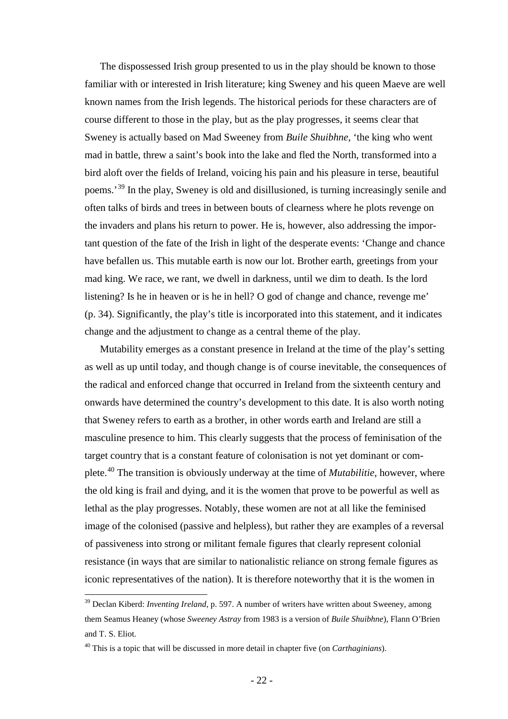The dispossessed Irish group presented to us in the play should be known to those familiar with or interested in Irish literature; king Sweney and his queen Maeve are well known names from the Irish legends. The historical periods for these characters are of course different to those in the play, but as the play progresses, it seems clear that Sweney is actually based on Mad Sweeney from *Buile Shuibhne*, 'the king who went mad in battle, threw a saint's book into the lake and fled the North, transformed into a bird aloft over the fields of Ireland, voicing his pain and his pleasure in terse, beautiful poems.'[39](#page-21-0) In the play, Sweney is old and disillusioned, is turning increasingly senile and often talks of birds and trees in between bouts of clearness where he plots revenge on the invaders and plans his return to power. He is, however, also addressing the important question of the fate of the Irish in light of the desperate events: 'Change and chance have befallen us. This mutable earth is now our lot. Brother earth, greetings from your mad king. We race, we rant, we dwell in darkness, until we dim to death. Is the lord listening? Is he in heaven or is he in hell? O god of change and chance, revenge me' (p. 34). Significantly, the play's title is incorporated into this statement, and it indicates change and the adjustment to change as a central theme of the play.

Mutability emerges as a constant presence in Ireland at the time of the play's setting as well as up until today, and though change is of course inevitable, the consequences of the radical and enforced change that occurred in Ireland from the sixteenth century and onwards have determined the country's development to this date. It is also worth noting that Sweney refers to earth as a brother, in other words earth and Ireland are still a masculine presence to him. This clearly suggests that the process of feminisation of the target country that is a constant feature of colonisation is not yet dominant or complete.[40](#page-21-1) The transition is obviously underway at the time of *Mutabilitie*, however, where the old king is frail and dying, and it is the women that prove to be powerful as well as lethal as the play progresses. Notably, these women are not at all like the feminised image of the colonised (passive and helpless), but rather they are examples of a reversal of passiveness into strong or militant female figures that clearly represent colonial resistance (in ways that are similar to nationalistic reliance on strong female figures as iconic representatives of the nation). It is therefore noteworthy that it is the women in

<span id="page-21-0"></span><sup>&</sup>lt;sup>39</sup> Declan Kiberd: *Inventing Ireland*, p. 597. A number of writers have written about Sweeney, among them Seamus Heaney (whose *Sweeney Astray* from 1983 is a version of *Buile Shuibhne*), Flann O'Brien and T. S. Eliot.

<span id="page-21-1"></span><sup>40</sup> This is a topic that will be discussed in more detail in chapter five (on *Carthaginians*).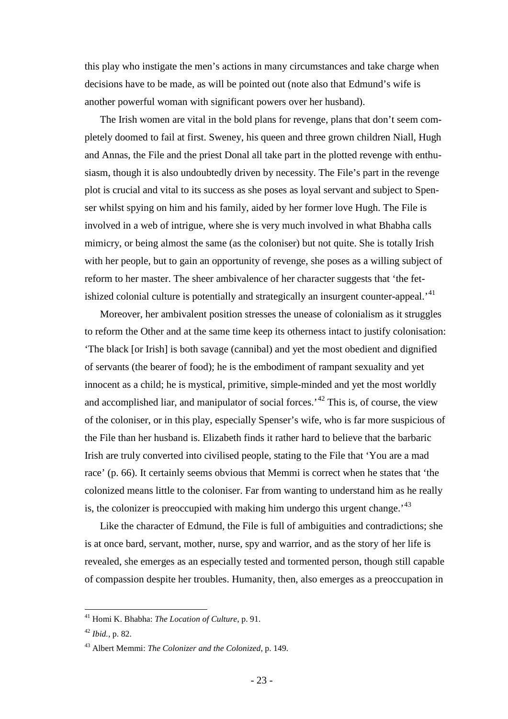this play who instigate the men's actions in many circumstances and take charge when decisions have to be made, as will be pointed out (note also that Edmund's wife is another powerful woman with significant powers over her husband).

The Irish women are vital in the bold plans for revenge, plans that don't seem completely doomed to fail at first. Sweney, his queen and three grown children Niall, Hugh and Annas, the File and the priest Donal all take part in the plotted revenge with enthusiasm, though it is also undoubtedly driven by necessity. The File's part in the revenge plot is crucial and vital to its success as she poses as loyal servant and subject to Spenser whilst spying on him and his family, aided by her former love Hugh. The File is involved in a web of intrigue, where she is very much involved in what Bhabha calls mimicry, or being almost the same (as the coloniser) but not quite. She is totally Irish with her people, but to gain an opportunity of revenge, she poses as a willing subject of reform to her master. The sheer ambivalence of her character suggests that 'the fet-ishized colonial culture is potentially and strategically an insurgent counter-appeal.<sup>[41](#page-22-0)</sup>

Moreover, her ambivalent position stresses the unease of colonialism as it struggles to reform the Other and at the same time keep its otherness intact to justify colonisation: 'The black [or Irish] is both savage (cannibal) and yet the most obedient and dignified of servants (the bearer of food); he is the embodiment of rampant sexuality and yet innocent as a child; he is mystical, primitive, simple-minded and yet the most worldly and accomplished liar, and manipulator of social forces.<sup> $12$ </sup> This is, of course, the view of the coloniser, or in this play, especially Spenser's wife, who is far more suspicious of the File than her husband is. Elizabeth finds it rather hard to believe that the barbaric Irish are truly converted into civilised people, stating to the File that 'You are a mad race' (p. 66). It certainly seems obvious that Memmi is correct when he states that 'the colonized means little to the coloniser. Far from wanting to understand him as he really is, the colonizer is preoccupied with making him undergo this urgent change.<sup>[43](#page-22-2)</sup>

Like the character of Edmund, the File is full of ambiguities and contradictions; she is at once bard, servant, mother, nurse, spy and warrior, and as the story of her life is revealed, she emerges as an especially tested and tormented person, though still capable of compassion despite her troubles. Humanity, then, also emerges as a preoccupation in

<span id="page-22-0"></span> <sup>41</sup> Homi K. Bhabha: *The Location of Culture*, p. 91.

<span id="page-22-1"></span><sup>42</sup> *Ibid.,* p. 82.

<span id="page-22-2"></span><sup>43</sup> Albert Memmi: *The Colonizer and the Colonized*, p. 149.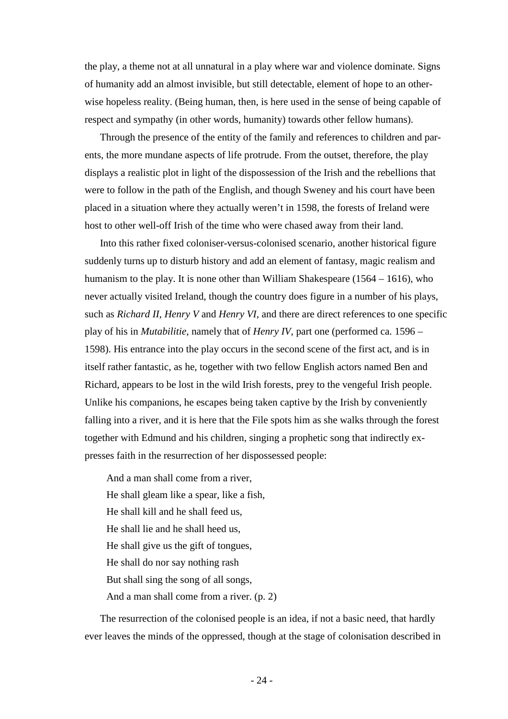the play, a theme not at all unnatural in a play where war and violence dominate. Signs of humanity add an almost invisible, but still detectable, element of hope to an otherwise hopeless reality. (Being human, then, is here used in the sense of being capable of respect and sympathy (in other words, humanity) towards other fellow humans).

Through the presence of the entity of the family and references to children and parents, the more mundane aspects of life protrude. From the outset, therefore, the play displays a realistic plot in light of the dispossession of the Irish and the rebellions that were to follow in the path of the English, and though Sweney and his court have been placed in a situation where they actually weren't in 1598, the forests of Ireland were host to other well-off Irish of the time who were chased away from their land.

Into this rather fixed coloniser-versus-colonised scenario, another historical figure suddenly turns up to disturb history and add an element of fantasy, magic realism and humanism to the play. It is none other than William Shakespeare (1564 – 1616), who never actually visited Ireland, though the country does figure in a number of his plays, such as *Richard II*, *Henry V* and *Henry VI*, and there are direct references to one specific play of his in *Mutabilitie*, namely that of *Henry IV*, part one (performed ca. 1596 – 1598). His entrance into the play occurs in the second scene of the first act, and is in itself rather fantastic, as he, together with two fellow English actors named Ben and Richard, appears to be lost in the wild Irish forests, prey to the vengeful Irish people. Unlike his companions, he escapes being taken captive by the Irish by conveniently falling into a river, and it is here that the File spots him as she walks through the forest together with Edmund and his children, singing a prophetic song that indirectly expresses faith in the resurrection of her dispossessed people:

And a man shall come from a river, He shall gleam like a spear, like a fish, He shall kill and he shall feed us, He shall lie and he shall heed us, He shall give us the gift of tongues, He shall do nor say nothing rash But shall sing the song of all songs, And a man shall come from a river. (p. 2)

The resurrection of the colonised people is an idea, if not a basic need, that hardly ever leaves the minds of the oppressed, though at the stage of colonisation described in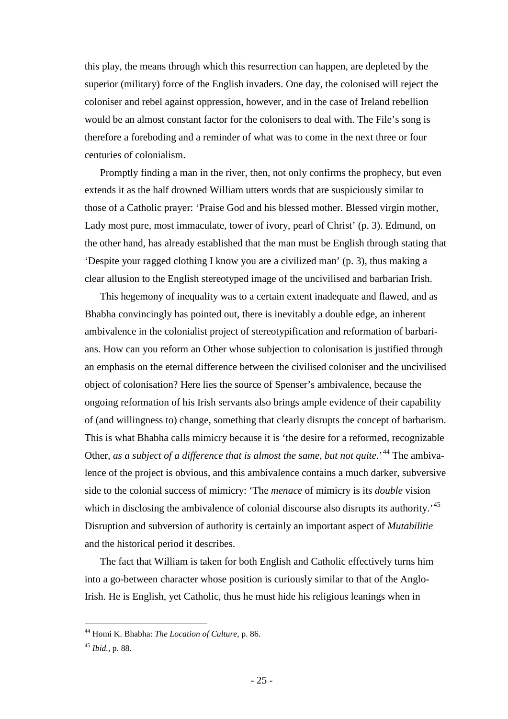this play, the means through which this resurrection can happen, are depleted by the superior (military) force of the English invaders. One day, the colonised will reject the coloniser and rebel against oppression, however, and in the case of Ireland rebellion would be an almost constant factor for the colonisers to deal with. The File's song is therefore a foreboding and a reminder of what was to come in the next three or four centuries of colonialism.

Promptly finding a man in the river, then, not only confirms the prophecy, but even extends it as the half drowned William utters words that are suspiciously similar to those of a Catholic prayer: 'Praise God and his blessed mother. Blessed virgin mother, Lady most pure, most immaculate, tower of ivory, pearl of Christ' (p. 3). Edmund, on the other hand, has already established that the man must be English through stating that 'Despite your ragged clothing I know you are a civilized man' (p. 3), thus making a clear allusion to the English stereotyped image of the uncivilised and barbarian Irish.

This hegemony of inequality was to a certain extent inadequate and flawed, and as Bhabha convincingly has pointed out, there is inevitably a double edge, an inherent ambivalence in the colonialist project of stereotypification and reformation of barbarians. How can you reform an Other whose subjection to colonisation is justified through an emphasis on the eternal difference between the civilised coloniser and the uncivilised object of colonisation? Here lies the source of Spenser's ambivalence, because the ongoing reformation of his Irish servants also brings ample evidence of their capability of (and willingness to) change, something that clearly disrupts the concept of barbarism. This is what Bhabha calls mimicry because it is 'the desire for a reformed, recognizable Other, *as a subject of a difference that is almost the same, but not quite*.<sup>[44](#page-24-0)</sup> The ambivalence of the project is obvious, and this ambivalence contains a much darker, subversive side to the colonial success of mimicry: 'The *menace* of mimicry is its *double* vision which in disclosing the ambivalence of colonial discourse also disrupts its authority.<sup>[45](#page-24-1)</sup> Disruption and subversion of authority is certainly an important aspect of *Mutabilitie* and the historical period it describes.

The fact that William is taken for both English and Catholic effectively turns him into a go-between character whose position is curiously similar to that of the Anglo-Irish. He is English, yet Catholic, thus he must hide his religious leanings when in

<span id="page-24-0"></span> <sup>44</sup> Homi K. Bhabha: *The Location of Culture*, p. 86.

<span id="page-24-1"></span><sup>45</sup> *Ibid.,* p. 88.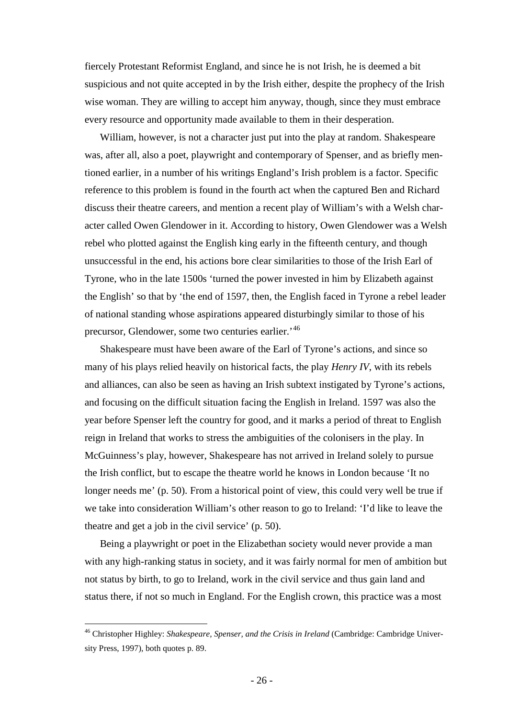fiercely Protestant Reformist England, and since he is not Irish, he is deemed a bit suspicious and not quite accepted in by the Irish either, despite the prophecy of the Irish wise woman. They are willing to accept him anyway, though, since they must embrace every resource and opportunity made available to them in their desperation.

William, however, is not a character just put into the play at random. Shakespeare was, after all, also a poet, playwright and contemporary of Spenser, and as briefly mentioned earlier, in a number of his writings England's Irish problem is a factor. Specific reference to this problem is found in the fourth act when the captured Ben and Richard discuss their theatre careers, and mention a recent play of William's with a Welsh character called Owen Glendower in it. According to history, Owen Glendower was a Welsh rebel who plotted against the English king early in the fifteenth century, and though unsuccessful in the end, his actions bore clear similarities to those of the Irish Earl of Tyrone, who in the late 1500s 'turned the power invested in him by Elizabeth against the English' so that by 'the end of 1597, then, the English faced in Tyrone a rebel leader of national standing whose aspirations appeared disturbingly similar to those of his precursor, Glendower, some two centuries earlier.'[46](#page-25-0)

Shakespeare must have been aware of the Earl of Tyrone's actions, and since so many of his plays relied heavily on historical facts, the play *Henry IV*, with its rebels and alliances, can also be seen as having an Irish subtext instigated by Tyrone's actions, and focusing on the difficult situation facing the English in Ireland. 1597 was also the year before Spenser left the country for good, and it marks a period of threat to English reign in Ireland that works to stress the ambiguities of the colonisers in the play. In McGuinness's play, however, Shakespeare has not arrived in Ireland solely to pursue the Irish conflict, but to escape the theatre world he knows in London because 'It no longer needs me' (p. 50). From a historical point of view, this could very well be true if we take into consideration William's other reason to go to Ireland: 'I'd like to leave the theatre and get a job in the civil service' (p. 50).

Being a playwright or poet in the Elizabethan society would never provide a man with any high-ranking status in society, and it was fairly normal for men of ambition but not status by birth, to go to Ireland, work in the civil service and thus gain land and status there, if not so much in England. For the English crown, this practice was a most

<span id="page-25-0"></span> <sup>46</sup> Christopher Highley: *Shakespeare, Spenser, and the Crisis in Ireland* (Cambridge: Cambridge University Press, 1997), both quotes p. 89.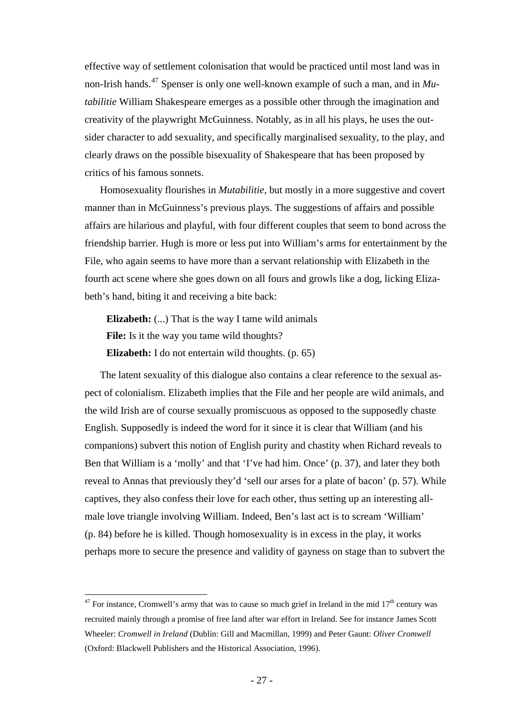effective way of settlement colonisation that would be practiced until most land was in non-Irish hands.[47](#page-26-0) Spenser is only one well-known example of such a man, and in *Mutabilitie* William Shakespeare emerges as a possible other through the imagination and creativity of the playwright McGuinness. Notably, as in all his plays, he uses the outsider character to add sexuality, and specifically marginalised sexuality, to the play, and clearly draws on the possible bisexuality of Shakespeare that has been proposed by critics of his famous sonnets.

Homosexuality flourishes in *Mutabilitie*, but mostly in a more suggestive and covert manner than in McGuinness's previous plays. The suggestions of affairs and possible affairs are hilarious and playful, with four different couples that seem to bond across the friendship barrier. Hugh is more or less put into William's arms for entertainment by the File, who again seems to have more than a servant relationship with Elizabeth in the fourth act scene where she goes down on all fours and growls like a dog, licking Elizabeth's hand, biting it and receiving a bite back:

**Elizabeth:** (...) That is the way I tame wild animals **File:** Is it the way you tame wild thoughts? **Elizabeth:** I do not entertain wild thoughts. (p. 65)

The latent sexuality of this dialogue also contains a clear reference to the sexual aspect of colonialism. Elizabeth implies that the File and her people are wild animals, and the wild Irish are of course sexually promiscuous as opposed to the supposedly chaste English. Supposedly is indeed the word for it since it is clear that William (and his companions) subvert this notion of English purity and chastity when Richard reveals to Ben that William is a 'molly' and that 'I've had him. Once' (p. 37), and later they both reveal to Annas that previously they'd 'sell our arses for a plate of bacon' (p. 57). While captives, they also confess their love for each other, thus setting up an interesting allmale love triangle involving William. Indeed, Ben's last act is to scream 'William' (p. 84) before he is killed. Though homosexuality is in excess in the play, it works perhaps more to secure the presence and validity of gayness on stage than to subvert the

<span id="page-26-0"></span> $47$  For instance, Cromwell's army that was to cause so much grief in Ireland in the mid  $17<sup>th</sup>$  century was recruited mainly through a promise of free land after war effort in Ireland. See for instance James Scott Wheeler: *Cromwell in Ireland* (Dublin: Gill and Macmillan, 1999) and Peter Gaunt: *Oliver Cromwell* (Oxford: Blackwell Publishers and the Historical Association, 1996).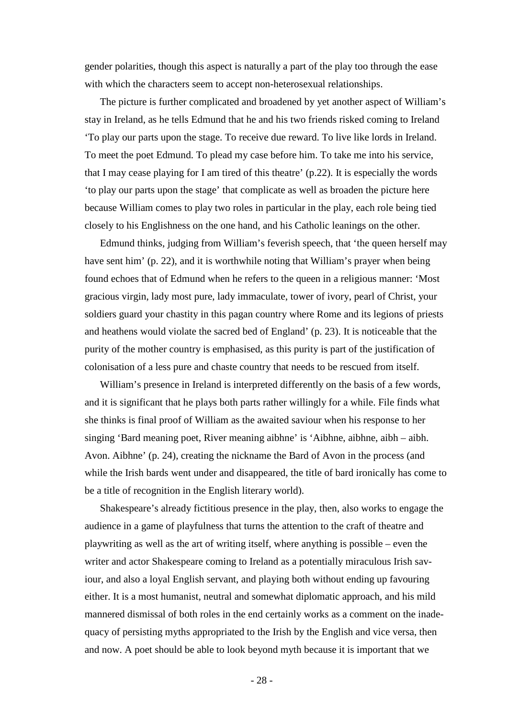gender polarities, though this aspect is naturally a part of the play too through the ease with which the characters seem to accept non-heterosexual relationships.

The picture is further complicated and broadened by yet another aspect of William's stay in Ireland, as he tells Edmund that he and his two friends risked coming to Ireland 'To play our parts upon the stage. To receive due reward. To live like lords in Ireland. To meet the poet Edmund. To plead my case before him. To take me into his service, that I may cease playing for I am tired of this theatre' (p.22). It is especially the words 'to play our parts upon the stage' that complicate as well as broaden the picture here because William comes to play two roles in particular in the play, each role being tied closely to his Englishness on the one hand, and his Catholic leanings on the other.

Edmund thinks, judging from William's feverish speech, that 'the queen herself may have sent him' (p. 22), and it is worthwhile noting that William's prayer when being found echoes that of Edmund when he refers to the queen in a religious manner: 'Most gracious virgin, lady most pure, lady immaculate, tower of ivory, pearl of Christ, your soldiers guard your chastity in this pagan country where Rome and its legions of priests and heathens would violate the sacred bed of England' (p. 23). It is noticeable that the purity of the mother country is emphasised, as this purity is part of the justification of colonisation of a less pure and chaste country that needs to be rescued from itself.

William's presence in Ireland is interpreted differently on the basis of a few words, and it is significant that he plays both parts rather willingly for a while. File finds what she thinks is final proof of William as the awaited saviour when his response to her singing 'Bard meaning poet, River meaning aibhne' is 'Aibhne, aibhne, aibh – aibh. Avon. Aibhne' (p. 24), creating the nickname the Bard of Avon in the process (and while the Irish bards went under and disappeared, the title of bard ironically has come to be a title of recognition in the English literary world).

Shakespeare's already fictitious presence in the play, then, also works to engage the audience in a game of playfulness that turns the attention to the craft of theatre and playwriting as well as the art of writing itself, where anything is possible – even the writer and actor Shakespeare coming to Ireland as a potentially miraculous Irish saviour, and also a loyal English servant, and playing both without ending up favouring either. It is a most humanist, neutral and somewhat diplomatic approach, and his mild mannered dismissal of both roles in the end certainly works as a comment on the inadequacy of persisting myths appropriated to the Irish by the English and vice versa, then and now. A poet should be able to look beyond myth because it is important that we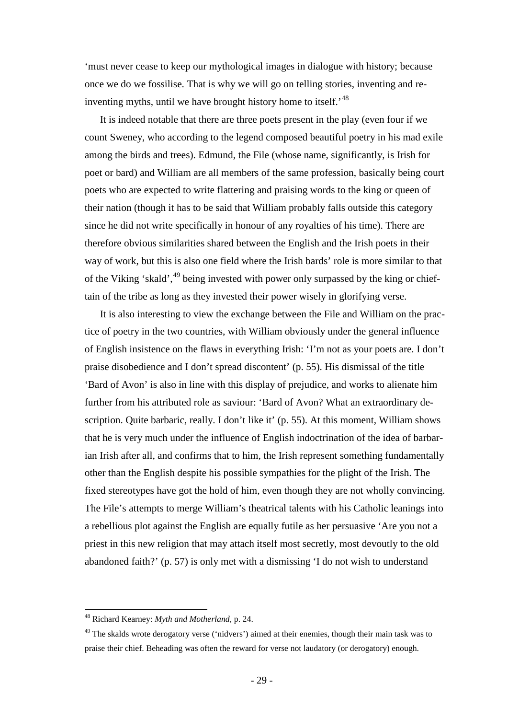'must never cease to keep our mythological images in dialogue with history; because once we do we fossilise. That is why we will go on telling stories, inventing and re-inventing myths, until we have brought history home to itself.'<sup>[48](#page-28-0)</sup>

It is indeed notable that there are three poets present in the play (even four if we count Sweney, who according to the legend composed beautiful poetry in his mad exile among the birds and trees). Edmund, the File (whose name, significantly, is Irish for poet or bard) and William are all members of the same profession, basically being court poets who are expected to write flattering and praising words to the king or queen of their nation (though it has to be said that William probably falls outside this category since he did not write specifically in honour of any royalties of his time). There are therefore obvious similarities shared between the English and the Irish poets in their way of work, but this is also one field where the Irish bards' role is more similar to that of the Viking 'skald', <sup>[49](#page-28-1)</sup> being invested with power only surpassed by the king or chieftain of the tribe as long as they invested their power wisely in glorifying verse.

It is also interesting to view the exchange between the File and William on the practice of poetry in the two countries, with William obviously under the general influence of English insistence on the flaws in everything Irish: 'I'm not as your poets are. I don't praise disobedience and I don't spread discontent' (p. 55). His dismissal of the title 'Bard of Avon' is also in line with this display of prejudice, and works to alienate him further from his attributed role as saviour: 'Bard of Avon? What an extraordinary description. Quite barbaric, really. I don't like it' (p. 55). At this moment, William shows that he is very much under the influence of English indoctrination of the idea of barbarian Irish after all, and confirms that to him, the Irish represent something fundamentally other than the English despite his possible sympathies for the plight of the Irish. The fixed stereotypes have got the hold of him, even though they are not wholly convincing. The File's attempts to merge William's theatrical talents with his Catholic leanings into a rebellious plot against the English are equally futile as her persuasive 'Are you not a priest in this new religion that may attach itself most secretly, most devoutly to the old abandoned faith?' (p. 57) is only met with a dismissing 'I do not wish to understand

<span id="page-28-0"></span> <sup>48</sup> Richard Kearney: *Myth and Motherland*, p. 24.

<span id="page-28-1"></span> $49$  The skalds wrote derogatory verse ('nidvers') aimed at their enemies, though their main task was to praise their chief. Beheading was often the reward for verse not laudatory (or derogatory) enough.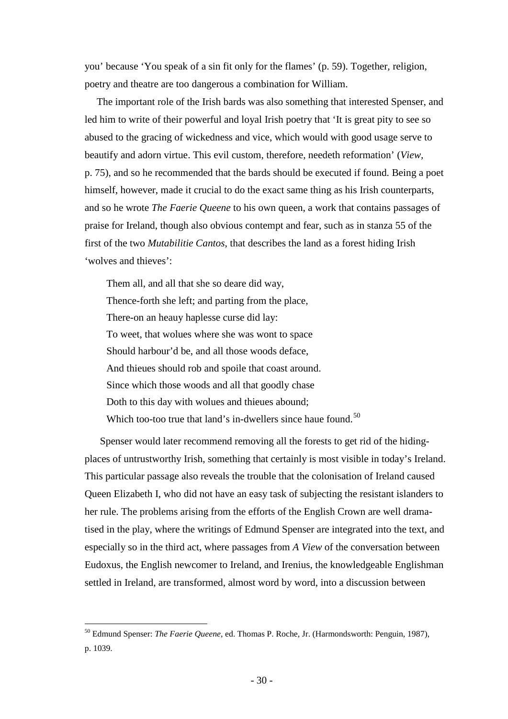you' because 'You speak of a sin fit only for the flames' (p. 59). Together, religion, poetry and theatre are too dangerous a combination for William.

The important role of the Irish bards was also something that interested Spenser, and led him to write of their powerful and loyal Irish poetry that 'It is great pity to see so abused to the gracing of wickedness and vice, which would with good usage serve to beautify and adorn virtue. This evil custom, therefore, needeth reformation' (*View,* p. 75), and so he recommended that the bards should be executed if found. Being a poet himself, however, made it crucial to do the exact same thing as his Irish counterparts, and so he wrote *The Faerie Queene* to his own queen, a work that contains passages of praise for Ireland, though also obvious contempt and fear, such as in stanza 55 of the first of the two *Mutabilitie Cantos*, that describes the land as a forest hiding Irish 'wolves and thieves':

Them all, and all that she so deare did way, Thence-forth she left; and parting from the place, There-on an heauy haplesse curse did lay: To weet, that wolues where she was wont to space Should harbour'd be, and all those woods deface, And thieues should rob and spoile that coast around. Since which those woods and all that goodly chase Doth to this day with wolues and thieues abound; Which too-too true that land's in-dwellers since haue found.<sup>[50](#page-29-0)</sup>

Spenser would later recommend removing all the forests to get rid of the hidingplaces of untrustworthy Irish, something that certainly is most visible in today's Ireland. This particular passage also reveals the trouble that the colonisation of Ireland caused Queen Elizabeth I, who did not have an easy task of subjecting the resistant islanders to her rule. The problems arising from the efforts of the English Crown are well dramatised in the play, where the writings of Edmund Spenser are integrated into the text, and especially so in the third act, where passages from *A View* of the conversation between Eudoxus, the English newcomer to Ireland, and Irenius, the knowledgeable Englishman settled in Ireland, are transformed, almost word by word, into a discussion between

<span id="page-29-0"></span> <sup>50</sup> Edmund Spenser: *The Faerie Queene*, ed. Thomas P. Roche, Jr. (Harmondsworth: Penguin, 1987), p. 1039.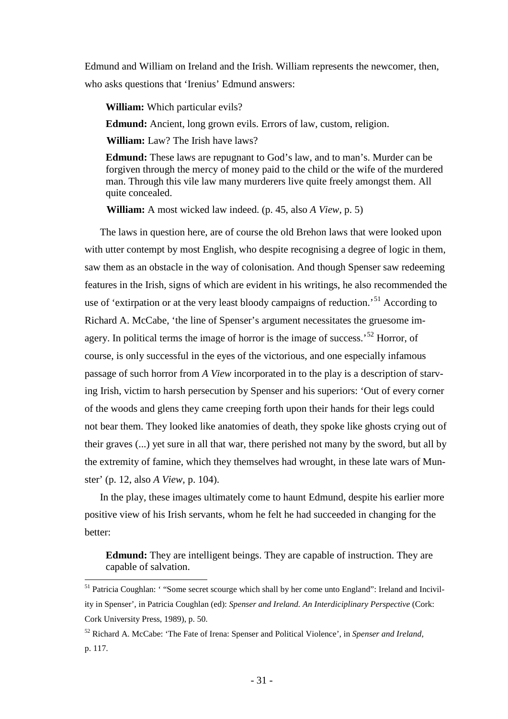Edmund and William on Ireland and the Irish. William represents the newcomer, then, who asks questions that 'Irenius' Edmund answers:

**William:** Which particular evils?

**Edmund:** Ancient, long grown evils. Errors of law, custom, religion.

**William:** Law? The Irish have laws?

**Edmund:** These laws are repugnant to God's law, and to man's. Murder can be forgiven through the mercy of money paid to the child or the wife of the murdered man. Through this vile law many murderers live quite freely amongst them. All quite concealed.

**William:** A most wicked law indeed. (p. 45, also *A View,* p. 5)

The laws in question here, are of course the old Brehon laws that were looked upon with utter contempt by most English, who despite recognising a degree of logic in them, saw them as an obstacle in the way of colonisation. And though Spenser saw redeeming features in the Irish, signs of which are evident in his writings, he also recommended the use of 'extirpation or at the very least bloody campaigns of reduction.<sup>[51](#page-30-0)</sup> According to Richard A. McCabe, 'the line of Spenser's argument necessitates the gruesome im-agery. In political terms the image of horror is the image of success.<sup>[52](#page-30-1)</sup> Horror, of course, is only successful in the eyes of the victorious, and one especially infamous passage of such horror from *A View* incorporated in to the play is a description of starving Irish, victim to harsh persecution by Spenser and his superiors: 'Out of every corner of the woods and glens they came creeping forth upon their hands for their legs could not bear them. They looked like anatomies of death, they spoke like ghosts crying out of their graves (...) yet sure in all that war, there perished not many by the sword, but all by the extremity of famine, which they themselves had wrought, in these late wars of Munster' (p. 12, also *A View,* p. 104).

In the play, these images ultimately come to haunt Edmund, despite his earlier more positive view of his Irish servants, whom he felt he had succeeded in changing for the better:

**Edmund:** They are intelligent beings. They are capable of instruction. They are capable of salvation.

<span id="page-30-0"></span><sup>&</sup>lt;sup>51</sup> Patricia Coughlan: '"Some secret scourge which shall by her come unto England": Ireland and Incivility in Spenser', in Patricia Coughlan (ed): *Spenser and Ireland. An Interdiciplinary Perspective* (Cork: Cork University Press, 1989), p. 50.

<span id="page-30-1"></span><sup>52</sup> Richard A. McCabe: 'The Fate of Irena: Spenser and Political Violence', in *Spenser and Ireland*, p. 117.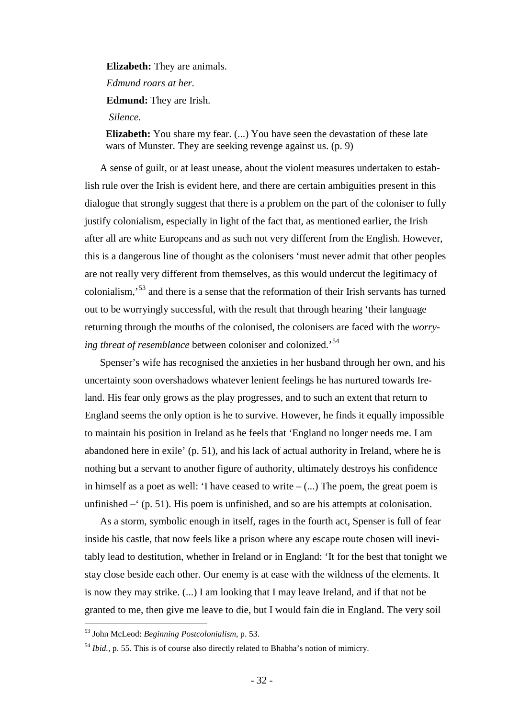**Elizabeth:** They are animals.

*Edmund roars at her.*

**Edmund:** They are Irish.

*Silence.*

**Elizabeth:** You share my fear. (...) You have seen the devastation of these late wars of Munster. They are seeking revenge against us. (p. 9)

A sense of guilt, or at least unease, about the violent measures undertaken to establish rule over the Irish is evident here, and there are certain ambiguities present in this dialogue that strongly suggest that there is a problem on the part of the coloniser to fully justify colonialism, especially in light of the fact that, as mentioned earlier, the Irish after all are white Europeans and as such not very different from the English. However, this is a dangerous line of thought as the colonisers 'must never admit that other peoples are not really very different from themselves, as this would undercut the legitimacy of colonialism,'[53](#page-31-0) and there is a sense that the reformation of their Irish servants has turned out to be worryingly successful, with the result that through hearing 'their language returning through the mouths of the colonised, the colonisers are faced with the *worrying threat of resemblance* between coloniser and colonized.'[54](#page-31-1)

Spenser's wife has recognised the anxieties in her husband through her own, and his uncertainty soon overshadows whatever lenient feelings he has nurtured towards Ireland. His fear only grows as the play progresses, and to such an extent that return to England seems the only option is he to survive. However, he finds it equally impossible to maintain his position in Ireland as he feels that 'England no longer needs me. I am abandoned here in exile' (p. 51), and his lack of actual authority in Ireland, where he is nothing but a servant to another figure of authority, ultimately destroys his confidence in himself as a poet as well: 'I have ceased to write  $-(\ldots)$  The poem, the great poem is unfinished  $-$  (p. 51). His poem is unfinished, and so are his attempts at colonisation.

As a storm, symbolic enough in itself, rages in the fourth act, Spenser is full of fear inside his castle, that now feels like a prison where any escape route chosen will inevitably lead to destitution, whether in Ireland or in England: 'It for the best that tonight we stay close beside each other. Our enemy is at ease with the wildness of the elements. It is now they may strike. (...) I am looking that I may leave Ireland, and if that not be granted to me, then give me leave to die, but I would fain die in England. The very soil

<span id="page-31-0"></span> <sup>53</sup> John McLeod: *Beginning Postcolonialism*, p. 53.

<span id="page-31-1"></span><sup>54</sup> *Ibid.,* p. 55. This is of course also directly related to Bhabha's notion of mimicry.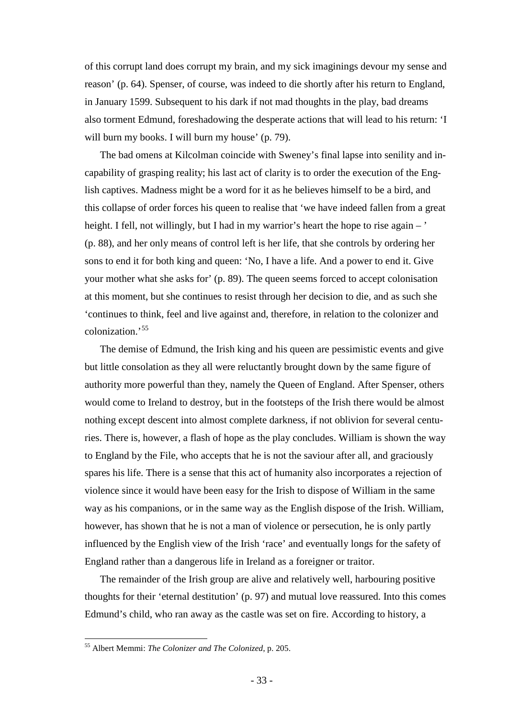of this corrupt land does corrupt my brain, and my sick imaginings devour my sense and reason' (p. 64). Spenser, of course, was indeed to die shortly after his return to England, in January 1599. Subsequent to his dark if not mad thoughts in the play, bad dreams also torment Edmund, foreshadowing the desperate actions that will lead to his return: 'I will burn my books. I will burn my house' (p. 79).

The bad omens at Kilcolman coincide with Sweney's final lapse into senility and incapability of grasping reality; his last act of clarity is to order the execution of the English captives. Madness might be a word for it as he believes himself to be a bird, and this collapse of order forces his queen to realise that 'we have indeed fallen from a great height. I fell, not willingly, but I had in my warrior's heart the hope to rise again – ' (p. 88), and her only means of control left is her life, that she controls by ordering her sons to end it for both king and queen: 'No, I have a life. And a power to end it. Give your mother what she asks for' (p. 89). The queen seems forced to accept colonisation at this moment, but she continues to resist through her decision to die, and as such she 'continues to think, feel and live against and, therefore, in relation to the colonizer and colonization.'[55](#page-32-0)

The demise of Edmund, the Irish king and his queen are pessimistic events and give but little consolation as they all were reluctantly brought down by the same figure of authority more powerful than they, namely the Queen of England. After Spenser, others would come to Ireland to destroy, but in the footsteps of the Irish there would be almost nothing except descent into almost complete darkness, if not oblivion for several centuries. There is, however, a flash of hope as the play concludes. William is shown the way to England by the File, who accepts that he is not the saviour after all, and graciously spares his life. There is a sense that this act of humanity also incorporates a rejection of violence since it would have been easy for the Irish to dispose of William in the same way as his companions, or in the same way as the English dispose of the Irish. William, however, has shown that he is not a man of violence or persecution, he is only partly influenced by the English view of the Irish 'race' and eventually longs for the safety of England rather than a dangerous life in Ireland as a foreigner or traitor.

The remainder of the Irish group are alive and relatively well, harbouring positive thoughts for their 'eternal destitution' (p. 97) and mutual love reassured. Into this comes Edmund's child, who ran away as the castle was set on fire. According to history, a

<span id="page-32-0"></span> <sup>55</sup> Albert Memmi: *The Colonizer and The Colonized*, p. 205.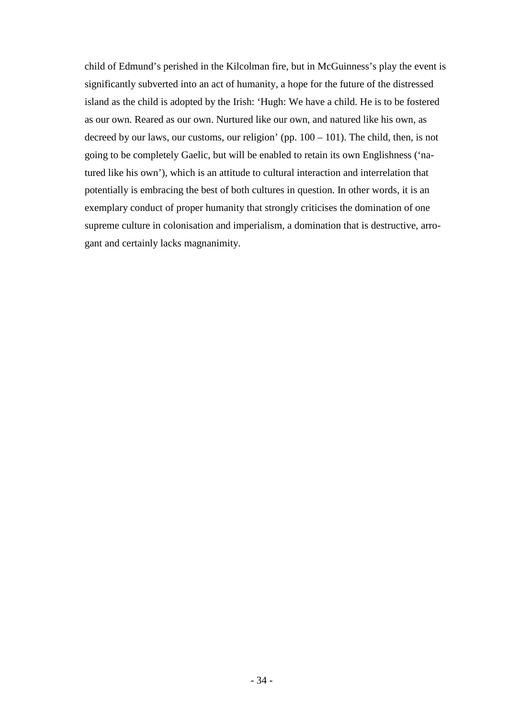child of Edmund's perished in the Kilcolman fire, but in McGuinness's play the event is significantly subverted into an act of humanity, a hope for the future of the distressed island as the child is adopted by the Irish: 'Hugh: We have a child. He is to be fostered as our own. Reared as our own. Nurtured like our own, and natured like his own, as decreed by our laws, our customs, our religion' (pp.  $100 - 101$ ). The child, then, is not going to be completely Gaelic, but will be enabled to retain its own Englishness ('natured like his own'), which is an attitude to cultural interaction and interrelation that potentially is embracing the best of both cultures in question. In other words, it is an exemplary conduct of proper humanity that strongly criticises the domination of one supreme culture in colonisation and imperialism, a domination that is destructive, arrogant and certainly lacks magnanimity.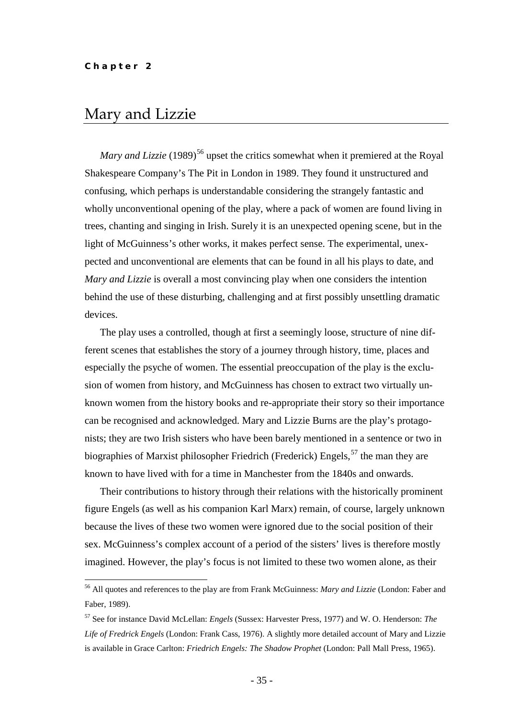## <span id="page-34-0"></span>Mary and Lizzie

*Mary and Lizzie* (1989)<sup>[56](#page-34-1)</sup> upset the critics somewhat when it premiered at the Royal Shakespeare Company's The Pit in London in 1989. They found it unstructured and confusing, which perhaps is understandable considering the strangely fantastic and wholly unconventional opening of the play, where a pack of women are found living in trees, chanting and singing in Irish. Surely it is an unexpected opening scene, but in the light of McGuinness's other works, it makes perfect sense. The experimental, unexpected and unconventional are elements that can be found in all his plays to date, and *Mary and Lizzie* is overall a most convincing play when one considers the intention behind the use of these disturbing, challenging and at first possibly unsettling dramatic devices.

The play uses a controlled, though at first a seemingly loose, structure of nine different scenes that establishes the story of a journey through history, time, places and especially the psyche of women. The essential preoccupation of the play is the exclusion of women from history, and McGuinness has chosen to extract two virtually unknown women from the history books and re-appropriate their story so their importance can be recognised and acknowledged. Mary and Lizzie Burns are the play's protagonists; they are two Irish sisters who have been barely mentioned in a sentence or two in biographies of Marxist philosopher Friedrich (Frederick) Engels,<sup>[57](#page-34-2)</sup> the man they are known to have lived with for a time in Manchester from the 1840s and onwards.

Their contributions to history through their relations with the historically prominent figure Engels (as well as his companion Karl Marx) remain, of course, largely unknown because the lives of these two women were ignored due to the social position of their sex. McGuinness's complex account of a period of the sisters' lives is therefore mostly imagined. However, the play's focus is not limited to these two women alone, as their

<span id="page-34-1"></span> <sup>56</sup> All quotes and references to the play are from Frank McGuinness: *Mary and Lizzie* (London: Faber and Faber, 1989).

<span id="page-34-2"></span><sup>57</sup> See for instance David McLellan: *Engels* (Sussex: Harvester Press, 1977) and W. O. Henderson: *The Life of Fredrick Engels* (London: Frank Cass, 1976). A slightly more detailed account of Mary and Lizzie is available in Grace Carlton: *Friedrich Engels: The Shadow Prophet* (London: Pall Mall Press, 1965).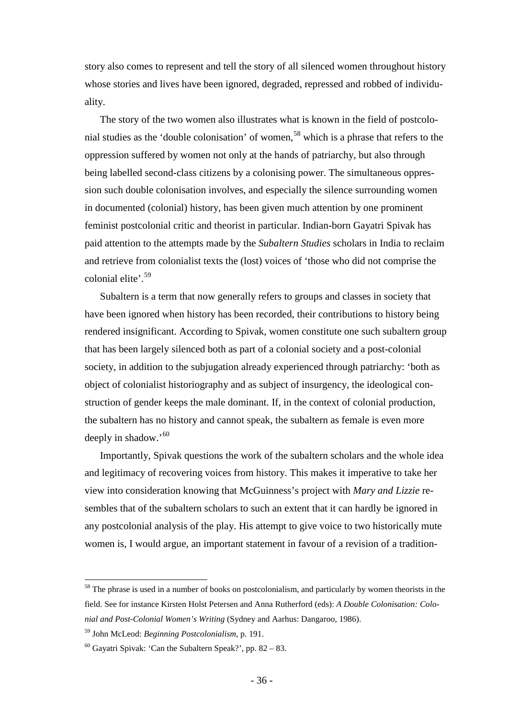story also comes to represent and tell the story of all silenced women throughout history whose stories and lives have been ignored, degraded, repressed and robbed of individuality.

The story of the two women also illustrates what is known in the field of postcolo-nial studies as the 'double colonisation' of women,<sup>[58](#page-35-0)</sup> which is a phrase that refers to the oppression suffered by women not only at the hands of patriarchy, but also through being labelled second-class citizens by a colonising power. The simultaneous oppression such double colonisation involves, and especially the silence surrounding women in documented (colonial) history, has been given much attention by one prominent feminist postcolonial critic and theorist in particular. Indian-born Gayatri Spivak has paid attention to the attempts made by the *Subaltern Studies* scholars in India to reclaim and retrieve from colonialist texts the (lost) voices of 'those who did not comprise the colonial elite<sup>, [59](#page-35-1)</sup>

Subaltern is a term that now generally refers to groups and classes in society that have been ignored when history has been recorded, their contributions to history being rendered insignificant. According to Spivak, women constitute one such subaltern group that has been largely silenced both as part of a colonial society and a post-colonial society, in addition to the subjugation already experienced through patriarchy: 'both as object of colonialist historiography and as subject of insurgency, the ideological construction of gender keeps the male dominant. If, in the context of colonial production, the subaltern has no history and cannot speak, the subaltern as female is even more deeply in shadow.'<sup>[60](#page-35-2)</sup>

Importantly, Spivak questions the work of the subaltern scholars and the whole idea and legitimacy of recovering voices from history. This makes it imperative to take her view into consideration knowing that McGuinness's project with *Mary and Lizzie* resembles that of the subaltern scholars to such an extent that it can hardly be ignored in any postcolonial analysis of the play. His attempt to give voice to two historically mute women is, I would argue, an important statement in favour of a revision of a tradition-

<span id="page-35-0"></span><sup>&</sup>lt;sup>58</sup> The phrase is used in a number of books on postcolonialism, and particularly by women theorists in the field. See for instance Kirsten Holst Petersen and Anna Rutherford (eds): *A Double Colonisation: Colonial and Post-Colonial Women's Writing* (Sydney and Aarhus: Dangaroo, 1986).

<span id="page-35-1"></span><sup>59</sup> John McLeod: *Beginning Postcolonialism*, p. 191.

<span id="page-35-2"></span> $60$  Gayatri Spivak: 'Can the Subaltern Speak?', pp. 82 – 83.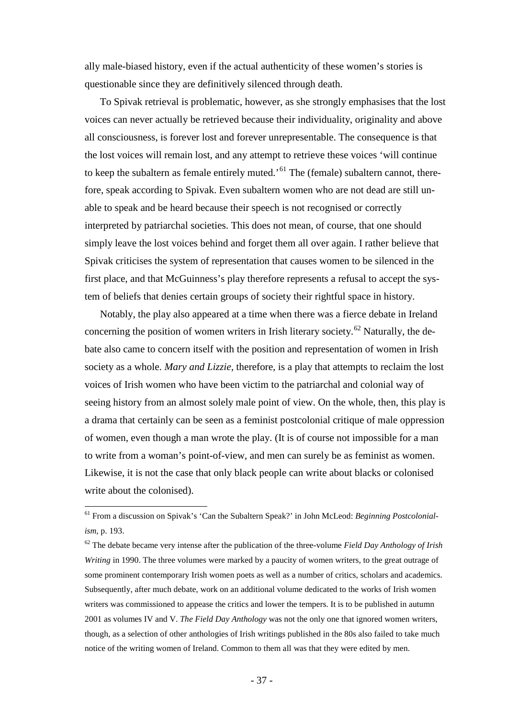ally male-biased history, even if the actual authenticity of these women's stories is questionable since they are definitively silenced through death.

To Spivak retrieval is problematic, however, as she strongly emphasises that the lost voices can never actually be retrieved because their individuality, originality and above all consciousness, is forever lost and forever unrepresentable. The consequence is that the lost voices will remain lost, and any attempt to retrieve these voices 'will continue to keep the subaltern as female entirely muted.<sup>'[61](#page-36-0)</sup> The (female) subaltern cannot, therefore, speak according to Spivak. Even subaltern women who are not dead are still unable to speak and be heard because their speech is not recognised or correctly interpreted by patriarchal societies. This does not mean, of course, that one should simply leave the lost voices behind and forget them all over again. I rather believe that Spivak criticises the system of representation that causes women to be silenced in the first place, and that McGuinness's play therefore represents a refusal to accept the system of beliefs that denies certain groups of society their rightful space in history.

Notably, the play also appeared at a time when there was a fierce debate in Ireland concerning the position of women writers in Irish literary society.<sup>[62](#page-36-1)</sup> Naturally, the debate also came to concern itself with the position and representation of women in Irish society as a whole. *Mary and Lizzie*, therefore, is a play that attempts to reclaim the lost voices of Irish women who have been victim to the patriarchal and colonial way of seeing history from an almost solely male point of view. On the whole, then, this play is a drama that certainly can be seen as a feminist postcolonial critique of male oppression of women, even though a man wrote the play. (It is of course not impossible for a man to write from a woman's point-of-view, and men can surely be as feminist as women. Likewise, it is not the case that only black people can write about blacks or colonised write about the colonised).

<span id="page-36-0"></span> <sup>61</sup> From a discussion on Spivak's 'Can the Subaltern Speak?' in John McLeod: *Beginning Postcolonialism*, p. 193.

<span id="page-36-1"></span><sup>62</sup> The debate became very intense after the publication of the three-volume *Field Day Anthology of Irish Writing* in 1990. The three volumes were marked by a paucity of women writers, to the great outrage of some prominent contemporary Irish women poets as well as a number of critics, scholars and academics. Subsequently, after much debate, work on an additional volume dedicated to the works of Irish women writers was commissioned to appease the critics and lower the tempers. It is to be published in autumn 2001 as volumes IV and V. *The Field Day Anthology* was not the only one that ignored women writers, though, as a selection of other anthologies of Irish writings published in the 80s also failed to take much notice of the writing women of Ireland. Common to them all was that they were edited by men.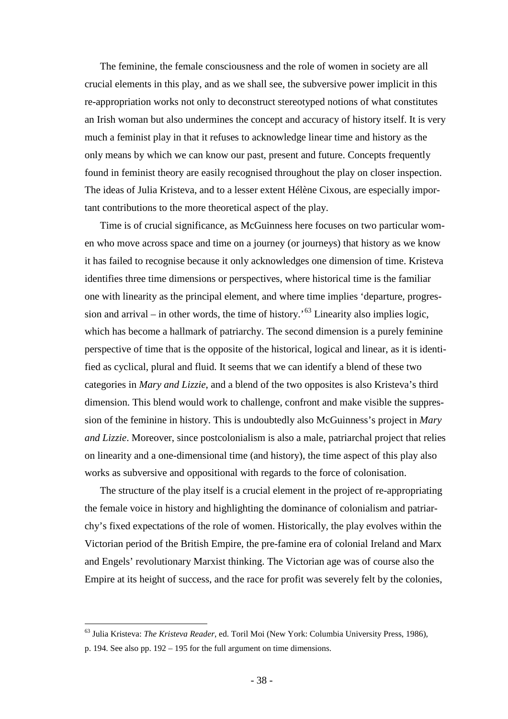The feminine, the female consciousness and the role of women in society are all crucial elements in this play, and as we shall see, the subversive power implicit in this re-appropriation works not only to deconstruct stereotyped notions of what constitutes an Irish woman but also undermines the concept and accuracy of history itself. It is very much a feminist play in that it refuses to acknowledge linear time and history as the only means by which we can know our past, present and future. Concepts frequently found in feminist theory are easily recognised throughout the play on closer inspection. The ideas of Julia Kristeva, and to a lesser extent Hélène Cixous, are especially important contributions to the more theoretical aspect of the play.

Time is of crucial significance, as McGuinness here focuses on two particular women who move across space and time on a journey (or journeys) that history as we know it has failed to recognise because it only acknowledges one dimension of time. Kristeva identifies three time dimensions or perspectives, where historical time is the familiar one with linearity as the principal element, and where time implies 'departure, progression and arrival – in other words, the time of history.<sup>53</sup> Linearity also implies logic, which has become a hallmark of patriarchy. The second dimension is a purely feminine perspective of time that is the opposite of the historical, logical and linear, as it is identified as cyclical, plural and fluid. It seems that we can identify a blend of these two categories in *Mary and Lizzie*, and a blend of the two opposites is also Kristeva's third dimension. This blend would work to challenge, confront and make visible the suppression of the feminine in history. This is undoubtedly also McGuinness's project in *Mary and Lizzie*. Moreover, since postcolonialism is also a male, patriarchal project that relies on linearity and a one-dimensional time (and history), the time aspect of this play also works as subversive and oppositional with regards to the force of colonisation.

The structure of the play itself is a crucial element in the project of re-appropriating the female voice in history and highlighting the dominance of colonialism and patriarchy's fixed expectations of the role of women. Historically, the play evolves within the Victorian period of the British Empire, the pre-famine era of colonial Ireland and Marx and Engels' revolutionary Marxist thinking. The Victorian age was of course also the Empire at its height of success, and the race for profit was severely felt by the colonies,

<span id="page-37-0"></span> <sup>63</sup> Julia Kristeva: *The Kristeva Reader*, ed. Toril Moi (New York: Columbia University Press, 1986),

p. 194. See also pp. 192 – 195 for the full argument on time dimensions.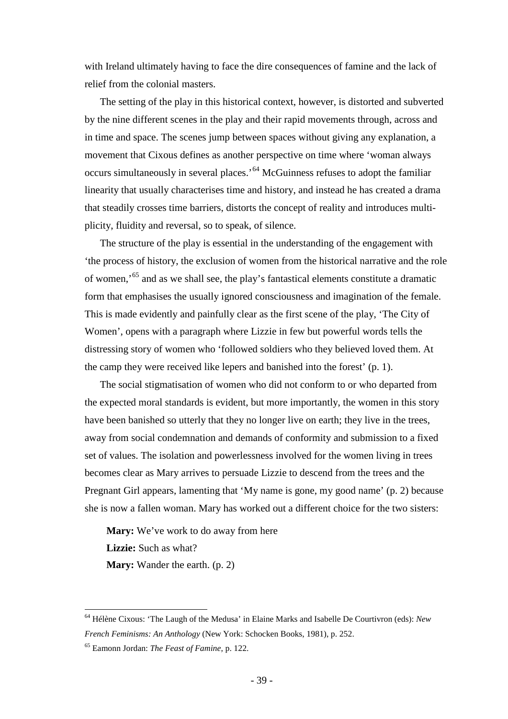with Ireland ultimately having to face the dire consequences of famine and the lack of relief from the colonial masters.

The setting of the play in this historical context, however, is distorted and subverted by the nine different scenes in the play and their rapid movements through, across and in time and space. The scenes jump between spaces without giving any explanation, a movement that Cixous defines as another perspective on time where 'woman always occurs simultaneously in several places.'[64](#page-38-0) McGuinness refuses to adopt the familiar linearity that usually characterises time and history, and instead he has created a drama that steadily crosses time barriers, distorts the concept of reality and introduces multiplicity, fluidity and reversal, so to speak, of silence.

The structure of the play is essential in the understanding of the engagement with 'the process of history, the exclusion of women from the historical narrative and the role of women,'[65](#page-38-1) and as we shall see, the play's fantastical elements constitute a dramatic form that emphasises the usually ignored consciousness and imagination of the female. This is made evidently and painfully clear as the first scene of the play, 'The City of Women', opens with a paragraph where Lizzie in few but powerful words tells the distressing story of women who 'followed soldiers who they believed loved them. At the camp they were received like lepers and banished into the forest' (p. 1).

The social stigmatisation of women who did not conform to or who departed from the expected moral standards is evident, but more importantly, the women in this story have been banished so utterly that they no longer live on earth; they live in the trees, away from social condemnation and demands of conformity and submission to a fixed set of values. The isolation and powerlessness involved for the women living in trees becomes clear as Mary arrives to persuade Lizzie to descend from the trees and the Pregnant Girl appears, lamenting that 'My name is gone, my good name' (p. 2) because she is now a fallen woman. Mary has worked out a different choice for the two sisters:

**Mary:** We've work to do away from here **Lizzie:** Such as what? **Mary:** Wander the earth. (p. 2)

<span id="page-38-0"></span> <sup>64</sup> Hélène Cixous: 'The Laugh of the Medusa' in Elaine Marks and Isabelle De Courtivron (eds): *New French Feminisms: An Anthology* (New York: Schocken Books, 1981), p. 252.

<span id="page-38-1"></span><sup>65</sup> Eamonn Jordan: *The Feast of Famine*, p. 122.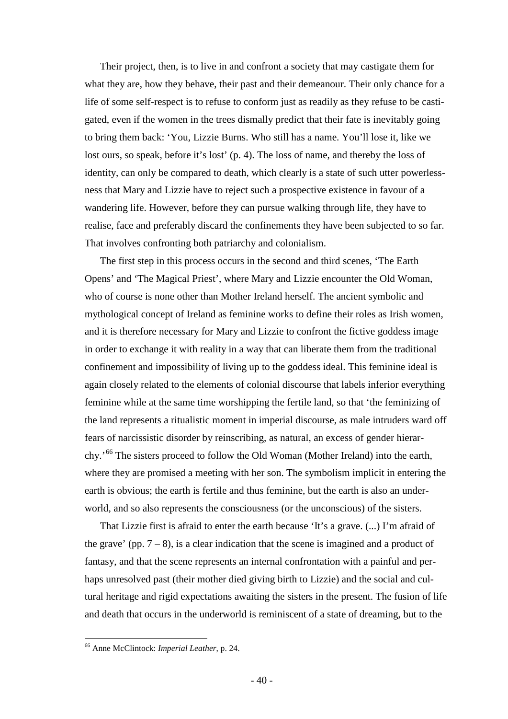Their project, then, is to live in and confront a society that may castigate them for what they are, how they behave, their past and their demeanour. Their only chance for a life of some self-respect is to refuse to conform just as readily as they refuse to be castigated, even if the women in the trees dismally predict that their fate is inevitably going to bring them back: 'You, Lizzie Burns. Who still has a name. You'll lose it, like we lost ours, so speak, before it's lost' (p. 4). The loss of name, and thereby the loss of identity, can only be compared to death, which clearly is a state of such utter powerlessness that Mary and Lizzie have to reject such a prospective existence in favour of a wandering life. However, before they can pursue walking through life, they have to realise, face and preferably discard the confinements they have been subjected to so far. That involves confronting both patriarchy and colonialism.

The first step in this process occurs in the second and third scenes, 'The Earth Opens' and 'The Magical Priest', where Mary and Lizzie encounter the Old Woman, who of course is none other than Mother Ireland herself. The ancient symbolic and mythological concept of Ireland as feminine works to define their roles as Irish women, and it is therefore necessary for Mary and Lizzie to confront the fictive goddess image in order to exchange it with reality in a way that can liberate them from the traditional confinement and impossibility of living up to the goddess ideal. This feminine ideal is again closely related to the elements of colonial discourse that labels inferior everything feminine while at the same time worshipping the fertile land, so that 'the feminizing of the land represents a ritualistic moment in imperial discourse, as male intruders ward off fears of narcissistic disorder by reinscribing, as natural, an excess of gender hierarchy.'[66](#page-39-0) The sisters proceed to follow the Old Woman (Mother Ireland) into the earth, where they are promised a meeting with her son. The symbolism implicit in entering the earth is obvious; the earth is fertile and thus feminine, but the earth is also an underworld, and so also represents the consciousness (or the unconscious) of the sisters.

That Lizzie first is afraid to enter the earth because 'It's a grave. (...) I'm afraid of the grave' (pp.  $7 - 8$ ), is a clear indication that the scene is imagined and a product of fantasy, and that the scene represents an internal confrontation with a painful and perhaps unresolved past (their mother died giving birth to Lizzie) and the social and cultural heritage and rigid expectations awaiting the sisters in the present. The fusion of life and death that occurs in the underworld is reminiscent of a state of dreaming, but to the

<span id="page-39-0"></span> <sup>66</sup> Anne McClintock: *Imperial Leather*, p. 24.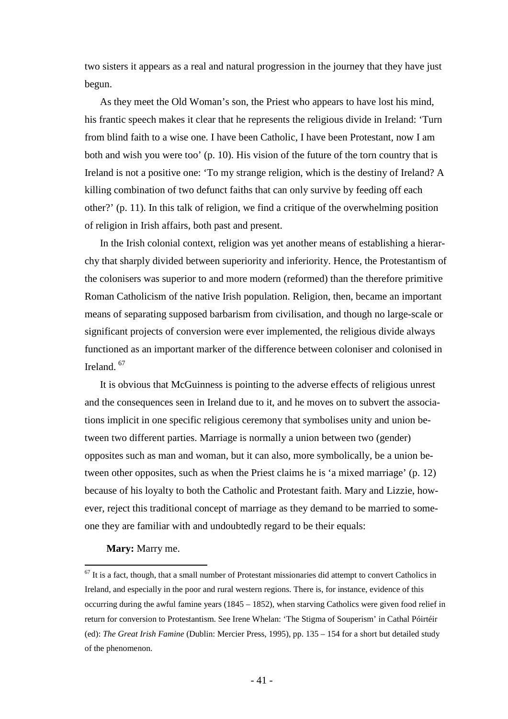two sisters it appears as a real and natural progression in the journey that they have just begun.

As they meet the Old Woman's son, the Priest who appears to have lost his mind, his frantic speech makes it clear that he represents the religious divide in Ireland: 'Turn from blind faith to a wise one. I have been Catholic, I have been Protestant, now I am both and wish you were too' (p. 10). His vision of the future of the torn country that is Ireland is not a positive one: 'To my strange religion, which is the destiny of Ireland? A killing combination of two defunct faiths that can only survive by feeding off each other?' (p. 11). In this talk of religion, we find a critique of the overwhelming position of religion in Irish affairs, both past and present.

In the Irish colonial context, religion was yet another means of establishing a hierarchy that sharply divided between superiority and inferiority. Hence, the Protestantism of the colonisers was superior to and more modern (reformed) than the therefore primitive Roman Catholicism of the native Irish population. Religion, then, became an important means of separating supposed barbarism from civilisation, and though no large-scale or significant projects of conversion were ever implemented, the religious divide always functioned as an important marker of the difference between coloniser and colonised in Ireland. [67](#page-40-0)

It is obvious that McGuinness is pointing to the adverse effects of religious unrest and the consequences seen in Ireland due to it, and he moves on to subvert the associations implicit in one specific religious ceremony that symbolises unity and union between two different parties. Marriage is normally a union between two (gender) opposites such as man and woman, but it can also, more symbolically, be a union between other opposites, such as when the Priest claims he is 'a mixed marriage' (p. 12) because of his loyalty to both the Catholic and Protestant faith. Mary and Lizzie, however, reject this traditional concept of marriage as they demand to be married to someone they are familiar with and undoubtedly regard to be their equals:

## **Mary:** Marry me.

<span id="page-40-0"></span> $67$  It is a fact, though, that a small number of Protestant missionaries did attempt to convert Catholics in Ireland, and especially in the poor and rural western regions. There is, for instance, evidence of this occurring during the awful famine years  $(1845 - 1852)$ , when starving Catholics were given food relief in return for conversion to Protestantism. See Irene Whelan: 'The Stigma of Souperism' in Cathal Póirtéir (ed): *The Great Irish Famine* (Dublin: Mercier Press, 1995), pp. 135 – 154 for a short but detailed study of the phenomenon.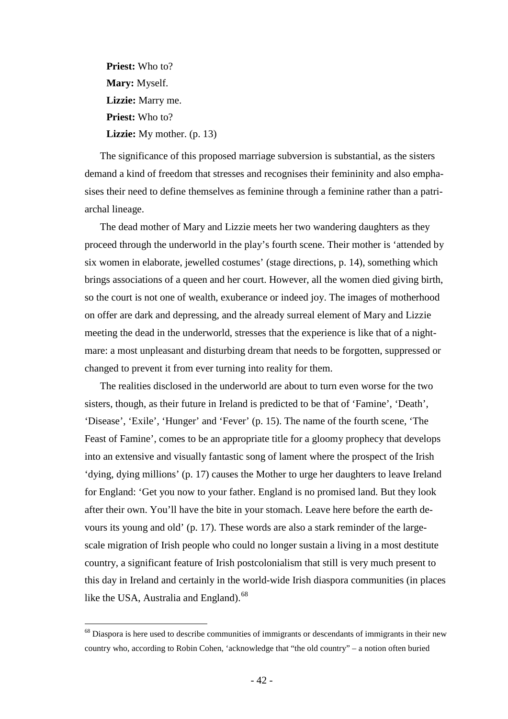**Priest:** Who to? **Mary:** Myself. **Lizzie:** Marry me. **Priest:** Who to? **Lizzie:** My mother. (p. 13)

The significance of this proposed marriage subversion is substantial, as the sisters demand a kind of freedom that stresses and recognises their femininity and also emphasises their need to define themselves as feminine through a feminine rather than a patriarchal lineage.

The dead mother of Mary and Lizzie meets her two wandering daughters as they proceed through the underworld in the play's fourth scene. Their mother is 'attended by six women in elaborate, jewelled costumes' (stage directions, p. 14), something which brings associations of a queen and her court. However, all the women died giving birth, so the court is not one of wealth, exuberance or indeed joy. The images of motherhood on offer are dark and depressing, and the already surreal element of Mary and Lizzie meeting the dead in the underworld, stresses that the experience is like that of a nightmare: a most unpleasant and disturbing dream that needs to be forgotten, suppressed or changed to prevent it from ever turning into reality for them.

The realities disclosed in the underworld are about to turn even worse for the two sisters, though, as their future in Ireland is predicted to be that of 'Famine', 'Death', 'Disease', 'Exile', 'Hunger' and 'Fever' (p. 15). The name of the fourth scene, 'The Feast of Famine', comes to be an appropriate title for a gloomy prophecy that develops into an extensive and visually fantastic song of lament where the prospect of the Irish 'dying, dying millions' (p. 17) causes the Mother to urge her daughters to leave Ireland for England: 'Get you now to your father. England is no promised land. But they look after their own. You'll have the bite in your stomach. Leave here before the earth devours its young and old' (p. 17). These words are also a stark reminder of the largescale migration of Irish people who could no longer sustain a living in a most destitute country, a significant feature of Irish postcolonialism that still is very much present to this day in Ireland and certainly in the world-wide Irish diaspora communities (in places like the USA, Australia and England).<sup>[68](#page-41-0)</sup>

<span id="page-41-0"></span> $68$  Diaspora is here used to describe communities of immigrants or descendants of immigrants in their new country who, according to Robin Cohen, 'acknowledge that "the old country" – a notion often buried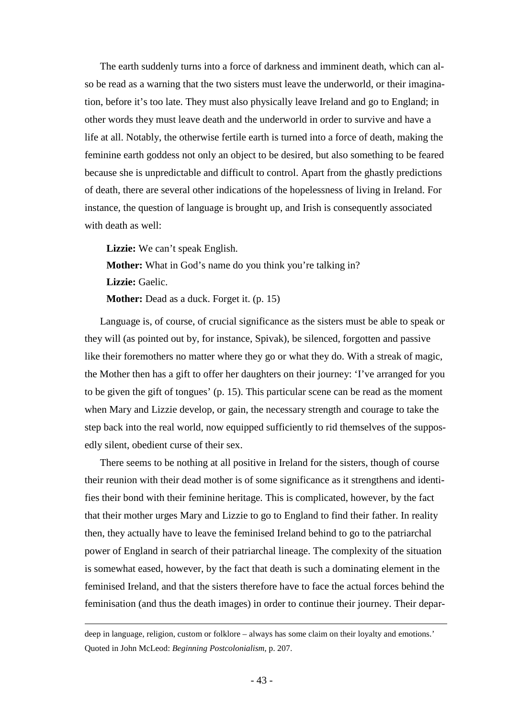The earth suddenly turns into a force of darkness and imminent death, which can also be read as a warning that the two sisters must leave the underworld, or their imagination, before it's too late. They must also physically leave Ireland and go to England; in other words they must leave death and the underworld in order to survive and have a life at all. Notably, the otherwise fertile earth is turned into a force of death, making the feminine earth goddess not only an object to be desired, but also something to be feared because she is unpredictable and difficult to control. Apart from the ghastly predictions of death, there are several other indications of the hopelessness of living in Ireland. For instance, the question of language is brought up, and Irish is consequently associated with death as well:

**Lizzie:** We can't speak English.

**Mother:** What in God's name do you think you're talking in?

**Lizzie:** Gaelic.

 $\overline{a}$ 

**Mother:** Dead as a duck. Forget it. (p. 15)

Language is, of course, of crucial significance as the sisters must be able to speak or they will (as pointed out by, for instance, Spivak), be silenced, forgotten and passive like their foremothers no matter where they go or what they do. With a streak of magic, the Mother then has a gift to offer her daughters on their journey: 'I've arranged for you to be given the gift of tongues' (p. 15). This particular scene can be read as the moment when Mary and Lizzie develop, or gain, the necessary strength and courage to take the step back into the real world, now equipped sufficiently to rid themselves of the supposedly silent, obedient curse of their sex.

There seems to be nothing at all positive in Ireland for the sisters, though of course their reunion with their dead mother is of some significance as it strengthens and identifies their bond with their feminine heritage. This is complicated, however, by the fact that their mother urges Mary and Lizzie to go to England to find their father. In reality then, they actually have to leave the feminised Ireland behind to go to the patriarchal power of England in search of their patriarchal lineage. The complexity of the situation is somewhat eased, however, by the fact that death is such a dominating element in the feminised Ireland, and that the sisters therefore have to face the actual forces behind the feminisation (and thus the death images) in order to continue their journey. Their depar-

deep in language, religion, custom or folklore – always has some claim on their loyalty and emotions.' Quoted in John McLeod: *Beginning Postcolonialism*, p. 207.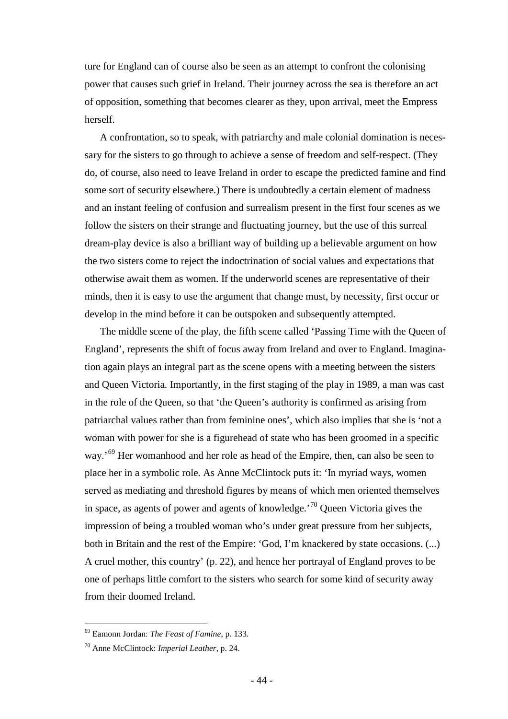ture for England can of course also be seen as an attempt to confront the colonising power that causes such grief in Ireland. Their journey across the sea is therefore an act of opposition, something that becomes clearer as they, upon arrival, meet the Empress herself.

A confrontation, so to speak, with patriarchy and male colonial domination is necessary for the sisters to go through to achieve a sense of freedom and self-respect. (They do, of course, also need to leave Ireland in order to escape the predicted famine and find some sort of security elsewhere.) There is undoubtedly a certain element of madness and an instant feeling of confusion and surrealism present in the first four scenes as we follow the sisters on their strange and fluctuating journey, but the use of this surreal dream-play device is also a brilliant way of building up a believable argument on how the two sisters come to reject the indoctrination of social values and expectations that otherwise await them as women. If the underworld scenes are representative of their minds, then it is easy to use the argument that change must, by necessity, first occur or develop in the mind before it can be outspoken and subsequently attempted.

The middle scene of the play, the fifth scene called 'Passing Time with the Queen of England', represents the shift of focus away from Ireland and over to England. Imagination again plays an integral part as the scene opens with a meeting between the sisters and Queen Victoria. Importantly, in the first staging of the play in 1989, a man was cast in the role of the Queen, so that 'the Queen's authority is confirmed as arising from patriarchal values rather than from feminine ones', which also implies that she is 'not a woman with power for she is a figurehead of state who has been groomed in a specific way.<sup>[69](#page-43-0)</sup> Her womanhood and her role as head of the Empire, then, can also be seen to place her in a symbolic role. As Anne McClintock puts it: 'In myriad ways, women served as mediating and threshold figures by means of which men oriented themselves in space, as agents of power and agents of knowledge.<sup>[70](#page-43-1)</sup> Queen Victoria gives the impression of being a troubled woman who's under great pressure from her subjects, both in Britain and the rest of the Empire: 'God, I'm knackered by state occasions. (...) A cruel mother, this country' (p. 22), and hence her portrayal of England proves to be one of perhaps little comfort to the sisters who search for some kind of security away from their doomed Ireland.

<span id="page-43-0"></span> <sup>69</sup> Eamonn Jordan: *The Feast of Famine*, p. 133.

<span id="page-43-1"></span><sup>70</sup> Anne McClintock: *Imperial Leather*, p. 24.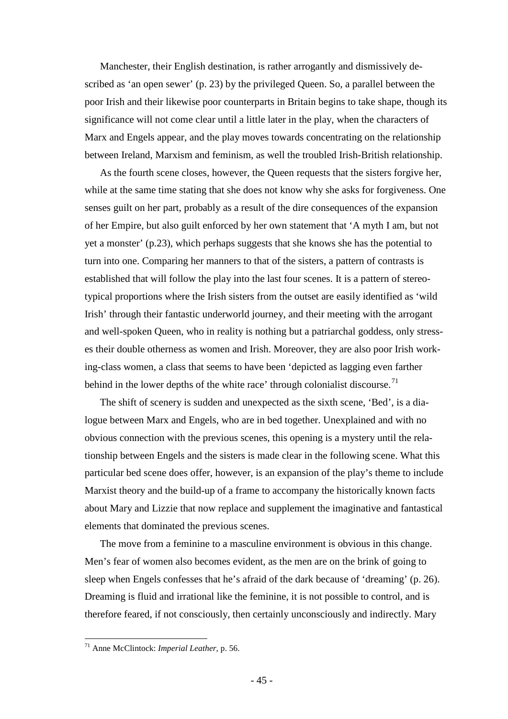Manchester, their English destination, is rather arrogantly and dismissively described as 'an open sewer' (p. 23) by the privileged Queen. So, a parallel between the poor Irish and their likewise poor counterparts in Britain begins to take shape, though its significance will not come clear until a little later in the play, when the characters of Marx and Engels appear, and the play moves towards concentrating on the relationship between Ireland, Marxism and feminism, as well the troubled Irish-British relationship.

As the fourth scene closes, however, the Queen requests that the sisters forgive her, while at the same time stating that she does not know why she asks for forgiveness. One senses guilt on her part, probably as a result of the dire consequences of the expansion of her Empire, but also guilt enforced by her own statement that 'A myth I am, but not yet a monster' (p.23), which perhaps suggests that she knows she has the potential to turn into one. Comparing her manners to that of the sisters, a pattern of contrasts is established that will follow the play into the last four scenes. It is a pattern of stereotypical proportions where the Irish sisters from the outset are easily identified as 'wild Irish' through their fantastic underworld journey, and their meeting with the arrogant and well-spoken Queen, who in reality is nothing but a patriarchal goddess, only stresses their double otherness as women and Irish. Moreover, they are also poor Irish working-class women, a class that seems to have been 'depicted as lagging even farther behind in the lower depths of the white race' through colonialist discourse.<sup>[71](#page-44-0)</sup>

The shift of scenery is sudden and unexpected as the sixth scene, 'Bed', is a dialogue between Marx and Engels, who are in bed together. Unexplained and with no obvious connection with the previous scenes, this opening is a mystery until the relationship between Engels and the sisters is made clear in the following scene. What this particular bed scene does offer, however, is an expansion of the play's theme to include Marxist theory and the build-up of a frame to accompany the historically known facts about Mary and Lizzie that now replace and supplement the imaginative and fantastical elements that dominated the previous scenes.

The move from a feminine to a masculine environment is obvious in this change. Men's fear of women also becomes evident, as the men are on the brink of going to sleep when Engels confesses that he's afraid of the dark because of 'dreaming' (p. 26). Dreaming is fluid and irrational like the feminine, it is not possible to control, and is therefore feared, if not consciously, then certainly unconsciously and indirectly. Mary

<span id="page-44-0"></span> <sup>71</sup> Anne McClintock: *Imperial Leather*, p. 56.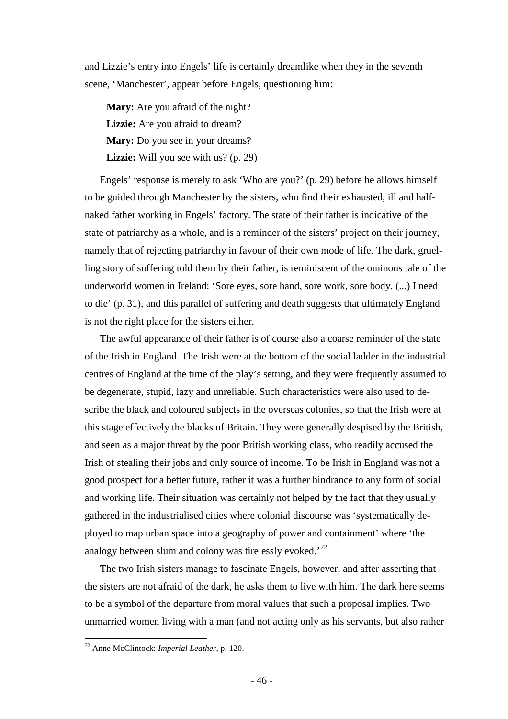and Lizzie's entry into Engels' life is certainly dreamlike when they in the seventh scene, 'Manchester', appear before Engels, questioning him:

**Mary:** Are you afraid of the night? **Lizzie:** Are you afraid to dream? **Mary:** Do you see in your dreams? **Lizzie:** Will you see with us? (p. 29)

Engels' response is merely to ask 'Who are you?' (p. 29) before he allows himself to be guided through Manchester by the sisters, who find their exhausted, ill and halfnaked father working in Engels' factory. The state of their father is indicative of the state of patriarchy as a whole, and is a reminder of the sisters' project on their journey, namely that of rejecting patriarchy in favour of their own mode of life. The dark, gruelling story of suffering told them by their father, is reminiscent of the ominous tale of the underworld women in Ireland: 'Sore eyes, sore hand, sore work, sore body. (...) I need to die' (p. 31), and this parallel of suffering and death suggests that ultimately England is not the right place for the sisters either.

The awful appearance of their father is of course also a coarse reminder of the state of the Irish in England. The Irish were at the bottom of the social ladder in the industrial centres of England at the time of the play's setting, and they were frequently assumed to be degenerate, stupid, lazy and unreliable. Such characteristics were also used to describe the black and coloured subjects in the overseas colonies, so that the Irish were at this stage effectively the blacks of Britain. They were generally despised by the British, and seen as a major threat by the poor British working class, who readily accused the Irish of stealing their jobs and only source of income. To be Irish in England was not a good prospect for a better future, rather it was a further hindrance to any form of social and working life. Their situation was certainly not helped by the fact that they usually gathered in the industrialised cities where colonial discourse was 'systematically deployed to map urban space into a geography of power and containment' where 'the analogy between slum and colony was tirelessly evoked.<sup>[72](#page-45-0)</sup>

The two Irish sisters manage to fascinate Engels, however, and after asserting that the sisters are not afraid of the dark, he asks them to live with him. The dark here seems to be a symbol of the departure from moral values that such a proposal implies. Two unmarried women living with a man (and not acting only as his servants, but also rather

<span id="page-45-0"></span> <sup>72</sup> Anne McClintock: *Imperial Leather*, p. 120.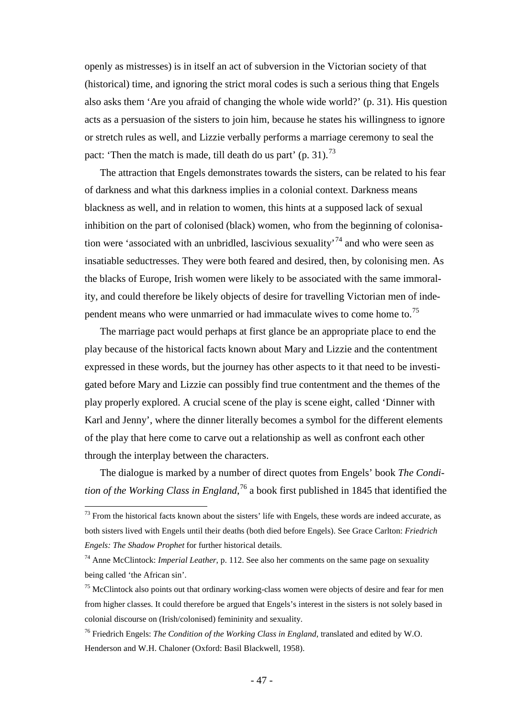openly as mistresses) is in itself an act of subversion in the Victorian society of that (historical) time, and ignoring the strict moral codes is such a serious thing that Engels also asks them 'Are you afraid of changing the whole wide world?' (p. 31). His question acts as a persuasion of the sisters to join him, because he states his willingness to ignore or stretch rules as well, and Lizzie verbally performs a marriage ceremony to seal the pact: 'Then the match is made, till death do us part' (p. 31).<sup>[73](#page-46-0)</sup>

The attraction that Engels demonstrates towards the sisters, can be related to his fear of darkness and what this darkness implies in a colonial context. Darkness means blackness as well, and in relation to women, this hints at a supposed lack of sexual inhibition on the part of colonised (black) women, who from the beginning of colonisa-tion were 'associated with an unbridled, lascivious sexuality<sup>[74](#page-46-1)</sup> and who were seen as insatiable seductresses. They were both feared and desired, then, by colonising men. As the blacks of Europe, Irish women were likely to be associated with the same immorality, and could therefore be likely objects of desire for travelling Victorian men of inde-pendent means who were unmarried or had immaculate wives to come home to.<sup>[75](#page-46-2)</sup>

The marriage pact would perhaps at first glance be an appropriate place to end the play because of the historical facts known about Mary and Lizzie and the contentment expressed in these words, but the journey has other aspects to it that need to be investigated before Mary and Lizzie can possibly find true contentment and the themes of the play properly explored. A crucial scene of the play is scene eight, called 'Dinner with Karl and Jenny', where the dinner literally becomes a symbol for the different elements of the play that here come to carve out a relationship as well as confront each other through the interplay between the characters.

The dialogue is marked by a number of direct quotes from Engels' book *The Condition of the Working Class in England*, [76](#page-46-3) a book first published in 1845 that identified the

<span id="page-46-0"></span> $73$  From the historical facts known about the sisters' life with Engels, these words are indeed accurate, as both sisters lived with Engels until their deaths (both died before Engels). See Grace Carlton: *Friedrich Engels: The Shadow Prophet* for further historical details.

<span id="page-46-1"></span><sup>74</sup> Anne McClintock: *Imperial Leather*, p. 112. See also her comments on the same page on sexuality being called 'the African sin'.

<span id="page-46-2"></span> $<sup>75</sup>$  McClintock also points out that ordinary working-class women were objects of desire and fear for men</sup> from higher classes. It could therefore be argued that Engels's interest in the sisters is not solely based in colonial discourse on (Irish/colonised) femininity and sexuality.

<span id="page-46-3"></span><sup>76</sup> Friedrich Engels: *The Condition of the Working Class in England*, translated and edited by W.O. Henderson and W.H. Chaloner (Oxford: Basil Blackwell, 1958).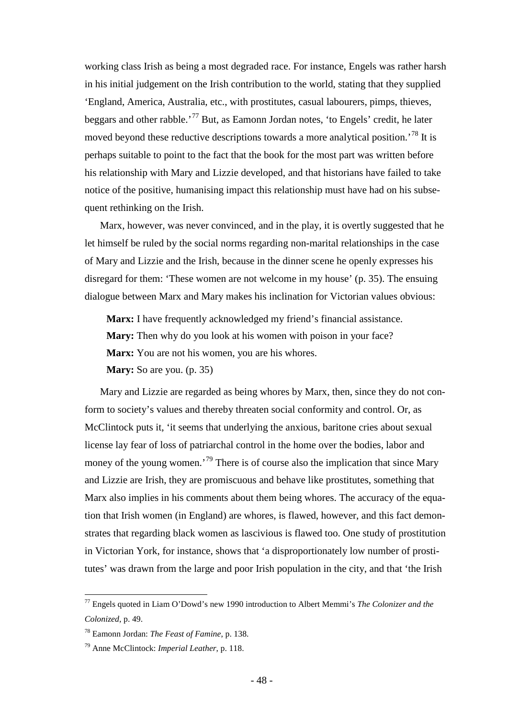working class Irish as being a most degraded race. For instance, Engels was rather harsh in his initial judgement on the Irish contribution to the world, stating that they supplied 'England, America, Australia, etc., with prostitutes, casual labourers, pimps, thieves, beggars and other rabble.'[77](#page-47-0) But, as Eamonn Jordan notes, 'to Engels' credit, he later moved beyond these reductive descriptions towards a more analytical position.<sup>[78](#page-47-1)</sup> It is perhaps suitable to point to the fact that the book for the most part was written before his relationship with Mary and Lizzie developed, and that historians have failed to take notice of the positive, humanising impact this relationship must have had on his subsequent rethinking on the Irish.

Marx, however, was never convinced, and in the play, it is overtly suggested that he let himself be ruled by the social norms regarding non-marital relationships in the case of Mary and Lizzie and the Irish, because in the dinner scene he openly expresses his disregard for them: 'These women are not welcome in my house' (p. 35). The ensuing dialogue between Marx and Mary makes his inclination for Victorian values obvious:

**Marx:** I have frequently acknowledged my friend's financial assistance. **Mary:** Then why do you look at his women with poison in your face? **Marx:** You are not his women, you are his whores. **Mary:** So are you. (p. 35)

Mary and Lizzie are regarded as being whores by Marx, then, since they do not conform to society's values and thereby threaten social conformity and control. Or, as McClintock puts it, 'it seems that underlying the anxious, baritone cries about sexual license lay fear of loss of patriarchal control in the home over the bodies, labor and money of the young women.<sup>[79](#page-47-2)</sup> There is of course also the implication that since Mary and Lizzie are Irish, they are promiscuous and behave like prostitutes, something that Marx also implies in his comments about them being whores. The accuracy of the equation that Irish women (in England) are whores, is flawed, however, and this fact demonstrates that regarding black women as lascivious is flawed too. One study of prostitution in Victorian York, for instance, shows that 'a disproportionately low number of prostitutes' was drawn from the large and poor Irish population in the city, and that 'the Irish

<span id="page-47-0"></span> <sup>77</sup> Engels quoted in Liam O'Dowd's new 1990 introduction to Albert Memmi's *The Colonizer and the Colonized*, p. 49.

<span id="page-47-1"></span><sup>78</sup> Eamonn Jordan: *The Feast of Famine*, p. 138.

<span id="page-47-2"></span><sup>79</sup> Anne McClintock: *Imperial Leather*, p. 118.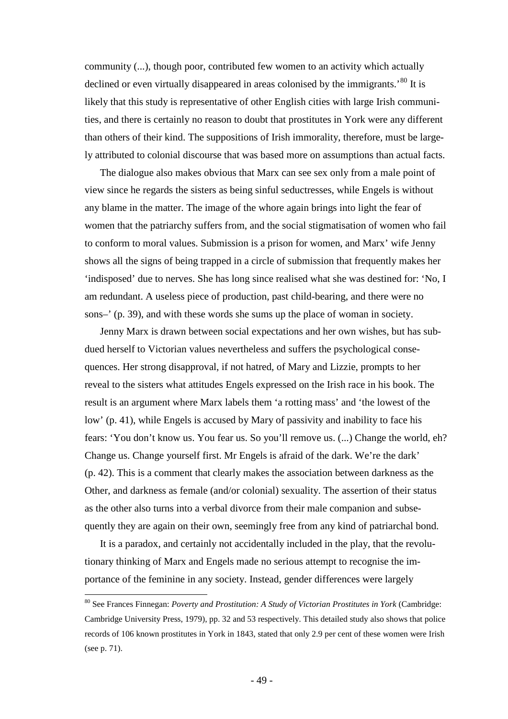community (...), though poor, contributed few women to an activity which actually declined or even virtually disappeared in areas colonised by the immigrants.<sup>[80](#page-48-0)</sup> It is likely that this study is representative of other English cities with large Irish communities, and there is certainly no reason to doubt that prostitutes in York were any different than others of their kind. The suppositions of Irish immorality, therefore, must be largely attributed to colonial discourse that was based more on assumptions than actual facts.

The dialogue also makes obvious that Marx can see sex only from a male point of view since he regards the sisters as being sinful seductresses, while Engels is without any blame in the matter. The image of the whore again brings into light the fear of women that the patriarchy suffers from, and the social stigmatisation of women who fail to conform to moral values. Submission is a prison for women, and Marx' wife Jenny shows all the signs of being trapped in a circle of submission that frequently makes her 'indisposed' due to nerves. She has long since realised what she was destined for: 'No, I am redundant. A useless piece of production, past child-bearing, and there were no sons–' (p. 39), and with these words she sums up the place of woman in society.

Jenny Marx is drawn between social expectations and her own wishes, but has subdued herself to Victorian values nevertheless and suffers the psychological consequences. Her strong disapproval, if not hatred, of Mary and Lizzie, prompts to her reveal to the sisters what attitudes Engels expressed on the Irish race in his book. The result is an argument where Marx labels them 'a rotting mass' and 'the lowest of the low' (p. 41), while Engels is accused by Mary of passivity and inability to face his fears: 'You don't know us. You fear us. So you'll remove us. (...) Change the world, eh? Change us. Change yourself first. Mr Engels is afraid of the dark. We're the dark' (p. 42). This is a comment that clearly makes the association between darkness as the Other, and darkness as female (and/or colonial) sexuality. The assertion of their status as the other also turns into a verbal divorce from their male companion and subsequently they are again on their own, seemingly free from any kind of patriarchal bond.

It is a paradox, and certainly not accidentally included in the play, that the revolutionary thinking of Marx and Engels made no serious attempt to recognise the importance of the feminine in any society. Instead, gender differences were largely

<span id="page-48-0"></span> <sup>80</sup> See Frances Finnegan: *Poverty and Prostitution: A Study of Victorian Prostitutes in York* (Cambridge: Cambridge University Press, 1979), pp. 32 and 53 respectively. This detailed study also shows that police records of 106 known prostitutes in York in 1843, stated that only 2.9 per cent of these women were Irish (see p. 71).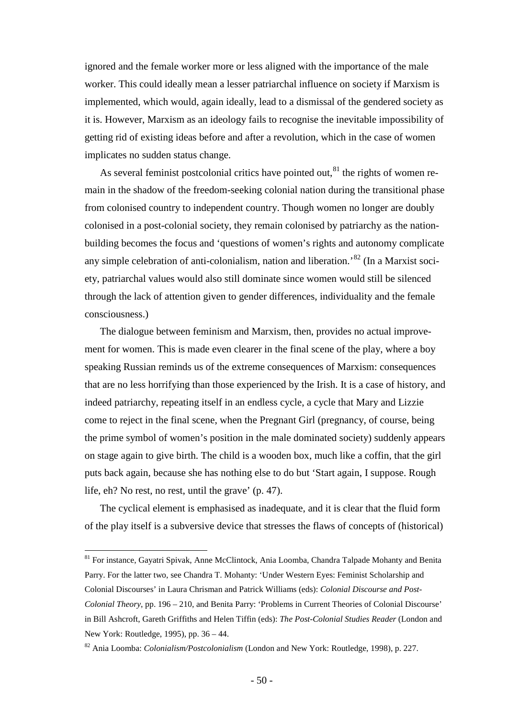ignored and the female worker more or less aligned with the importance of the male worker. This could ideally mean a lesser patriarchal influence on society if Marxism is implemented, which would, again ideally, lead to a dismissal of the gendered society as it is. However, Marxism as an ideology fails to recognise the inevitable impossibility of getting rid of existing ideas before and after a revolution, which in the case of women implicates no sudden status change.

As several feminist postcolonial critics have pointed out, $81$  the rights of women remain in the shadow of the freedom-seeking colonial nation during the transitional phase from colonised country to independent country. Though women no longer are doubly colonised in a post-colonial society, they remain colonised by patriarchy as the nationbuilding becomes the focus and 'questions of women's rights and autonomy complicate any simple celebration of anti-colonialism, nation and liberation.'[82](#page-49-1) (In a Marxist society, patriarchal values would also still dominate since women would still be silenced through the lack of attention given to gender differences, individuality and the female consciousness.)

The dialogue between feminism and Marxism, then, provides no actual improvement for women. This is made even clearer in the final scene of the play, where a boy speaking Russian reminds us of the extreme consequences of Marxism: consequences that are no less horrifying than those experienced by the Irish. It is a case of history, and indeed patriarchy, repeating itself in an endless cycle, a cycle that Mary and Lizzie come to reject in the final scene, when the Pregnant Girl (pregnancy, of course, being the prime symbol of women's position in the male dominated society) suddenly appears on stage again to give birth. The child is a wooden box, much like a coffin, that the girl puts back again, because she has nothing else to do but 'Start again, I suppose. Rough life, eh? No rest, no rest, until the grave' (p. 47).

The cyclical element is emphasised as inadequate, and it is clear that the fluid form of the play itself is a subversive device that stresses the flaws of concepts of (historical)

<span id="page-49-0"></span><sup>81</sup> For instance, Gayatri Spivak, Anne McClintock, Ania Loomba, Chandra Talpade Mohanty and Benita Parry. For the latter two, see Chandra T. Mohanty: 'Under Western Eyes: Feminist Scholarship and Colonial Discourses' in Laura Chrisman and Patrick Williams (eds): *Colonial Discourse and Post-Colonial Theory*, pp. 196 – 210, and Benita Parry: 'Problems in Current Theories of Colonial Discourse' in Bill Ashcroft, Gareth Griffiths and Helen Tiffin (eds): *The Post-Colonial Studies Reader* (London and New York: Routledge, 1995), pp. 36 – 44.

<span id="page-49-1"></span><sup>82</sup> Ania Loomba: *Colonialism/Postcolonialism* (London and New York: Routledge, 1998), p. 227.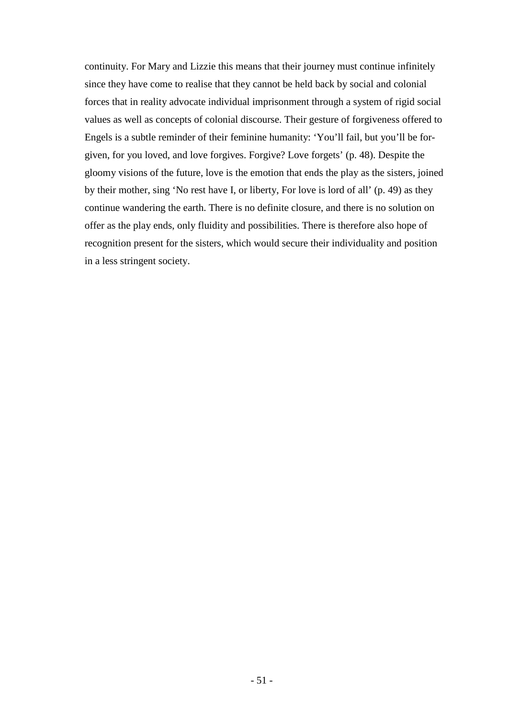continuity. For Mary and Lizzie this means that their journey must continue infinitely since they have come to realise that they cannot be held back by social and colonial forces that in reality advocate individual imprisonment through a system of rigid social values as well as concepts of colonial discourse. Their gesture of forgiveness offered to Engels is a subtle reminder of their feminine humanity: 'You'll fail, but you'll be forgiven, for you loved, and love forgives. Forgive? Love forgets' (p. 48). Despite the gloomy visions of the future, love is the emotion that ends the play as the sisters, joined by their mother, sing 'No rest have I, or liberty, For love is lord of all' (p. 49) as they continue wandering the earth. There is no definite closure, and there is no solution on offer as the play ends, only fluidity and possibilities. There is therefore also hope of recognition present for the sisters, which would secure their individuality and position in a less stringent society.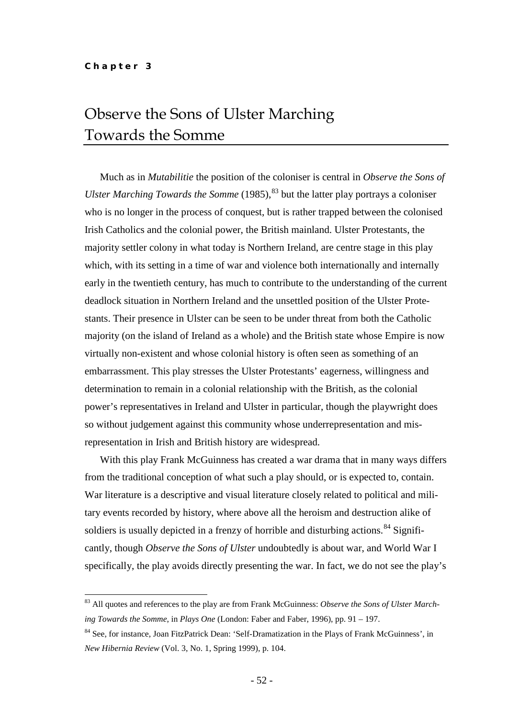## Observe the Sons of Ulster Marching Towards the Somme

Much as in *Mutabilitie* the position of the coloniser is central in *Observe the Sons of Ulster Marching Towards the Somme* (1985),<sup>[83](#page-51-0)</sup> but the latter play portrays a coloniser who is no longer in the process of conquest, but is rather trapped between the colonised Irish Catholics and the colonial power, the British mainland. Ulster Protestants, the majority settler colony in what today is Northern Ireland, are centre stage in this play which, with its setting in a time of war and violence both internationally and internally early in the twentieth century, has much to contribute to the understanding of the current deadlock situation in Northern Ireland and the unsettled position of the Ulster Protestants. Their presence in Ulster can be seen to be under threat from both the Catholic majority (on the island of Ireland as a whole) and the British state whose Empire is now virtually non-existent and whose colonial history is often seen as something of an embarrassment. This play stresses the Ulster Protestants' eagerness, willingness and determination to remain in a colonial relationship with the British, as the colonial power's representatives in Ireland and Ulster in particular, though the playwright does so without judgement against this community whose underrepresentation and misrepresentation in Irish and British history are widespread.

With this play Frank McGuinness has created a war drama that in many ways differs from the traditional conception of what such a play should, or is expected to, contain. War literature is a descriptive and visual literature closely related to political and military events recorded by history, where above all the heroism and destruction alike of soldiers is usually depicted in a frenzy of horrible and disturbing actions.<sup>[84](#page-51-1)</sup> Significantly, though *Observe the Sons of Ulster* undoubtedly is about war, and World War I specifically, the play avoids directly presenting the war. In fact, we do not see the play's

<span id="page-51-0"></span> <sup>83</sup> All quotes and references to the play are from Frank McGuinness: *Observe the Sons of Ulster Marching Towards the Somme*, in *Plays One* (London: Faber and Faber, 1996), pp. 91 – 197.

<span id="page-51-1"></span><sup>84</sup> See, for instance, Joan FitzPatrick Dean: 'Self-Dramatization in the Plays of Frank McGuinness', in *New Hibernia Review* (Vol. 3, No. 1, Spring 1999), p. 104.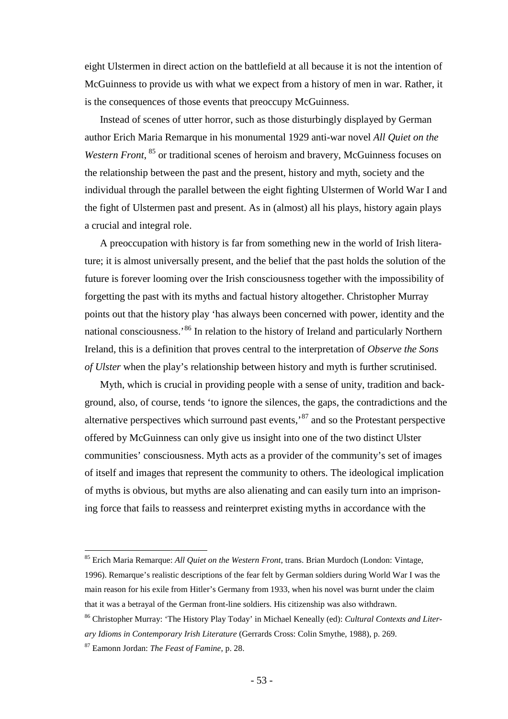eight Ulstermen in direct action on the battlefield at all because it is not the intention of McGuinness to provide us with what we expect from a history of men in war. Rather, it is the consequences of those events that preoccupy McGuinness.

Instead of scenes of utter horror, such as those disturbingly displayed by German author Erich Maria Remarque in his monumental 1929 anti-war novel *All Quiet on the*  Western Front, <sup>[85](#page-52-0)</sup> or traditional scenes of heroism and bravery, McGuinness focuses on the relationship between the past and the present, history and myth, society and the individual through the parallel between the eight fighting Ulstermen of World War I and the fight of Ulstermen past and present. As in (almost) all his plays, history again plays a crucial and integral role.

A preoccupation with history is far from something new in the world of Irish literature; it is almost universally present, and the belief that the past holds the solution of the future is forever looming over the Irish consciousness together with the impossibility of forgetting the past with its myths and factual history altogether. Christopher Murray points out that the history play 'has always been concerned with power, identity and the national consciousness.<sup>[86](#page-52-1)</sup> In relation to the history of Ireland and particularly Northern Ireland, this is a definition that proves central to the interpretation of *Observe the Sons of Ulster* when the play's relationship between history and myth is further scrutinised.

Myth, which is crucial in providing people with a sense of unity, tradition and background, also, of course, tends 'to ignore the silences, the gaps, the contradictions and the alternative perspectives which surround past events,'[87](#page-52-2) and so the Protestant perspective offered by McGuinness can only give us insight into one of the two distinct Ulster communities' consciousness. Myth acts as a provider of the community's set of images of itself and images that represent the community to others. The ideological implication of myths is obvious, but myths are also alienating and can easily turn into an imprisoning force that fails to reassess and reinterpret existing myths in accordance with the

<span id="page-52-0"></span> <sup>85</sup> Erich Maria Remarque: *All Quiet on the Western Front*, trans. Brian Murdoch (London: Vintage, 1996). Remarque's realistic descriptions of the fear felt by German soldiers during World War I was the main reason for his exile from Hitler's Germany from 1933, when his novel was burnt under the claim that it was a betrayal of the German front-line soldiers. His citizenship was also withdrawn.

<span id="page-52-1"></span><sup>86</sup> Christopher Murray: 'The History Play Today' in Michael Keneally (ed): *Cultural Contexts and Literary Idioms in Contemporary Irish Literature* (Gerrards Cross: Colin Smythe, 1988), p. 269.

<span id="page-52-2"></span><sup>87</sup> Eamonn Jordan: *The Feast of Famine*, p. 28.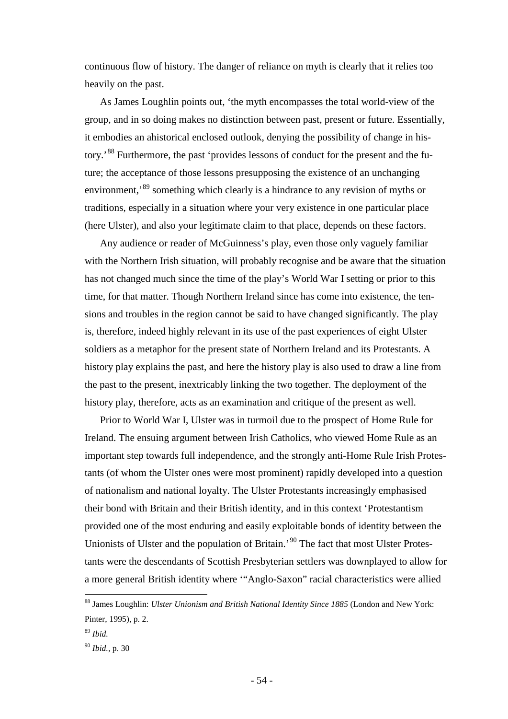continuous flow of history. The danger of reliance on myth is clearly that it relies too heavily on the past.

As James Loughlin points out, 'the myth encompasses the total world-view of the group, and in so doing makes no distinction between past, present or future. Essentially, it embodies an ahistorical enclosed outlook, denying the possibility of change in his-tory.<sup>[88](#page-53-0)</sup> Furthermore, the past 'provides lessons of conduct for the present and the future; the acceptance of those lessons presupposing the existence of an unchanging environment,<sup>[89](#page-53-1)</sup> something which clearly is a hindrance to any revision of myths or traditions, especially in a situation where your very existence in one particular place (here Ulster), and also your legitimate claim to that place, depends on these factors.

Any audience or reader of McGuinness's play, even those only vaguely familiar with the Northern Irish situation, will probably recognise and be aware that the situation has not changed much since the time of the play's World War I setting or prior to this time, for that matter. Though Northern Ireland since has come into existence, the tensions and troubles in the region cannot be said to have changed significantly. The play is, therefore, indeed highly relevant in its use of the past experiences of eight Ulster soldiers as a metaphor for the present state of Northern Ireland and its Protestants. A history play explains the past, and here the history play is also used to draw a line from the past to the present, inextricably linking the two together. The deployment of the history play, therefore, acts as an examination and critique of the present as well.

Prior to World War I, Ulster was in turmoil due to the prospect of Home Rule for Ireland. The ensuing argument between Irish Catholics, who viewed Home Rule as an important step towards full independence, and the strongly anti-Home Rule Irish Protestants (of whom the Ulster ones were most prominent) rapidly developed into a question of nationalism and national loyalty. The Ulster Protestants increasingly emphasised their bond with Britain and their British identity, and in this context 'Protestantism provided one of the most enduring and easily exploitable bonds of identity between the Unionists of Ulster and the population of Britain.<sup>[90](#page-53-2)</sup> The fact that most Ulster Protestants were the descendants of Scottish Presbyterian settlers was downplayed to allow for a more general British identity where '"Anglo-Saxon" racial characteristics were allied

<span id="page-53-0"></span> <sup>88</sup> James Loughlin: *Ulster Unionism and British National Identity Since 1885* (London and New York: Pinter, 1995), p. 2.

<span id="page-53-1"></span><sup>89</sup> *Ibid.*

<span id="page-53-2"></span><sup>90</sup> *Ibid.,* p. 30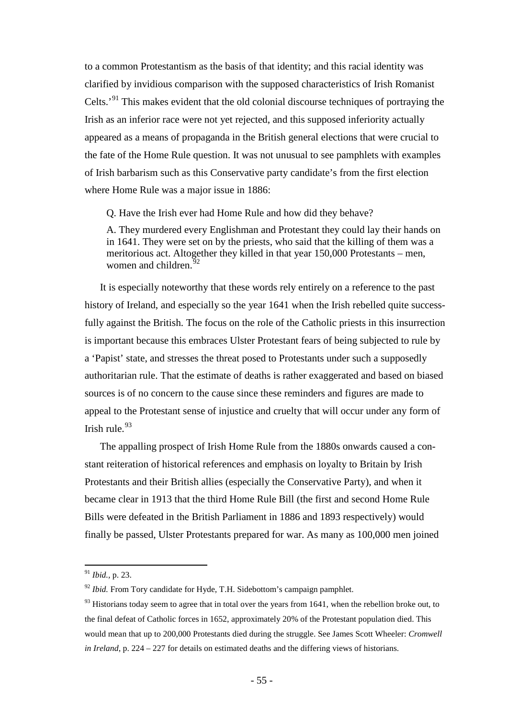to a common Protestantism as the basis of that identity; and this racial identity was clarified by invidious comparison with the supposed characteristics of Irish Romanist Celts.'[91](#page-54-0) This makes evident that the old colonial discourse techniques of portraying the Irish as an inferior race were not yet rejected, and this supposed inferiority actually appeared as a means of propaganda in the British general elections that were crucial to the fate of the Home Rule question. It was not unusual to see pamphlets with examples of Irish barbarism such as this Conservative party candidate's from the first election where Home Rule was a major issue in 1886:

Q. Have the Irish ever had Home Rule and how did they behave?

A. They murdered every Englishman and Protestant they could lay their hands on in 1641. They were set on by the priests, who said that the killing of them was a meritorious act. Altogether they killed in that year 150,000 Protestants – men, women and children. $92$ 

It is especially noteworthy that these words rely entirely on a reference to the past history of Ireland, and especially so the year 1641 when the Irish rebelled quite successfully against the British. The focus on the role of the Catholic priests in this insurrection is important because this embraces Ulster Protestant fears of being subjected to rule by a 'Papist' state, and stresses the threat posed to Protestants under such a supposedly authoritarian rule. That the estimate of deaths is rather exaggerated and based on biased sources is of no concern to the cause since these reminders and figures are made to appeal to the Protestant sense of injustice and cruelty that will occur under any form of Irish rule. $93$ 

The appalling prospect of Irish Home Rule from the 1880s onwards caused a constant reiteration of historical references and emphasis on loyalty to Britain by Irish Protestants and their British allies (especially the Conservative Party), and when it became clear in 1913 that the third Home Rule Bill (the first and second Home Rule Bills were defeated in the British Parliament in 1886 and 1893 respectively) would finally be passed, Ulster Protestants prepared for war. As many as 100,000 men joined

<span id="page-54-0"></span> <sup>91</sup> *Ibid.,* p. 23.

<span id="page-54-1"></span><sup>&</sup>lt;sup>92</sup> *Ibid.* From Tory candidate for Hyde, T.H. Sidebottom's campaign pamphlet.

<span id="page-54-2"></span> $93$  Historians today seem to agree that in total over the years from 1641, when the rebellion broke out, to the final defeat of Catholic forces in 1652, approximately 20% of the Protestant population died. This would mean that up to 200,000 Protestants died during the struggle. See James Scott Wheeler: *Cromwell in Ireland*, p. 224 – 227 for details on estimated deaths and the differing views of historians.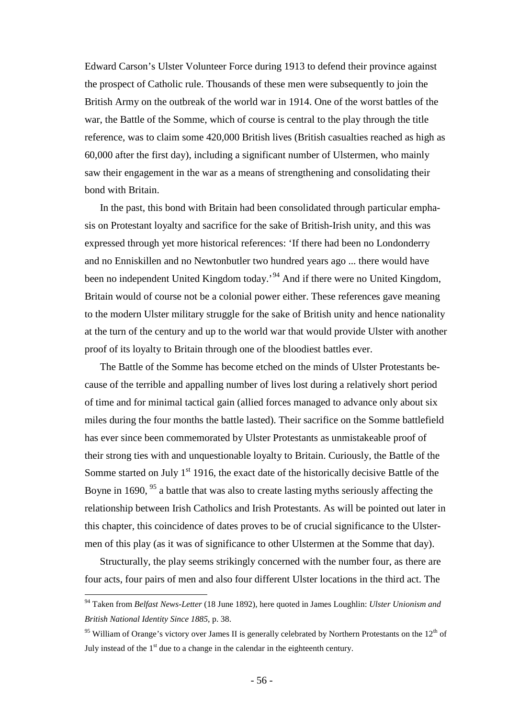Edward Carson's Ulster Volunteer Force during 1913 to defend their province against the prospect of Catholic rule. Thousands of these men were subsequently to join the British Army on the outbreak of the world war in 1914. One of the worst battles of the war, the Battle of the Somme, which of course is central to the play through the title reference, was to claim some 420,000 British lives (British casualties reached as high as 60,000 after the first day), including a significant number of Ulstermen, who mainly saw their engagement in the war as a means of strengthening and consolidating their bond with Britain.

In the past, this bond with Britain had been consolidated through particular emphasis on Protestant loyalty and sacrifice for the sake of British-Irish unity, and this was expressed through yet more historical references: 'If there had been no Londonderry and no Enniskillen and no Newtonbutler two hundred years ago ... there would have been no independent United Kingdom today.<sup>[94](#page-55-0)</sup> And if there were no United Kingdom, Britain would of course not be a colonial power either. These references gave meaning to the modern Ulster military struggle for the sake of British unity and hence nationality at the turn of the century and up to the world war that would provide Ulster with another proof of its loyalty to Britain through one of the bloodiest battles ever.

The Battle of the Somme has become etched on the minds of Ulster Protestants because of the terrible and appalling number of lives lost during a relatively short period of time and for minimal tactical gain (allied forces managed to advance only about six miles during the four months the battle lasted). Their sacrifice on the Somme battlefield has ever since been commemorated by Ulster Protestants as unmistakeable proof of their strong ties with and unquestionable loyalty to Britain. Curiously, the Battle of the Somme started on July  $1<sup>st</sup>$  1916, the exact date of the historically decisive Battle of the Boyne in 1690,  $95$  a battle that was also to create lasting myths seriously affecting the relationship between Irish Catholics and Irish Protestants. As will be pointed out later in this chapter, this coincidence of dates proves to be of crucial significance to the Ulstermen of this play (as it was of significance to other Ulstermen at the Somme that day).

Structurally, the play seems strikingly concerned with the number four, as there are four acts, four pairs of men and also four different Ulster locations in the third act. The

<span id="page-55-0"></span> <sup>94</sup> Taken from *Belfast News-Letter* (18 June 1892), here quoted in James Loughlin: *Ulster Unionism and British National Identity Since 1885*, p. 38.

<span id="page-55-1"></span><sup>&</sup>lt;sup>95</sup> William of Orange's victory over James II is generally celebrated by Northern Protestants on the 12<sup>th</sup> of July instead of the  $1<sup>st</sup>$  due to a change in the calendar in the eighteenth century.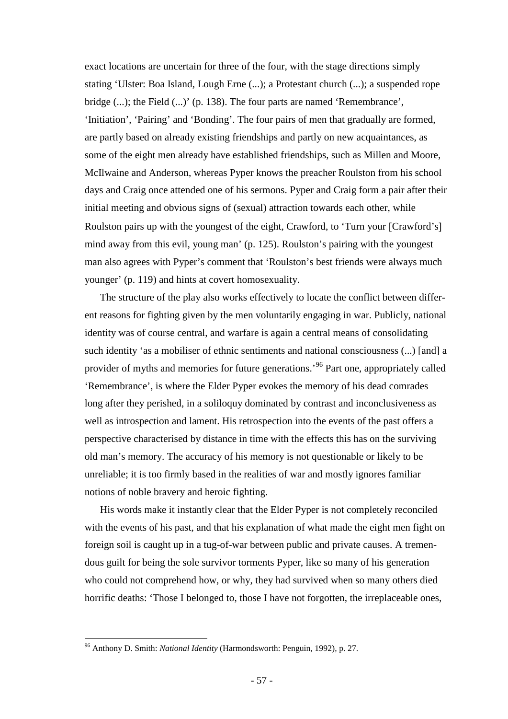exact locations are uncertain for three of the four, with the stage directions simply stating 'Ulster: Boa Island, Lough Erne (...); a Protestant church (...); a suspended rope bridge (...); the Field (...)' (p. 138). The four parts are named 'Remembrance', 'Initiation', 'Pairing' and 'Bonding'. The four pairs of men that gradually are formed, are partly based on already existing friendships and partly on new acquaintances, as some of the eight men already have established friendships, such as Millen and Moore, McIlwaine and Anderson, whereas Pyper knows the preacher Roulston from his school days and Craig once attended one of his sermons. Pyper and Craig form a pair after their initial meeting and obvious signs of (sexual) attraction towards each other, while Roulston pairs up with the youngest of the eight, Crawford, to 'Turn your [Crawford's] mind away from this evil, young man' (p. 125). Roulston's pairing with the youngest man also agrees with Pyper's comment that 'Roulston's best friends were always much younger' (p. 119) and hints at covert homosexuality.

The structure of the play also works effectively to locate the conflict between different reasons for fighting given by the men voluntarily engaging in war. Publicly, national identity was of course central, and warfare is again a central means of consolidating such identity 'as a mobiliser of ethnic sentiments and national consciousness (...) [and] a provider of myths and memories for future generations.'[96](#page-56-0) Part one, appropriately called 'Remembrance', is where the Elder Pyper evokes the memory of his dead comrades long after they perished, in a soliloquy dominated by contrast and inconclusiveness as well as introspection and lament. His retrospection into the events of the past offers a perspective characterised by distance in time with the effects this has on the surviving old man's memory. The accuracy of his memory is not questionable or likely to be unreliable; it is too firmly based in the realities of war and mostly ignores familiar notions of noble bravery and heroic fighting.

His words make it instantly clear that the Elder Pyper is not completely reconciled with the events of his past, and that his explanation of what made the eight men fight on foreign soil is caught up in a tug-of-war between public and private causes. A tremendous guilt for being the sole survivor torments Pyper, like so many of his generation who could not comprehend how, or why, they had survived when so many others died horrific deaths: 'Those I belonged to, those I have not forgotten, the irreplaceable ones,

<span id="page-56-0"></span> <sup>96</sup> Anthony D. Smith: *National Identity* (Harmondsworth: Penguin, 1992), p. 27.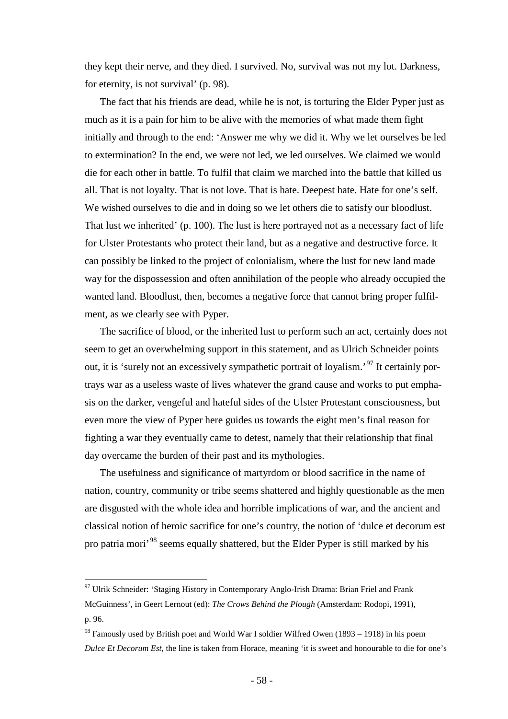they kept their nerve, and they died. I survived. No, survival was not my lot. Darkness, for eternity, is not survival' (p. 98).

The fact that his friends are dead, while he is not, is torturing the Elder Pyper just as much as it is a pain for him to be alive with the memories of what made them fight initially and through to the end: 'Answer me why we did it. Why we let ourselves be led to extermination? In the end, we were not led, we led ourselves. We claimed we would die for each other in battle. To fulfil that claim we marched into the battle that killed us all. That is not loyalty. That is not love. That is hate. Deepest hate. Hate for one's self. We wished ourselves to die and in doing so we let others die to satisfy our bloodlust. That lust we inherited' (p. 100). The lust is here portrayed not as a necessary fact of life for Ulster Protestants who protect their land, but as a negative and destructive force. It can possibly be linked to the project of colonialism, where the lust for new land made way for the dispossession and often annihilation of the people who already occupied the wanted land. Bloodlust, then, becomes a negative force that cannot bring proper fulfilment, as we clearly see with Pyper.

The sacrifice of blood, or the inherited lust to perform such an act, certainly does not seem to get an overwhelming support in this statement, and as Ulrich Schneider points out, it is 'surely not an excessively sympathetic portrait of loyalism.<sup>[97](#page-57-0)</sup> It certainly portrays war as a useless waste of lives whatever the grand cause and works to put emphasis on the darker, vengeful and hateful sides of the Ulster Protestant consciousness, but even more the view of Pyper here guides us towards the eight men's final reason for fighting a war they eventually came to detest, namely that their relationship that final day overcame the burden of their past and its mythologies.

The usefulness and significance of martyrdom or blood sacrifice in the name of nation, country, community or tribe seems shattered and highly questionable as the men are disgusted with the whole idea and horrible implications of war, and the ancient and classical notion of heroic sacrifice for one's country, the notion of 'dulce et decorum est pro patria mori'[98](#page-57-1) seems equally shattered, but the Elder Pyper is still marked by his

<span id="page-57-0"></span> $97$  Ulrik Schneider: 'Staging History in Contemporary Anglo-Irish Drama: Brian Friel and Frank McGuinness', in Geert Lernout (ed): *The Crows Behind the Plough* (Amsterdam: Rodopi, 1991), p. 96.

<span id="page-57-1"></span> $98$  Famously used by British poet and World War I soldier Wilfred Owen (1893 – 1918) in his poem *Dulce Et Decorum Est*, the line is taken from Horace, meaning 'it is sweet and honourable to die for one's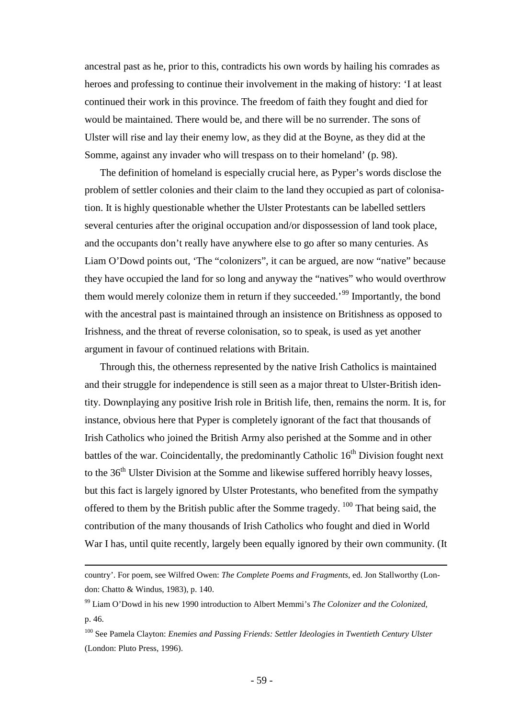ancestral past as he, prior to this, contradicts his own words by hailing his comrades as heroes and professing to continue their involvement in the making of history: 'I at least continued their work in this province. The freedom of faith they fought and died for would be maintained. There would be, and there will be no surrender. The sons of Ulster will rise and lay their enemy low, as they did at the Boyne, as they did at the Somme, against any invader who will trespass on to their homeland' (p. 98).

The definition of homeland is especially crucial here, as Pyper's words disclose the problem of settler colonies and their claim to the land they occupied as part of colonisation. It is highly questionable whether the Ulster Protestants can be labelled settlers several centuries after the original occupation and/or dispossession of land took place, and the occupants don't really have anywhere else to go after so many centuries. As Liam O'Dowd points out, 'The "colonizers", it can be argued, are now "native" because they have occupied the land for so long and anyway the "natives" who would overthrow them would merely colonize them in return if they succeeded.<sup>[99](#page-58-0)</sup> Importantly, the bond with the ancestral past is maintained through an insistence on Britishness as opposed to Irishness, and the threat of reverse colonisation, so to speak, is used as yet another argument in favour of continued relations with Britain.

Through this, the otherness represented by the native Irish Catholics is maintained and their struggle for independence is still seen as a major threat to Ulster-British identity. Downplaying any positive Irish role in British life, then, remains the norm. It is, for instance, obvious here that Pyper is completely ignorant of the fact that thousands of Irish Catholics who joined the British Army also perished at the Somme and in other battles of the war. Coincidentally, the predominantly Catholic  $16<sup>th</sup>$  Division fought next to the 36<sup>th</sup> Ulster Division at the Somme and likewise suffered horribly heavy losses, but this fact is largely ignored by Ulster Protestants, who benefited from the sympathy offered to them by the British public after the Somme tragedy.  $100$  That being said, the contribution of the many thousands of Irish Catholics who fought and died in World War I has, until quite recently, largely been equally ignored by their own community. (It

 $\overline{a}$ 

country'. For poem, see Wilfred Owen: *The Complete Poems and Fragments*, ed. Jon Stallworthy (London: Chatto & Windus, 1983), p. 140.

<span id="page-58-0"></span><sup>99</sup> Liam O'Dowd in his new 1990 introduction to Albert Memmi's *The Colonizer and the Colonized*, p. 46.

<span id="page-58-1"></span><sup>100</sup> See Pamela Clayton: *Enemies and Passing Friends: Settler Ideologies in Twentieth Century Ulster* (London: Pluto Press, 1996).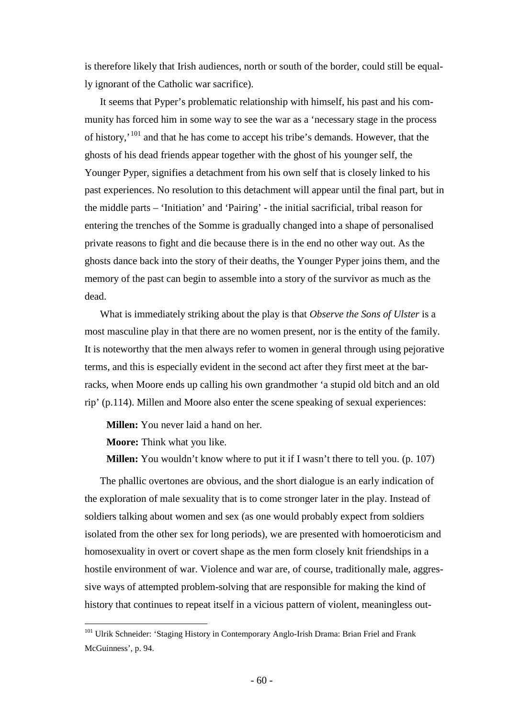is therefore likely that Irish audiences, north or south of the border, could still be equally ignorant of the Catholic war sacrifice).

It seems that Pyper's problematic relationship with himself, his past and his community has forced him in some way to see the war as a 'necessary stage in the process of history,'[101](#page-59-0) and that he has come to accept his tribe's demands. However, that the ghosts of his dead friends appear together with the ghost of his younger self, the Younger Pyper, signifies a detachment from his own self that is closely linked to his past experiences. No resolution to this detachment will appear until the final part, but in the middle parts – 'Initiation' and 'Pairing' - the initial sacrificial, tribal reason for entering the trenches of the Somme is gradually changed into a shape of personalised private reasons to fight and die because there is in the end no other way out. As the ghosts dance back into the story of their deaths, the Younger Pyper joins them, and the memory of the past can begin to assemble into a story of the survivor as much as the dead.

What is immediately striking about the play is that *Observe the Sons of Ulster* is a most masculine play in that there are no women present, nor is the entity of the family. It is noteworthy that the men always refer to women in general through using pejorative terms, and this is especially evident in the second act after they first meet at the barracks, when Moore ends up calling his own grandmother 'a stupid old bitch and an old rip' (p.114). Millen and Moore also enter the scene speaking of sexual experiences:

**Millen:** You never laid a hand on her.

**Moore:** Think what you like.

**Millen:** You wouldn't know where to put it if I wasn't there to tell you. (p. 107)

The phallic overtones are obvious, and the short dialogue is an early indication of the exploration of male sexuality that is to come stronger later in the play. Instead of soldiers talking about women and sex (as one would probably expect from soldiers isolated from the other sex for long periods), we are presented with homoeroticism and homosexuality in overt or covert shape as the men form closely knit friendships in a hostile environment of war. Violence and war are, of course, traditionally male, aggressive ways of attempted problem-solving that are responsible for making the kind of history that continues to repeat itself in a vicious pattern of violent, meaningless out-

<span id="page-59-0"></span><sup>&</sup>lt;sup>101</sup> Ulrik Schneider: 'Staging History in Contemporary Anglo-Irish Drama: Brian Friel and Frank McGuinness', p. 94.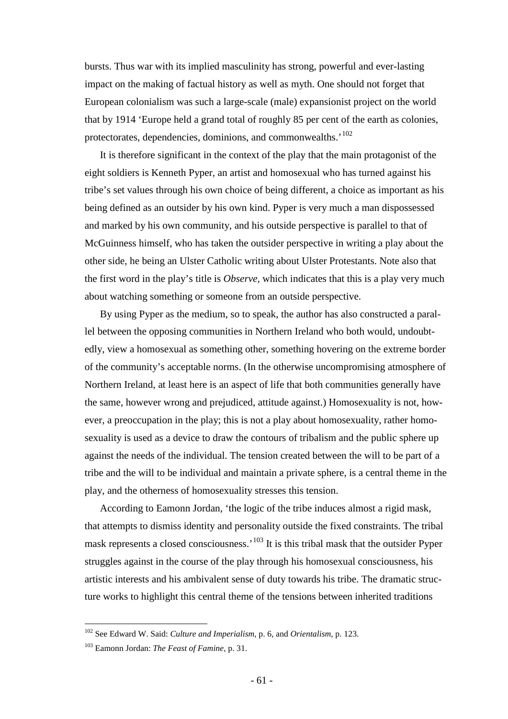bursts. Thus war with its implied masculinity has strong, powerful and ever-lasting impact on the making of factual history as well as myth. One should not forget that European colonialism was such a large-scale (male) expansionist project on the world that by 1914 'Europe held a grand total of roughly 85 per cent of the earth as colonies, protectorates, dependencies, dominions, and commonwealths.'<sup>[102](#page-60-0)</sup>

It is therefore significant in the context of the play that the main protagonist of the eight soldiers is Kenneth Pyper, an artist and homosexual who has turned against his tribe's set values through his own choice of being different, a choice as important as his being defined as an outsider by his own kind. Pyper is very much a man dispossessed and marked by his own community, and his outside perspective is parallel to that of McGuinness himself, who has taken the outsider perspective in writing a play about the other side, he being an Ulster Catholic writing about Ulster Protestants. Note also that the first word in the play's title is *Observe,* which indicates that this is a play very much about watching something or someone from an outside perspective.

By using Pyper as the medium, so to speak, the author has also constructed a parallel between the opposing communities in Northern Ireland who both would, undoubtedly, view a homosexual as something other, something hovering on the extreme border of the community's acceptable norms. (In the otherwise uncompromising atmosphere of Northern Ireland, at least here is an aspect of life that both communities generally have the same, however wrong and prejudiced, attitude against.) Homosexuality is not, however, a preoccupation in the play; this is not a play about homosexuality, rather homosexuality is used as a device to draw the contours of tribalism and the public sphere up against the needs of the individual. The tension created between the will to be part of a tribe and the will to be individual and maintain a private sphere, is a central theme in the play, and the otherness of homosexuality stresses this tension.

According to Eamonn Jordan, 'the logic of the tribe induces almost a rigid mask, that attempts to dismiss identity and personality outside the fixed constraints. The tribal mask represents a closed consciousness.<sup>'[103](#page-60-1)</sup> It is this tribal mask that the outsider Pyper struggles against in the course of the play through his homosexual consciousness, his artistic interests and his ambivalent sense of duty towards his tribe. The dramatic structure works to highlight this central theme of the tensions between inherited traditions

<span id="page-60-0"></span> <sup>102</sup> See Edward W. Said: *Culture and Imperialism*, p. 6, and *Orientalism*, p. 123.

<span id="page-60-1"></span><sup>103</sup> Eamonn Jordan: *The Feast of Famine*, p. 31.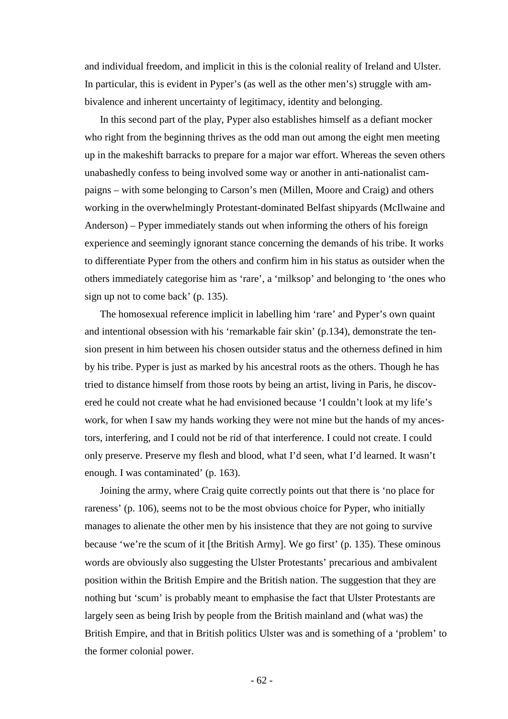and individual freedom, and implicit in this is the colonial reality of Ireland and Ulster. In particular, this is evident in Pyper's (as well as the other men's) struggle with ambivalence and inherent uncertainty of legitimacy, identity and belonging.

In this second part of the play, Pyper also establishes himself as a defiant mocker who right from the beginning thrives as the odd man out among the eight men meeting up in the makeshift barracks to prepare for a major war effort. Whereas the seven others unabashedly confess to being involved some way or another in anti-nationalist campaigns – with some belonging to Carson's men (Millen, Moore and Craig) and others working in the overwhelmingly Protestant-dominated Belfast shipyards (McIlwaine and Anderson) – Pyper immediately stands out when informing the others of his foreign experience and seemingly ignorant stance concerning the demands of his tribe. It works to differentiate Pyper from the others and confirm him in his status as outsider when the others immediately categorise him as 'rare', a 'milksop' and belonging to 'the ones who sign up not to come back' (p. 135).

The homosexual reference implicit in labelling him 'rare' and Pyper's own quaint and intentional obsession with his 'remarkable fair skin' (p.134), demonstrate the tension present in him between his chosen outsider status and the otherness defined in him by his tribe. Pyper is just as marked by his ancestral roots as the others. Though he has tried to distance himself from those roots by being an artist, living in Paris, he discovered he could not create what he had envisioned because 'I couldn't look at my life's work, for when I saw my hands working they were not mine but the hands of my ancestors, interfering, and I could not be rid of that interference. I could not create. I could only preserve. Preserve my flesh and blood, what I'd seen, what I'd learned. It wasn't enough. I was contaminated' (p. 163).

Joining the army, where Craig quite correctly points out that there is 'no place for rareness' (p. 106), seems not to be the most obvious choice for Pyper, who initially manages to alienate the other men by his insistence that they are not going to survive because 'we're the scum of it [the British Army]. We go first' (p. 135). These ominous words are obviously also suggesting the Ulster Protestants' precarious and ambivalent position within the British Empire and the British nation. The suggestion that they are nothing but 'scum' is probably meant to emphasise the fact that Ulster Protestants are largely seen as being Irish by people from the British mainland and (what was) the British Empire, and that in British politics Ulster was and is something of a 'problem' to the former colonial power.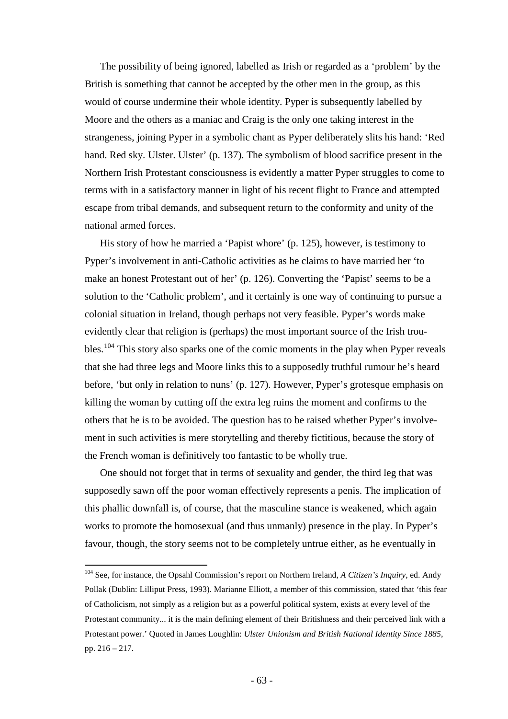The possibility of being ignored, labelled as Irish or regarded as a 'problem' by the British is something that cannot be accepted by the other men in the group, as this would of course undermine their whole identity. Pyper is subsequently labelled by Moore and the others as a maniac and Craig is the only one taking interest in the strangeness, joining Pyper in a symbolic chant as Pyper deliberately slits his hand: 'Red hand. Red sky. Ulster. Ulster' (p. 137). The symbolism of blood sacrifice present in the Northern Irish Protestant consciousness is evidently a matter Pyper struggles to come to terms with in a satisfactory manner in light of his recent flight to France and attempted escape from tribal demands, and subsequent return to the conformity and unity of the national armed forces.

His story of how he married a 'Papist whore' (p. 125), however, is testimony to Pyper's involvement in anti-Catholic activities as he claims to have married her 'to make an honest Protestant out of her' (p. 126). Converting the 'Papist' seems to be a solution to the 'Catholic problem', and it certainly is one way of continuing to pursue a colonial situation in Ireland, though perhaps not very feasible. Pyper's words make evidently clear that religion is (perhaps) the most important source of the Irish trou-bles.<sup>[104](#page-62-0)</sup> This story also sparks one of the comic moments in the play when Pyper reveals that she had three legs and Moore links this to a supposedly truthful rumour he's heard before, 'but only in relation to nuns' (p. 127). However, Pyper's grotesque emphasis on killing the woman by cutting off the extra leg ruins the moment and confirms to the others that he is to be avoided. The question has to be raised whether Pyper's involvement in such activities is mere storytelling and thereby fictitious, because the story of the French woman is definitively too fantastic to be wholly true.

One should not forget that in terms of sexuality and gender, the third leg that was supposedly sawn off the poor woman effectively represents a penis. The implication of this phallic downfall is, of course, that the masculine stance is weakened, which again works to promote the homosexual (and thus unmanly) presence in the play. In Pyper's favour, though, the story seems not to be completely untrue either, as he eventually in

<span id="page-62-0"></span> <sup>104</sup> See, for instance, the Opsahl Commission's report on Northern Ireland, *A Citizen's Inquiry*, ed. Andy Pollak (Dublin: Lilliput Press, 1993). Marianne Elliott, a member of this commission, stated that 'this fear of Catholicism, not simply as a religion but as a powerful political system, exists at every level of the Protestant community... it is the main defining element of their Britishness and their perceived link with a Protestant power.' Quoted in James Loughlin: *Ulster Unionism and British National Identity Since 1885*, pp. 216 – 217.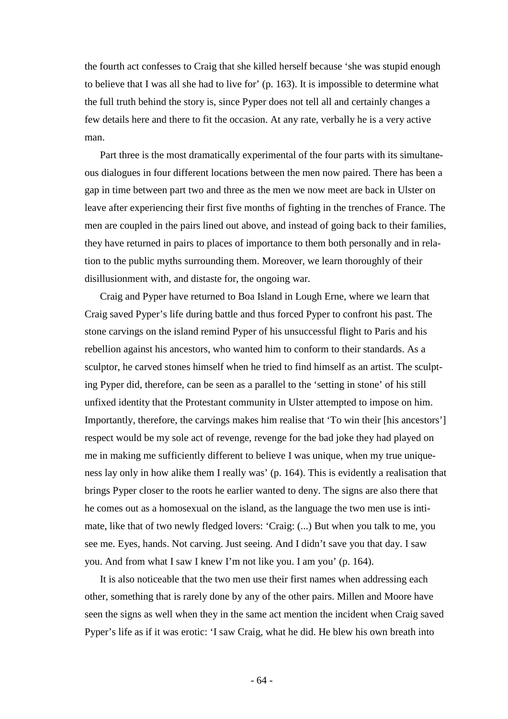the fourth act confesses to Craig that she killed herself because 'she was stupid enough to believe that I was all she had to live for' (p. 163). It is impossible to determine what the full truth behind the story is, since Pyper does not tell all and certainly changes a few details here and there to fit the occasion. At any rate, verbally he is a very active man.

Part three is the most dramatically experimental of the four parts with its simultaneous dialogues in four different locations between the men now paired. There has been a gap in time between part two and three as the men we now meet are back in Ulster on leave after experiencing their first five months of fighting in the trenches of France. The men are coupled in the pairs lined out above, and instead of going back to their families, they have returned in pairs to places of importance to them both personally and in relation to the public myths surrounding them. Moreover, we learn thoroughly of their disillusionment with, and distaste for, the ongoing war.

Craig and Pyper have returned to Boa Island in Lough Erne, where we learn that Craig saved Pyper's life during battle and thus forced Pyper to confront his past. The stone carvings on the island remind Pyper of his unsuccessful flight to Paris and his rebellion against his ancestors, who wanted him to conform to their standards. As a sculptor, he carved stones himself when he tried to find himself as an artist. The sculpting Pyper did, therefore, can be seen as a parallel to the 'setting in stone' of his still unfixed identity that the Protestant community in Ulster attempted to impose on him. Importantly, therefore, the carvings makes him realise that 'To win their [his ancestors'] respect would be my sole act of revenge, revenge for the bad joke they had played on me in making me sufficiently different to believe I was unique, when my true uniqueness lay only in how alike them I really was' (p. 164). This is evidently a realisation that brings Pyper closer to the roots he earlier wanted to deny. The signs are also there that he comes out as a homosexual on the island, as the language the two men use is intimate, like that of two newly fledged lovers: 'Craig: (...) But when you talk to me, you see me. Eyes, hands. Not carving. Just seeing. And I didn't save you that day. I saw you. And from what I saw I knew I'm not like you. I am you' (p. 164).

It is also noticeable that the two men use their first names when addressing each other, something that is rarely done by any of the other pairs. Millen and Moore have seen the signs as well when they in the same act mention the incident when Craig saved Pyper's life as if it was erotic: 'I saw Craig, what he did. He blew his own breath into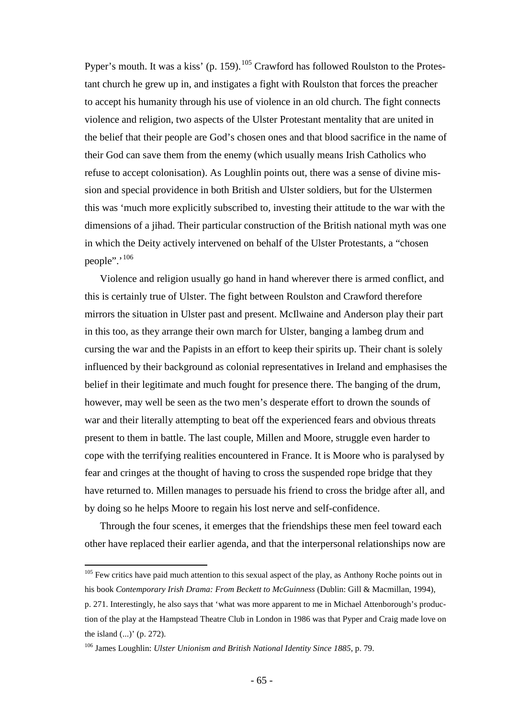Pyper's mouth. It was a kiss' (p. 159).<sup>[105](#page-64-0)</sup> Crawford has followed Roulston to the Protestant church he grew up in, and instigates a fight with Roulston that forces the preacher to accept his humanity through his use of violence in an old church. The fight connects violence and religion, two aspects of the Ulster Protestant mentality that are united in the belief that their people are God's chosen ones and that blood sacrifice in the name of their God can save them from the enemy (which usually means Irish Catholics who refuse to accept colonisation). As Loughlin points out, there was a sense of divine mission and special providence in both British and Ulster soldiers, but for the Ulstermen this was 'much more explicitly subscribed to, investing their attitude to the war with the dimensions of a jihad. Their particular construction of the British national myth was one in which the Deity actively intervened on behalf of the Ulster Protestants, a "chosen people".'<sup>[106](#page-64-1)</sup>

Violence and religion usually go hand in hand wherever there is armed conflict, and this is certainly true of Ulster. The fight between Roulston and Crawford therefore mirrors the situation in Ulster past and present. McIlwaine and Anderson play their part in this too, as they arrange their own march for Ulster, banging a lambeg drum and cursing the war and the Papists in an effort to keep their spirits up. Their chant is solely influenced by their background as colonial representatives in Ireland and emphasises the belief in their legitimate and much fought for presence there. The banging of the drum, however, may well be seen as the two men's desperate effort to drown the sounds of war and their literally attempting to beat off the experienced fears and obvious threats present to them in battle. The last couple, Millen and Moore, struggle even harder to cope with the terrifying realities encountered in France. It is Moore who is paralysed by fear and cringes at the thought of having to cross the suspended rope bridge that they have returned to. Millen manages to persuade his friend to cross the bridge after all, and by doing so he helps Moore to regain his lost nerve and self-confidence.

Through the four scenes, it emerges that the friendships these men feel toward each other have replaced their earlier agenda, and that the interpersonal relationships now are

<span id="page-64-0"></span><sup>&</sup>lt;sup>105</sup> Few critics have paid much attention to this sexual aspect of the play, as Anthony Roche points out in his book *Contemporary Irish Drama: From Beckett to McGuinness* (Dublin: Gill & Macmillan, 1994),

p. 271. Interestingly, he also says that 'what was more apparent to me in Michael Attenborough's production of the play at the Hampstead Theatre Club in London in 1986 was that Pyper and Craig made love on the island (...)' (p. 272).

<span id="page-64-1"></span><sup>106</sup> James Loughlin: *Ulster Unionism and British National Identity Since 1885*, p. 79.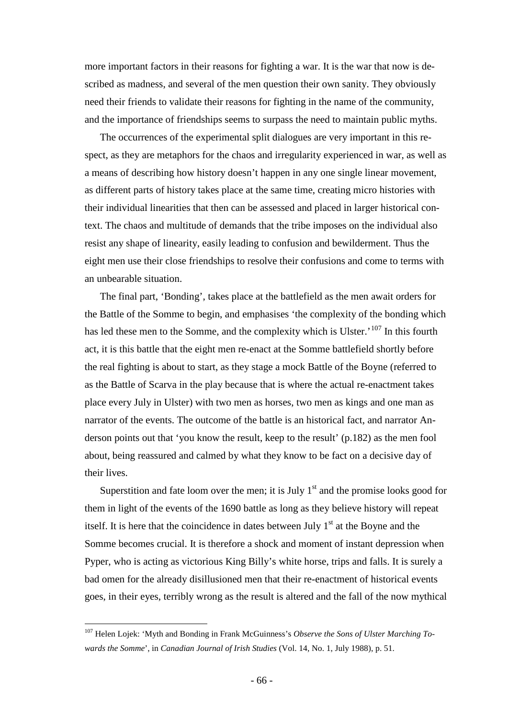more important factors in their reasons for fighting a war. It is the war that now is described as madness, and several of the men question their own sanity. They obviously need their friends to validate their reasons for fighting in the name of the community, and the importance of friendships seems to surpass the need to maintain public myths.

The occurrences of the experimental split dialogues are very important in this respect, as they are metaphors for the chaos and irregularity experienced in war, as well as a means of describing how history doesn't happen in any one single linear movement, as different parts of history takes place at the same time, creating micro histories with their individual linearities that then can be assessed and placed in larger historical context. The chaos and multitude of demands that the tribe imposes on the individual also resist any shape of linearity, easily leading to confusion and bewilderment. Thus the eight men use their close friendships to resolve their confusions and come to terms with an unbearable situation.

The final part, 'Bonding', takes place at the battlefield as the men await orders for the Battle of the Somme to begin, and emphasises 'the complexity of the bonding which has led these men to the Somme, and the complexity which is Ulster.<sup> $107$ </sup> In this fourth act, it is this battle that the eight men re-enact at the Somme battlefield shortly before the real fighting is about to start, as they stage a mock Battle of the Boyne (referred to as the Battle of Scarva in the play because that is where the actual re-enactment takes place every July in Ulster) with two men as horses, two men as kings and one man as narrator of the events. The outcome of the battle is an historical fact, and narrator Anderson points out that 'you know the result, keep to the result' (p.182) as the men fool about, being reassured and calmed by what they know to be fact on a decisive day of their lives.

Superstition and fate loom over the men; it is July  $1<sup>st</sup>$  and the promise looks good for them in light of the events of the 1690 battle as long as they believe history will repeat itself. It is here that the coincidence in dates between July  $1<sup>st</sup>$  at the Boyne and the Somme becomes crucial. It is therefore a shock and moment of instant depression when Pyper, who is acting as victorious King Billy's white horse, trips and falls. It is surely a bad omen for the already disillusioned men that their re-enactment of historical events goes, in their eyes, terribly wrong as the result is altered and the fall of the now mythical

<span id="page-65-0"></span> <sup>107</sup> Helen Lojek: 'Myth and Bonding in Frank McGuinness's *Observe the Sons of Ulster Marching Towards the Somme*', in *Canadian Journal of Irish Studies* (Vol. 14, No. 1, July 1988), p. 51.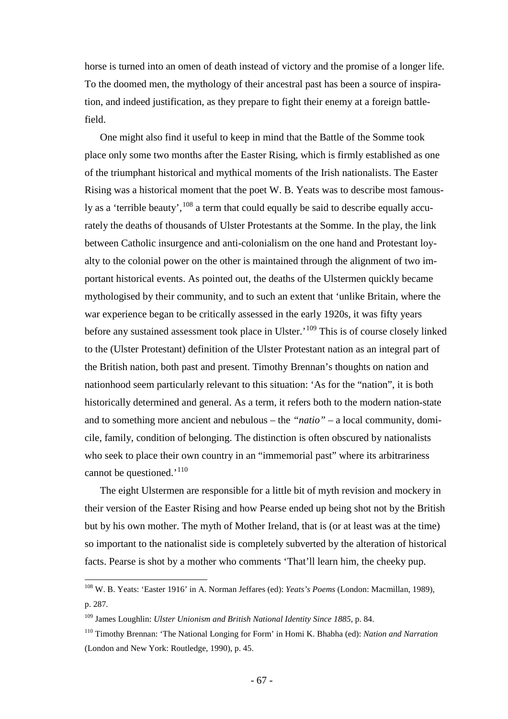horse is turned into an omen of death instead of victory and the promise of a longer life. To the doomed men, the mythology of their ancestral past has been a source of inspiration, and indeed justification, as they prepare to fight their enemy at a foreign battlefield.

One might also find it useful to keep in mind that the Battle of the Somme took place only some two months after the Easter Rising, which is firmly established as one of the triumphant historical and mythical moments of the Irish nationalists. The Easter Rising was a historical moment that the poet W. B. Yeats was to describe most famously as a 'terrible beauty',  $108$  a term that could equally be said to describe equally accurately the deaths of thousands of Ulster Protestants at the Somme. In the play, the link between Catholic insurgence and anti-colonialism on the one hand and Protestant loyalty to the colonial power on the other is maintained through the alignment of two important historical events. As pointed out, the deaths of the Ulstermen quickly became mythologised by their community, and to such an extent that 'unlike Britain, where the war experience began to be critically assessed in the early 1920s, it was fifty years before any sustained assessment took place in Ulster.<sup>'[109](#page-66-1)</sup> This is of course closely linked to the (Ulster Protestant) definition of the Ulster Protestant nation as an integral part of the British nation, both past and present. Timothy Brennan's thoughts on nation and nationhood seem particularly relevant to this situation: 'As for the "nation", it is both historically determined and general. As a term, it refers both to the modern nation-state and to something more ancient and nebulous – the *"natio"* – a local community, domicile, family, condition of belonging. The distinction is often obscured by nationalists who seek to place their own country in an "immemorial past" where its arbitrariness cannot be questioned.'<sup>[110](#page-66-2)</sup>

The eight Ulstermen are responsible for a little bit of myth revision and mockery in their version of the Easter Rising and how Pearse ended up being shot not by the British but by his own mother. The myth of Mother Ireland, that is (or at least was at the time) so important to the nationalist side is completely subverted by the alteration of historical facts. Pearse is shot by a mother who comments 'That'll learn him, the cheeky pup.

<span id="page-66-0"></span> <sup>108</sup> W. B. Yeats: 'Easter 1916' in A. Norman Jeffares (ed): *Yeats's Poems* (London: Macmillan, 1989), p. 287.

<span id="page-66-1"></span><sup>109</sup> James Loughlin: *Ulster Unionism and British National Identity Since 1885*, p. 84.

<span id="page-66-2"></span><sup>110</sup> Timothy Brennan: 'The National Longing for Form' in Homi K. Bhabha (ed): *Nation and Narration* (London and New York: Routledge, 1990), p. 45.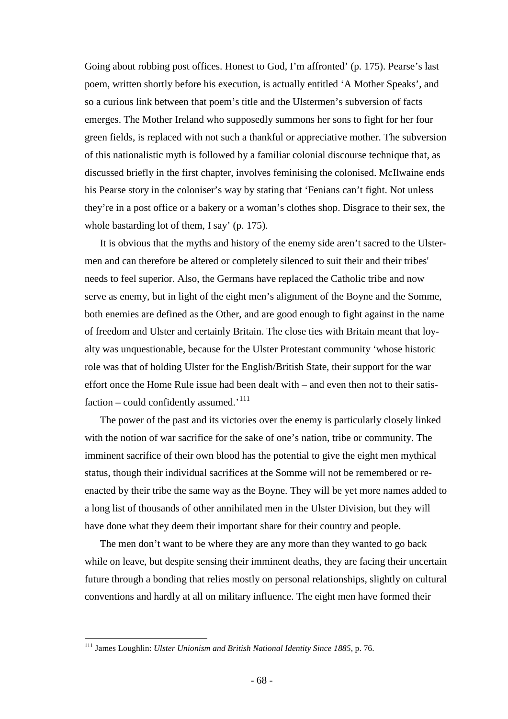Going about robbing post offices. Honest to God, I'm affronted' (p. 175). Pearse's last poem, written shortly before his execution, is actually entitled 'A Mother Speaks', and so a curious link between that poem's title and the Ulstermen's subversion of facts emerges. The Mother Ireland who supposedly summons her sons to fight for her four green fields, is replaced with not such a thankful or appreciative mother. The subversion of this nationalistic myth is followed by a familiar colonial discourse technique that, as discussed briefly in the first chapter, involves feminising the colonised. McIlwaine ends his Pearse story in the coloniser's way by stating that 'Fenians can't fight. Not unless they're in a post office or a bakery or a woman's clothes shop. Disgrace to their sex, the whole bastarding lot of them, I say' (p. 175).

It is obvious that the myths and history of the enemy side aren't sacred to the Ulstermen and can therefore be altered or completely silenced to suit their and their tribes' needs to feel superior. Also, the Germans have replaced the Catholic tribe and now serve as enemy, but in light of the eight men's alignment of the Boyne and the Somme, both enemies are defined as the Other, and are good enough to fight against in the name of freedom and Ulster and certainly Britain. The close ties with Britain meant that loyalty was unquestionable, because for the Ulster Protestant community 'whose historic role was that of holding Ulster for the English/British State, their support for the war effort once the Home Rule issue had been dealt with – and even then not to their satis-faction – could confidently assumed.<sup>'[111](#page-67-0)</sup>

The power of the past and its victories over the enemy is particularly closely linked with the notion of war sacrifice for the sake of one's nation, tribe or community. The imminent sacrifice of their own blood has the potential to give the eight men mythical status, though their individual sacrifices at the Somme will not be remembered or reenacted by their tribe the same way as the Boyne. They will be yet more names added to a long list of thousands of other annihilated men in the Ulster Division, but they will have done what they deem their important share for their country and people.

The men don't want to be where they are any more than they wanted to go back while on leave, but despite sensing their imminent deaths, they are facing their uncertain future through a bonding that relies mostly on personal relationships, slightly on cultural conventions and hardly at all on military influence. The eight men have formed their

<span id="page-67-0"></span> <sup>111</sup> James Loughlin: *Ulster Unionism and British National Identity Since 1885*, p. 76.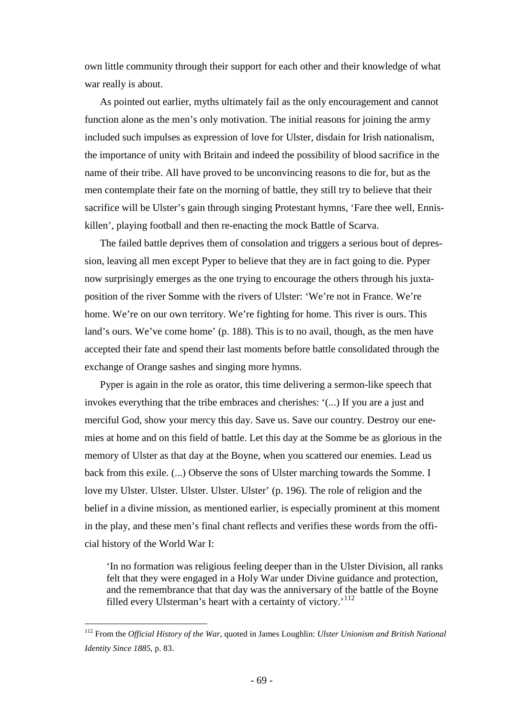own little community through their support for each other and their knowledge of what war really is about.

As pointed out earlier, myths ultimately fail as the only encouragement and cannot function alone as the men's only motivation. The initial reasons for joining the army included such impulses as expression of love for Ulster, disdain for Irish nationalism, the importance of unity with Britain and indeed the possibility of blood sacrifice in the name of their tribe. All have proved to be unconvincing reasons to die for, but as the men contemplate their fate on the morning of battle, they still try to believe that their sacrifice will be Ulster's gain through singing Protestant hymns, 'Fare thee well, Enniskillen', playing football and then re-enacting the mock Battle of Scarva.

The failed battle deprives them of consolation and triggers a serious bout of depression, leaving all men except Pyper to believe that they are in fact going to die. Pyper now surprisingly emerges as the one trying to encourage the others through his juxtaposition of the river Somme with the rivers of Ulster: 'We're not in France. We're home. We're on our own territory. We're fighting for home. This river is ours. This land's ours. We've come home' (p. 188). This is to no avail, though, as the men have accepted their fate and spend their last moments before battle consolidated through the exchange of Orange sashes and singing more hymns.

Pyper is again in the role as orator, this time delivering a sermon-like speech that invokes everything that the tribe embraces and cherishes: '(...) If you are a just and merciful God, show your mercy this day. Save us. Save our country. Destroy our enemies at home and on this field of battle. Let this day at the Somme be as glorious in the memory of Ulster as that day at the Boyne, when you scattered our enemies. Lead us back from this exile. (...) Observe the sons of Ulster marching towards the Somme. I love my Ulster. Ulster. Ulster. Ulster. Ulster' (p. 196). The role of religion and the belief in a divine mission, as mentioned earlier, is especially prominent at this moment in the play, and these men's final chant reflects and verifies these words from the official history of the World War I:

'In no formation was religious feeling deeper than in the Ulster Division, all ranks felt that they were engaged in a Holy War under Divine guidance and protection, and the remembrance that that day was the anniversary of the battle of the Boyne filled every Ulsterman's heart with a certainty of victory.<sup>'[112](#page-68-0)</sup>

<span id="page-68-0"></span> <sup>112</sup> From the *Official History of the War*, quoted in James Loughlin: *Ulster Unionism and British National Identity Since 1885*, p. 83.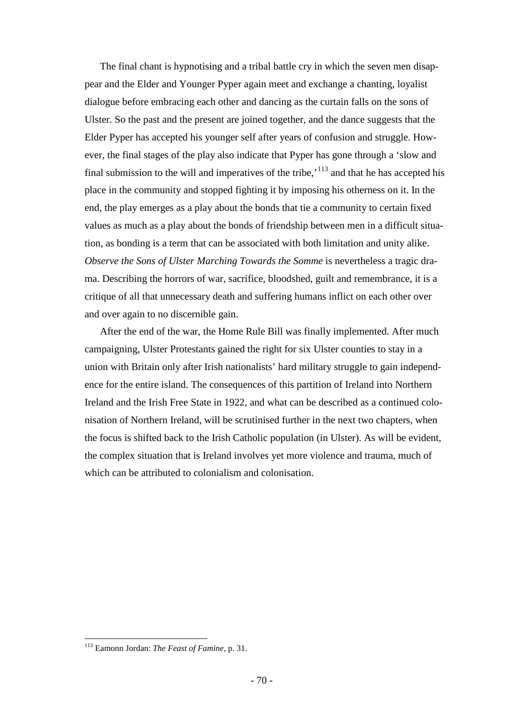The final chant is hypnotising and a tribal battle cry in which the seven men disappear and the Elder and Younger Pyper again meet and exchange a chanting, loyalist dialogue before embracing each other and dancing as the curtain falls on the sons of Ulster. So the past and the present are joined together, and the dance suggests that the Elder Pyper has accepted his younger self after years of confusion and struggle. However, the final stages of the play also indicate that Pyper has gone through a 'slow and final submission to the will and imperatives of the tribe,<sup> $113$ </sup> and that he has accepted his place in the community and stopped fighting it by imposing his otherness on it. In the end, the play emerges as a play about the bonds that tie a community to certain fixed values as much as a play about the bonds of friendship between men in a difficult situation, as bonding is a term that can be associated with both limitation and unity alike. *Observe the Sons of Ulster Marching Towards the Somme* is nevertheless a tragic drama. Describing the horrors of war, sacrifice, bloodshed, guilt and remembrance, it is a critique of all that unnecessary death and suffering humans inflict on each other over and over again to no discernible gain.

After the end of the war, the Home Rule Bill was finally implemented. After much campaigning, Ulster Protestants gained the right for six Ulster counties to stay in a union with Britain only after Irish nationalists' hard military struggle to gain independence for the entire island. The consequences of this partition of Ireland into Northern Ireland and the Irish Free State in 1922, and what can be described as a continued colonisation of Northern Ireland, will be scrutinised further in the next two chapters, when the focus is shifted back to the Irish Catholic population (in Ulster). As will be evident, the complex situation that is Ireland involves yet more violence and trauma, much of which can be attributed to colonialism and colonisation.

<span id="page-69-0"></span> <sup>113</sup> Eamonn Jordan: *The Feast of Famine*, p. 31.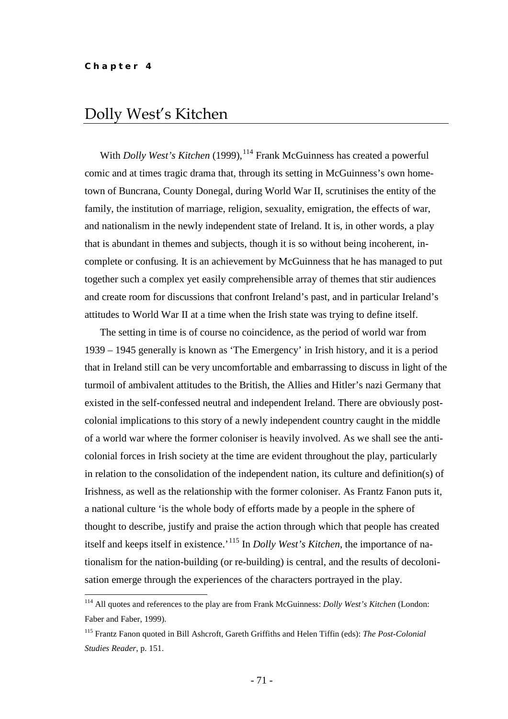## Dolly West's Kitchen

With *Dolly West's Kitchen* (1999), <sup>[114](#page-70-0)</sup> Frank McGuinness has created a powerful comic and at times tragic drama that, through its setting in McGuinness's own hometown of Buncrana, County Donegal, during World War II, scrutinises the entity of the family, the institution of marriage, religion, sexuality, emigration, the effects of war, and nationalism in the newly independent state of Ireland. It is, in other words, a play that is abundant in themes and subjects, though it is so without being incoherent, incomplete or confusing. It is an achievement by McGuinness that he has managed to put together such a complex yet easily comprehensible array of themes that stir audiences and create room for discussions that confront Ireland's past, and in particular Ireland's attitudes to World War II at a time when the Irish state was trying to define itself.

The setting in time is of course no coincidence, as the period of world war from 1939 – 1945 generally is known as 'The Emergency' in Irish history, and it is a period that in Ireland still can be very uncomfortable and embarrassing to discuss in light of the turmoil of ambivalent attitudes to the British, the Allies and Hitler's nazi Germany that existed in the self-confessed neutral and independent Ireland. There are obviously postcolonial implications to this story of a newly independent country caught in the middle of a world war where the former coloniser is heavily involved. As we shall see the anticolonial forces in Irish society at the time are evident throughout the play, particularly in relation to the consolidation of the independent nation, its culture and definition(s) of Irishness, as well as the relationship with the former coloniser. As Frantz Fanon puts it, a national culture 'is the whole body of efforts made by a people in the sphere of thought to describe, justify and praise the action through which that people has created itself and keeps itself in existence.<sup>'[115](#page-70-1)</sup> In *Dolly West's Kitchen*, the importance of nationalism for the nation-building (or re-building) is central, and the results of decolonisation emerge through the experiences of the characters portrayed in the play.

<span id="page-70-0"></span> <sup>114</sup> All quotes and references to the play are from Frank McGuinness: *Dolly West's Kitchen* (London: Faber and Faber, 1999).

<span id="page-70-1"></span><sup>115</sup> Frantz Fanon quoted in Bill Ashcroft, Gareth Griffiths and Helen Tiffin (eds): *The Post-Colonial Studies Reader*, p. 151.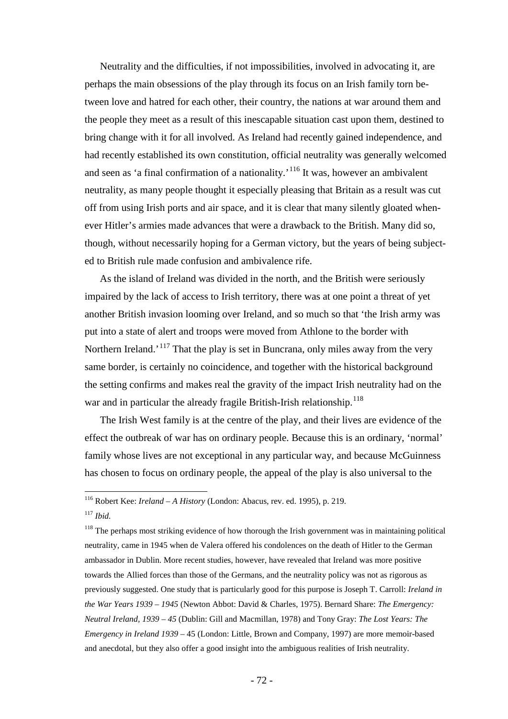Neutrality and the difficulties, if not impossibilities, involved in advocating it, are perhaps the main obsessions of the play through its focus on an Irish family torn between love and hatred for each other, their country, the nations at war around them and the people they meet as a result of this inescapable situation cast upon them, destined to bring change with it for all involved. As Ireland had recently gained independence, and had recently established its own constitution, official neutrality was generally welcomed and seen as 'a final confirmation of a nationality.<sup> $116$ </sup> It was, however an ambivalent neutrality, as many people thought it especially pleasing that Britain as a result was cut off from using Irish ports and air space, and it is clear that many silently gloated whenever Hitler's armies made advances that were a drawback to the British. Many did so, though, without necessarily hoping for a German victory, but the years of being subjected to British rule made confusion and ambivalence rife.

As the island of Ireland was divided in the north, and the British were seriously impaired by the lack of access to Irish territory, there was at one point a threat of yet another British invasion looming over Ireland, and so much so that 'the Irish army was put into a state of alert and troops were moved from Athlone to the border with Northern Ireland.<sup>'[117](#page-71-1)</sup> That the play is set in Buncrana, only miles away from the very same border, is certainly no coincidence, and together with the historical background the setting confirms and makes real the gravity of the impact Irish neutrality had on the war and in particular the already fragile British-Irish relationship.<sup>[118](#page-71-2)</sup>

The Irish West family is at the centre of the play, and their lives are evidence of the effect the outbreak of war has on ordinary people. Because this is an ordinary, 'normal' family whose lives are not exceptional in any particular way, and because McGuinness has chosen to focus on ordinary people, the appeal of the play is also universal to the

<span id="page-71-0"></span> <sup>116</sup> Robert Kee: *Ireland – A History* (London: Abacus, rev. ed. 1995), p. 219.

<span id="page-71-1"></span><sup>117</sup> *Ibid.*

<span id="page-71-2"></span> $118$  The perhaps most striking evidence of how thorough the Irish government was in maintaining political neutrality, came in 1945 when de Valera offered his condolences on the death of Hitler to the German ambassador in Dublin. More recent studies, however, have revealed that Ireland was more positive towards the Allied forces than those of the Germans, and the neutrality policy was not as rigorous as previously suggested. One study that is particularly good for this purpose is Joseph T. Carroll: *Ireland in the War Years 1939 – 1945* (Newton Abbot: David & Charles, 1975). Bernard Share: *The Emergency: Neutral Ireland, 1939 – 45* (Dublin: Gill and Macmillan, 1978) and Tony Gray: *The Lost Years: The Emergency in Ireland 1939 –* 45 (London: Little, Brown and Company, 1997) are more memoir-based and anecdotal, but they also offer a good insight into the ambiguous realities of Irish neutrality.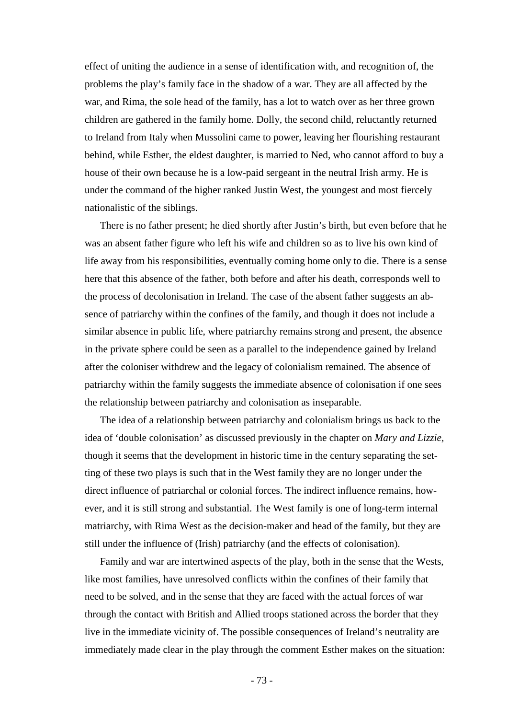effect of uniting the audience in a sense of identification with, and recognition of, the problems the play's family face in the shadow of a war. They are all affected by the war, and Rima, the sole head of the family, has a lot to watch over as her three grown children are gathered in the family home. Dolly, the second child, reluctantly returned to Ireland from Italy when Mussolini came to power, leaving her flourishing restaurant behind, while Esther, the eldest daughter, is married to Ned, who cannot afford to buy a house of their own because he is a low-paid sergeant in the neutral Irish army. He is under the command of the higher ranked Justin West, the youngest and most fiercely nationalistic of the siblings.

There is no father present; he died shortly after Justin's birth, but even before that he was an absent father figure who left his wife and children so as to live his own kind of life away from his responsibilities, eventually coming home only to die. There is a sense here that this absence of the father, both before and after his death, corresponds well to the process of decolonisation in Ireland. The case of the absent father suggests an absence of patriarchy within the confines of the family, and though it does not include a similar absence in public life, where patriarchy remains strong and present, the absence in the private sphere could be seen as a parallel to the independence gained by Ireland after the coloniser withdrew and the legacy of colonialism remained. The absence of patriarchy within the family suggests the immediate absence of colonisation if one sees the relationship between patriarchy and colonisation as inseparable.

The idea of a relationship between patriarchy and colonialism brings us back to the idea of 'double colonisation' as discussed previously in the chapter on *Mary and Lizzie,* though it seems that the development in historic time in the century separating the setting of these two plays is such that in the West family they are no longer under the direct influence of patriarchal or colonial forces. The indirect influence remains, however, and it is still strong and substantial. The West family is one of long-term internal matriarchy, with Rima West as the decision-maker and head of the family, but they are still under the influence of (Irish) patriarchy (and the effects of colonisation).

Family and war are intertwined aspects of the play, both in the sense that the Wests, like most families, have unresolved conflicts within the confines of their family that need to be solved, and in the sense that they are faced with the actual forces of war through the contact with British and Allied troops stationed across the border that they live in the immediate vicinity of. The possible consequences of Ireland's neutrality are immediately made clear in the play through the comment Esther makes on the situation: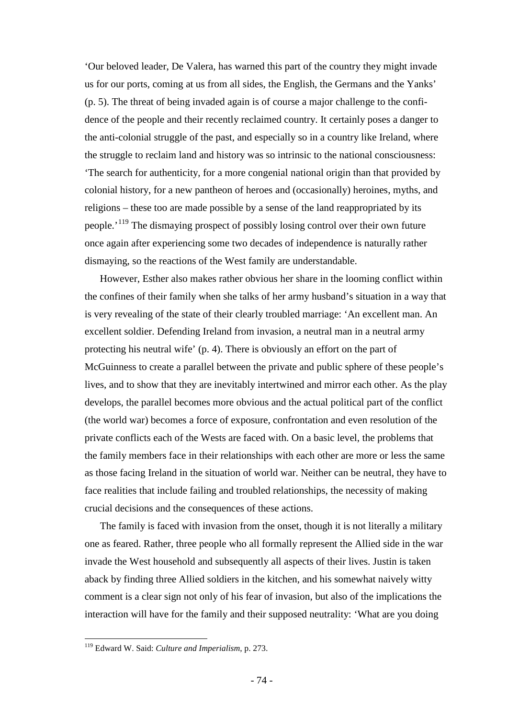'Our beloved leader, De Valera, has warned this part of the country they might invade us for our ports, coming at us from all sides, the English, the Germans and the Yanks' (p. 5). The threat of being invaded again is of course a major challenge to the confidence of the people and their recently reclaimed country. It certainly poses a danger to the anti-colonial struggle of the past, and especially so in a country like Ireland, where the struggle to reclaim land and history was so intrinsic to the national consciousness: 'The search for authenticity, for a more congenial national origin than that provided by colonial history, for a new pantheon of heroes and (occasionally) heroines, myths, and religions – these too are made possible by a sense of the land reappropriated by its people.'[119](#page-73-0) The dismaying prospect of possibly losing control over their own future once again after experiencing some two decades of independence is naturally rather dismaying, so the reactions of the West family are understandable.

However, Esther also makes rather obvious her share in the looming conflict within the confines of their family when she talks of her army husband's situation in a way that is very revealing of the state of their clearly troubled marriage: 'An excellent man. An excellent soldier. Defending Ireland from invasion, a neutral man in a neutral army protecting his neutral wife' (p. 4). There is obviously an effort on the part of McGuinness to create a parallel between the private and public sphere of these people's lives, and to show that they are inevitably intertwined and mirror each other. As the play develops, the parallel becomes more obvious and the actual political part of the conflict (the world war) becomes a force of exposure, confrontation and even resolution of the private conflicts each of the Wests are faced with. On a basic level, the problems that the family members face in their relationships with each other are more or less the same as those facing Ireland in the situation of world war. Neither can be neutral, they have to face realities that include failing and troubled relationships, the necessity of making crucial decisions and the consequences of these actions.

The family is faced with invasion from the onset, though it is not literally a military one as feared. Rather, three people who all formally represent the Allied side in the war invade the West household and subsequently all aspects of their lives. Justin is taken aback by finding three Allied soldiers in the kitchen, and his somewhat naively witty comment is a clear sign not only of his fear of invasion, but also of the implications the interaction will have for the family and their supposed neutrality: 'What are you doing

<span id="page-73-0"></span> <sup>119</sup> Edward W. Said: *Culture and Imperialism*, p. 273.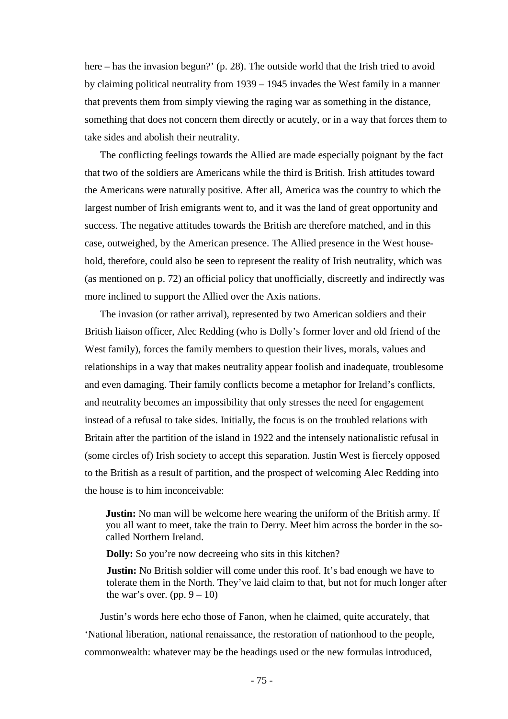here – has the invasion begun?' (p. 28). The outside world that the Irish tried to avoid by claiming political neutrality from 1939 – 1945 invades the West family in a manner that prevents them from simply viewing the raging war as something in the distance, something that does not concern them directly or acutely, or in a way that forces them to take sides and abolish their neutrality.

The conflicting feelings towards the Allied are made especially poignant by the fact that two of the soldiers are Americans while the third is British. Irish attitudes toward the Americans were naturally positive. After all, America was the country to which the largest number of Irish emigrants went to, and it was the land of great opportunity and success. The negative attitudes towards the British are therefore matched, and in this case, outweighed, by the American presence. The Allied presence in the West household, therefore, could also be seen to represent the reality of Irish neutrality, which was (as mentioned on p. 72) an official policy that unofficially, discreetly and indirectly was more inclined to support the Allied over the Axis nations.

The invasion (or rather arrival), represented by two American soldiers and their British liaison officer, Alec Redding (who is Dolly's former lover and old friend of the West family), forces the family members to question their lives, morals, values and relationships in a way that makes neutrality appear foolish and inadequate, troublesome and even damaging. Their family conflicts become a metaphor for Ireland's conflicts, and neutrality becomes an impossibility that only stresses the need for engagement instead of a refusal to take sides. Initially, the focus is on the troubled relations with Britain after the partition of the island in 1922 and the intensely nationalistic refusal in (some circles of) Irish society to accept this separation. Justin West is fiercely opposed to the British as a result of partition, and the prospect of welcoming Alec Redding into the house is to him inconceivable:

**Justin:** No man will be welcome here wearing the uniform of the British army. If you all want to meet, take the train to Derry. Meet him across the border in the socalled Northern Ireland.

**Dolly:** So you're now decreeing who sits in this kitchen?

**Justin:** No British soldier will come under this roof. It's bad enough we have to tolerate them in the North. They've laid claim to that, but not for much longer after the war's over. (pp.  $9 - 10$ )

Justin's words here echo those of Fanon, when he claimed, quite accurately, that 'National liberation, national renaissance, the restoration of nationhood to the people, commonwealth: whatever may be the headings used or the new formulas introduced,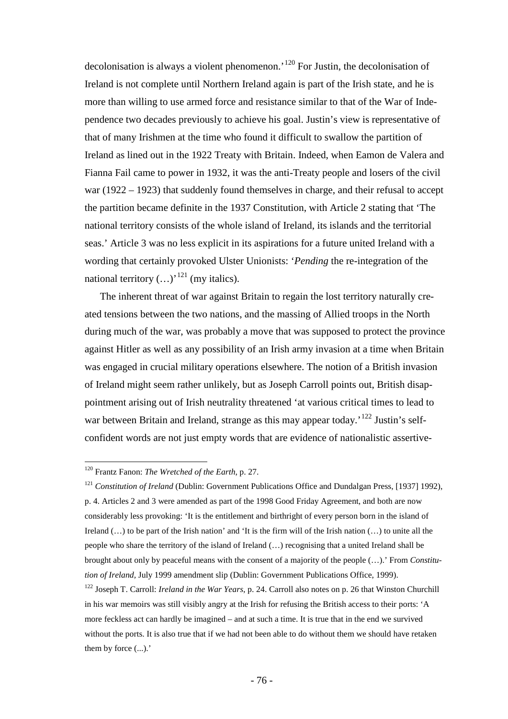decolonisation is always a violent phenomenon.'[120](#page-75-0) For Justin, the decolonisation of Ireland is not complete until Northern Ireland again is part of the Irish state, and he is more than willing to use armed force and resistance similar to that of the War of Independence two decades previously to achieve his goal. Justin's view is representative of that of many Irishmen at the time who found it difficult to swallow the partition of Ireland as lined out in the 1922 Treaty with Britain. Indeed, when Eamon de Valera and Fianna Fail came to power in 1932, it was the anti-Treaty people and losers of the civil war (1922 – 1923) that suddenly found themselves in charge, and their refusal to accept the partition became definite in the 1937 Constitution, with Article 2 stating that 'The national territory consists of the whole island of Ireland, its islands and the territorial seas.' Article 3 was no less explicit in its aspirations for a future united Ireland with a wording that certainly provoked Ulster Unionists: '*Pending* the re-integration of the national territory  $(...)$ <sup>[121](#page-75-1)</sup> (my italics).

The inherent threat of war against Britain to regain the lost territory naturally created tensions between the two nations, and the massing of Allied troops in the North during much of the war, was probably a move that was supposed to protect the province against Hitler as well as any possibility of an Irish army invasion at a time when Britain was engaged in crucial military operations elsewhere. The notion of a British invasion of Ireland might seem rather unlikely, but as Joseph Carroll points out, British disappointment arising out of Irish neutrality threatened 'at various critical times to lead to war between Britain and Ireland, strange as this may appear today.<sup>[122](#page-75-2)</sup> Justin's selfconfident words are not just empty words that are evidence of nationalistic assertive-

<span id="page-75-0"></span> <sup>120</sup> Frantz Fanon: *The Wretched of the Earth*, p. 27.

<span id="page-75-1"></span><sup>121</sup> *Constitution of Ireland* (Dublin: Government Publications Office and Dundalgan Press, [1937] 1992), p. 4. Articles 2 and 3 were amended as part of the 1998 Good Friday Agreement, and both are now considerably less provoking: 'It is the entitlement and birthright of every person born in the island of Ireland (…) to be part of the Irish nation' and 'It is the firm will of the Irish nation (…) to unite all the people who share the territory of the island of Ireland (…) recognising that a united Ireland shall be brought about only by peaceful means with the consent of a majority of the people (…).' From *Constitution of Ireland,* July 1999 amendment slip (Dublin: Government Publications Office, 1999).

<span id="page-75-2"></span><sup>122</sup> Joseph T. Carroll: *Ireland in the War Years*, p. 24. Carroll also notes on p. 26 that Winston Churchill in his war memoirs was still visibly angry at the Irish for refusing the British access to their ports: 'A more feckless act can hardly be imagined – and at such a time. It is true that in the end we survived without the ports. It is also true that if we had not been able to do without them we should have retaken them by force (...).'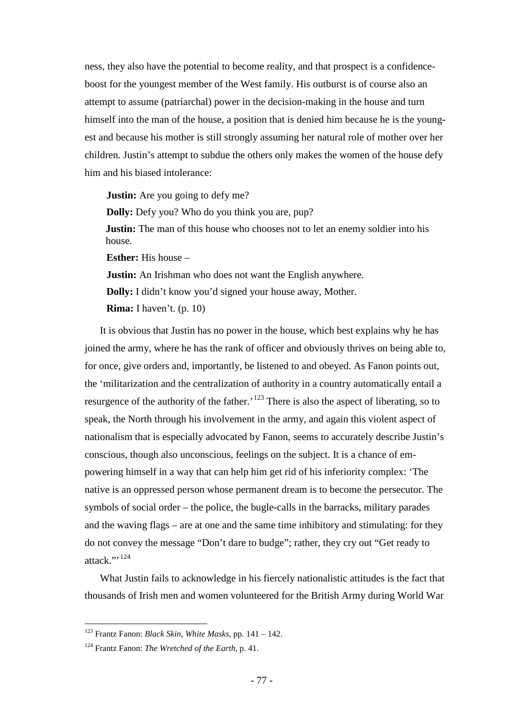ness, they also have the potential to become reality, and that prospect is a confidenceboost for the youngest member of the West family. His outburst is of course also an attempt to assume (patriarchal) power in the decision-making in the house and turn himself into the man of the house, a position that is denied him because he is the youngest and because his mother is still strongly assuming her natural role of mother over her children. Justin's attempt to subdue the others only makes the women of the house defy him and his biased intolerance:

**Justin:** Are you going to defy me? **Dolly:** Defy you? Who do you think you are, pup? **Justin:** The man of this house who chooses not to let an enemy soldier into his house. **Esther:** His house – **Justin:** An Irishman who does not want the English anywhere. **Dolly:** I didn't know you'd signed your house away, Mother. **Rima:** I haven't. (p. 10)

It is obvious that Justin has no power in the house, which best explains why he has joined the army, where he has the rank of officer and obviously thrives on being able to, for once, give orders and, importantly, be listened to and obeyed. As Fanon points out, the 'militarization and the centralization of authority in a country automatically entail a resurgence of the authority of the father.<sup>[123](#page-76-0)</sup> There is also the aspect of liberating, so to speak, the North through his involvement in the army, and again this violent aspect of nationalism that is especially advocated by Fanon, seems to accurately describe Justin's conscious, though also unconscious, feelings on the subject. It is a chance of empowering himself in a way that can help him get rid of his inferiority complex: 'The native is an oppressed person whose permanent dream is to become the persecutor. The symbols of social order – the police, the bugle-calls in the barracks, military parades and the waving flags – are at one and the same time inhibitory and stimulating: for they do not convey the message "Don't dare to budge"; rather, they cry out "Get ready to attack." $124$ 

What Justin fails to acknowledge in his fiercely nationalistic attitudes is the fact that thousands of Irish men and women volunteered for the British Army during World War

<span id="page-76-0"></span> <sup>123</sup> Frantz Fanon: *Black Skin, White Masks*, pp. 141 – 142.

<span id="page-76-1"></span><sup>124</sup> Frantz Fanon: *The Wretched of the Earth*, p. 41.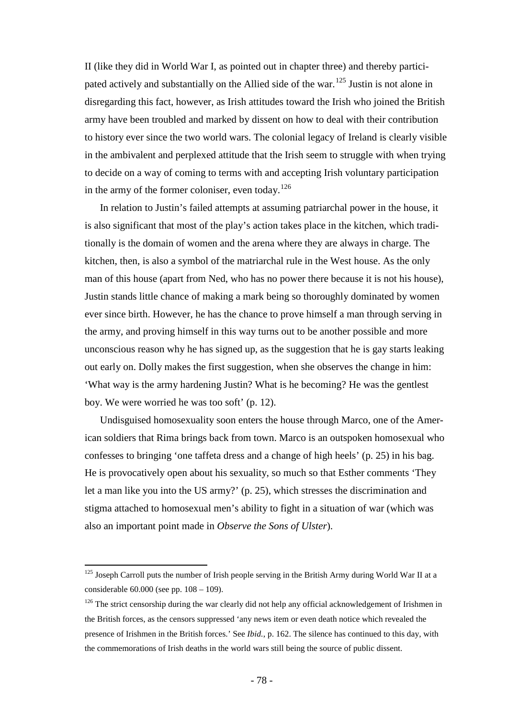II (like they did in World War I, as pointed out in chapter three) and thereby participated actively and substantially on the Allied side of the war.[125](#page-77-0) Justin is not alone in disregarding this fact, however, as Irish attitudes toward the Irish who joined the British army have been troubled and marked by dissent on how to deal with their contribution to history ever since the two world wars. The colonial legacy of Ireland is clearly visible in the ambivalent and perplexed attitude that the Irish seem to struggle with when trying to decide on a way of coming to terms with and accepting Irish voluntary participation in the army of the former coloniser, even today.<sup>[126](#page-77-1)</sup>

In relation to Justin's failed attempts at assuming patriarchal power in the house, it is also significant that most of the play's action takes place in the kitchen, which traditionally is the domain of women and the arena where they are always in charge. The kitchen, then, is also a symbol of the matriarchal rule in the West house. As the only man of this house (apart from Ned, who has no power there because it is not his house), Justin stands little chance of making a mark being so thoroughly dominated by women ever since birth. However, he has the chance to prove himself a man through serving in the army, and proving himself in this way turns out to be another possible and more unconscious reason why he has signed up, as the suggestion that he is gay starts leaking out early on. Dolly makes the first suggestion, when she observes the change in him: 'What way is the army hardening Justin? What is he becoming? He was the gentlest boy. We were worried he was too soft' (p. 12).

Undisguised homosexuality soon enters the house through Marco, one of the American soldiers that Rima brings back from town. Marco is an outspoken homosexual who confesses to bringing 'one taffeta dress and a change of high heels' (p. 25) in his bag. He is provocatively open about his sexuality, so much so that Esther comments 'They let a man like you into the US army?' (p. 25), which stresses the discrimination and stigma attached to homosexual men's ability to fight in a situation of war (which was also an important point made in *Observe the Sons of Ulster*).

<span id="page-77-0"></span><sup>&</sup>lt;sup>125</sup> Joseph Carroll puts the number of Irish people serving in the British Army during World War II at a considerable 60.000 (see pp. 108 – 109).

<span id="page-77-1"></span><sup>&</sup>lt;sup>126</sup> The strict censorship during the war clearly did not help any official acknowledgement of Irishmen in the British forces, as the censors suppressed 'any news item or even death notice which revealed the presence of Irishmen in the British forces.' See *Ibid.*, p. 162. The silence has continued to this day, with the commemorations of Irish deaths in the world wars still being the source of public dissent.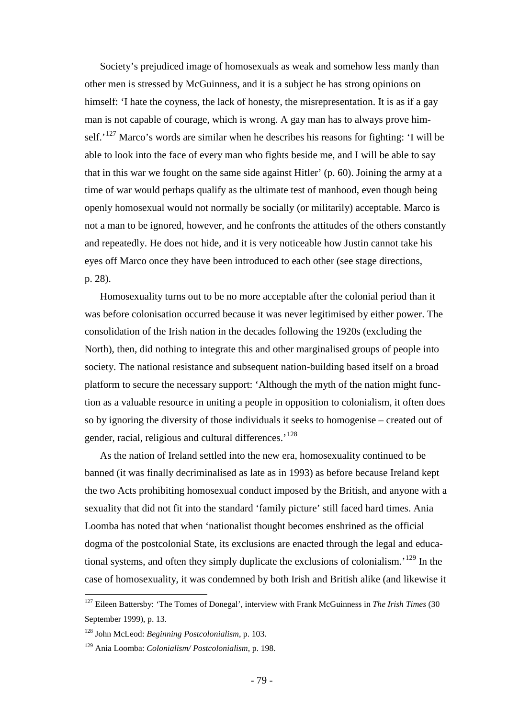Society's prejudiced image of homosexuals as weak and somehow less manly than other men is stressed by McGuinness, and it is a subject he has strong opinions on himself: 'I hate the coyness, the lack of honesty, the misrepresentation. It is as if a gay man is not capable of courage, which is wrong. A gay man has to always prove himself.<sup> $127$ </sup> Marco's words are similar when he describes his reasons for fighting: 'I will be able to look into the face of every man who fights beside me, and I will be able to say that in this war we fought on the same side against Hitler' (p. 60). Joining the army at a time of war would perhaps qualify as the ultimate test of manhood, even though being openly homosexual would not normally be socially (or militarily) acceptable. Marco is not a man to be ignored, however, and he confronts the attitudes of the others constantly and repeatedly. He does not hide, and it is very noticeable how Justin cannot take his eyes off Marco once they have been introduced to each other (see stage directions, p. 28).

Homosexuality turns out to be no more acceptable after the colonial period than it was before colonisation occurred because it was never legitimised by either power. The consolidation of the Irish nation in the decades following the 1920s (excluding the North), then, did nothing to integrate this and other marginalised groups of people into society. The national resistance and subsequent nation-building based itself on a broad platform to secure the necessary support: 'Although the myth of the nation might function as a valuable resource in uniting a people in opposition to colonialism, it often does so by ignoring the diversity of those individuals it seeks to homogenise – created out of gender, racial, religious and cultural differences.<sup>'[128](#page-78-1)</sup>

As the nation of Ireland settled into the new era, homosexuality continued to be banned (it was finally decriminalised as late as in 1993) as before because Ireland kept the two Acts prohibiting homosexual conduct imposed by the British, and anyone with a sexuality that did not fit into the standard 'family picture' still faced hard times. Ania Loomba has noted that when 'nationalist thought becomes enshrined as the official dogma of the postcolonial State, its exclusions are enacted through the legal and educational systems, and often they simply duplicate the exclusions of colonialism.'[129](#page-78-2) In the case of homosexuality, it was condemned by both Irish and British alike (and likewise it

<span id="page-78-0"></span> <sup>127</sup> Eileen Battersby: 'The Tomes of Donegal', interview with Frank McGuinness in *The Irish Times* (30 September 1999), p. 13.

<span id="page-78-1"></span><sup>128</sup> John McLeod: *Beginning Postcolonialism*, p. 103.

<span id="page-78-2"></span><sup>129</sup> Ania Loomba: *Colonialism/ Postcolonialism*, p. 198.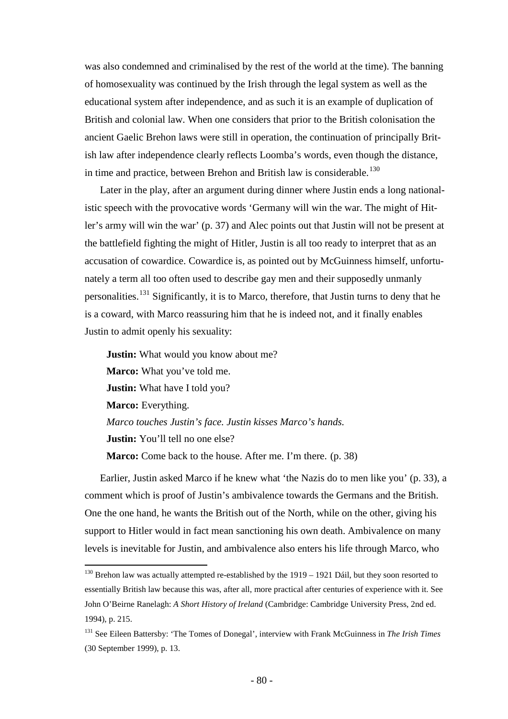was also condemned and criminalised by the rest of the world at the time). The banning of homosexuality was continued by the Irish through the legal system as well as the educational system after independence, and as such it is an example of duplication of British and colonial law. When one considers that prior to the British colonisation the ancient Gaelic Brehon laws were still in operation, the continuation of principally British law after independence clearly reflects Loomba's words, even though the distance, in time and practice, between Brehon and British law is considerable.<sup>[130](#page-79-0)</sup>

Later in the play, after an argument during dinner where Justin ends a long nationalistic speech with the provocative words 'Germany will win the war. The might of Hitler's army will win the war' (p. 37) and Alec points out that Justin will not be present at the battlefield fighting the might of Hitler, Justin is all too ready to interpret that as an accusation of cowardice. Cowardice is, as pointed out by McGuinness himself, unfortunately a term all too often used to describe gay men and their supposedly unmanly personalities.<sup>[131](#page-79-1)</sup> Significantly, it is to Marco, therefore, that Justin turns to deny that he is a coward, with Marco reassuring him that he is indeed not, and it finally enables Justin to admit openly his sexuality:

**Justin:** What would you know about me? **Marco:** What you've told me. **Justin:** What have I told you? **Marco:** Everything. *Marco touches Justin's face. Justin kisses Marco's hands.* **Justin:** You'll tell no one else? **Marco:** Come back to the house. After me. I'm there. (p. 38)

Earlier, Justin asked Marco if he knew what 'the Nazis do to men like you' (p. 33), a comment which is proof of Justin's ambivalence towards the Germans and the British. One the one hand, he wants the British out of the North, while on the other, giving his support to Hitler would in fact mean sanctioning his own death. Ambivalence on many levels is inevitable for Justin, and ambivalence also enters his life through Marco, who

<span id="page-79-0"></span><sup>&</sup>lt;sup>130</sup> Brehon law was actually attempted re-established by the 1919 – 1921 Dáil, but they soon resorted to essentially British law because this was, after all, more practical after centuries of experience with it. See John O'Beirne Ranelagh: *A Short History of Ireland* (Cambridge: Cambridge University Press, 2nd ed. 1994), p. 215.

<span id="page-79-1"></span><sup>131</sup> See Eileen Battersby: 'The Tomes of Donegal', interview with Frank McGuinness in *The Irish Times* (30 September 1999), p. 13.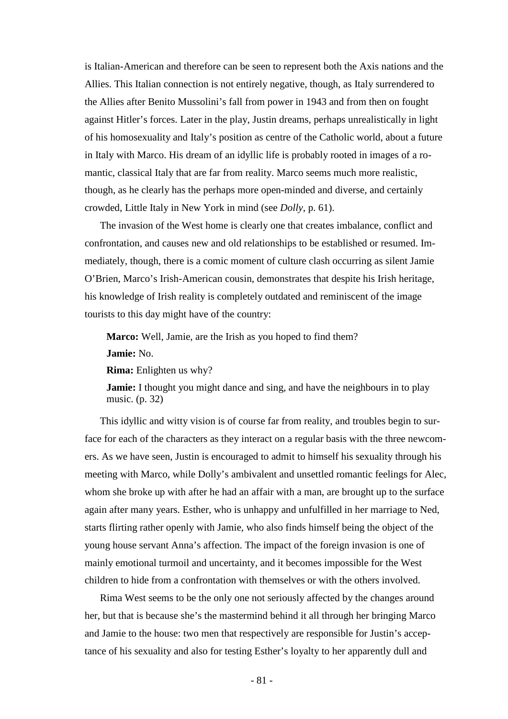is Italian-American and therefore can be seen to represent both the Axis nations and the Allies. This Italian connection is not entirely negative, though, as Italy surrendered to the Allies after Benito Mussolini's fall from power in 1943 and from then on fought against Hitler's forces. Later in the play, Justin dreams, perhaps unrealistically in light of his homosexuality and Italy's position as centre of the Catholic world, about a future in Italy with Marco. His dream of an idyllic life is probably rooted in images of a romantic, classical Italy that are far from reality. Marco seems much more realistic, though, as he clearly has the perhaps more open-minded and diverse, and certainly crowded, Little Italy in New York in mind (see *Dolly*, p. 61).

The invasion of the West home is clearly one that creates imbalance, conflict and confrontation, and causes new and old relationships to be established or resumed. Immediately, though, there is a comic moment of culture clash occurring as silent Jamie O'Brien, Marco's Irish-American cousin, demonstrates that despite his Irish heritage, his knowledge of Irish reality is completely outdated and reminiscent of the image tourists to this day might have of the country:

**Marco:** Well, Jamie, are the Irish as you hoped to find them? **Jamie:** No.

**Rima:** Enlighten us why?

**Jamie:** I thought you might dance and sing, and have the neighbours in to play music. (p. 32)

This idyllic and witty vision is of course far from reality, and troubles begin to surface for each of the characters as they interact on a regular basis with the three newcomers. As we have seen, Justin is encouraged to admit to himself his sexuality through his meeting with Marco, while Dolly's ambivalent and unsettled romantic feelings for Alec, whom she broke up with after he had an affair with a man, are brought up to the surface again after many years. Esther, who is unhappy and unfulfilled in her marriage to Ned, starts flirting rather openly with Jamie, who also finds himself being the object of the young house servant Anna's affection. The impact of the foreign invasion is one of mainly emotional turmoil and uncertainty, and it becomes impossible for the West children to hide from a confrontation with themselves or with the others involved.

Rima West seems to be the only one not seriously affected by the changes around her, but that is because she's the mastermind behind it all through her bringing Marco and Jamie to the house: two men that respectively are responsible for Justin's acceptance of his sexuality and also for testing Esther's loyalty to her apparently dull and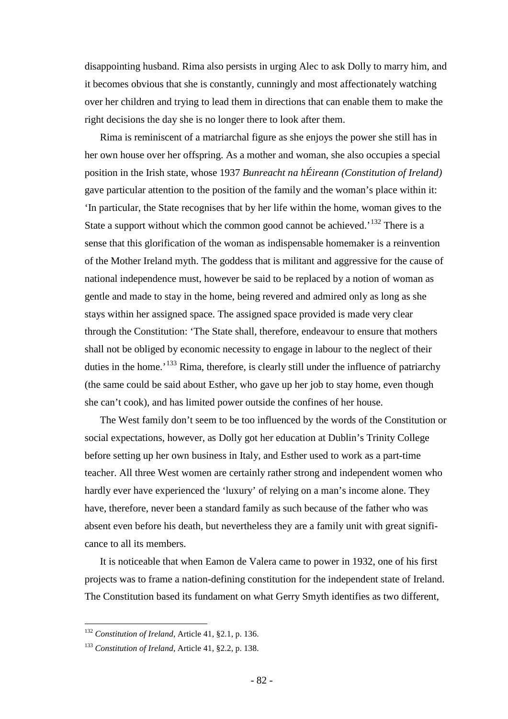disappointing husband. Rima also persists in urging Alec to ask Dolly to marry him, and it becomes obvious that she is constantly, cunningly and most affectionately watching over her children and trying to lead them in directions that can enable them to make the right decisions the day she is no longer there to look after them.

Rima is reminiscent of a matriarchal figure as she enjoys the power she still has in her own house over her offspring. As a mother and woman, she also occupies a special position in the Irish state, whose 1937 *Bunreacht na hÉireann (Constitution of Ireland)* gave particular attention to the position of the family and the woman's place within it: 'In particular, the State recognises that by her life within the home, woman gives to the State a support without which the common good cannot be achieved.<sup> $132$ </sup> There is a sense that this glorification of the woman as indispensable homemaker is a reinvention of the Mother Ireland myth. The goddess that is militant and aggressive for the cause of national independence must, however be said to be replaced by a notion of woman as gentle and made to stay in the home, being revered and admired only as long as she stays within her assigned space. The assigned space provided is made very clear through the Constitution: 'The State shall, therefore, endeavour to ensure that mothers shall not be obliged by economic necessity to engage in labour to the neglect of their duties in the home.<sup>'[133](#page-81-1)</sup> Rima, therefore, is clearly still under the influence of patriarchy (the same could be said about Esther, who gave up her job to stay home, even though she can't cook), and has limited power outside the confines of her house.

The West family don't seem to be too influenced by the words of the Constitution or social expectations, however, as Dolly got her education at Dublin's Trinity College before setting up her own business in Italy, and Esther used to work as a part-time teacher. All three West women are certainly rather strong and independent women who hardly ever have experienced the 'luxury' of relying on a man's income alone. They have, therefore, never been a standard family as such because of the father who was absent even before his death, but nevertheless they are a family unit with great significance to all its members.

It is noticeable that when Eamon de Valera came to power in 1932, one of his first projects was to frame a nation-defining constitution for the independent state of Ireland. The Constitution based its fundament on what Gerry Smyth identifies as two different,

<span id="page-81-0"></span> <sup>132</sup> *Constitution of Ireland*, Article 41, §2.1, p. 136.

<span id="page-81-1"></span><sup>133</sup> *Constitution of Ireland*, Article 41, §2.2, p. 138.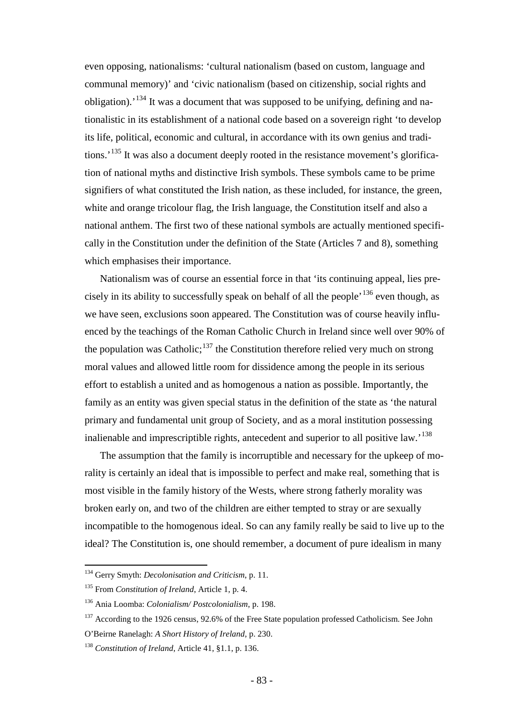even opposing, nationalisms: 'cultural nationalism (based on custom, language and communal memory)' and 'civic nationalism (based on citizenship, social rights and obligation).'[134](#page-82-0) It was a document that was supposed to be unifying, defining and nationalistic in its establishment of a national code based on a sovereign right 'to develop its life, political, economic and cultural, in accordance with its own genius and tradi-tions.<sup>'[135](#page-82-1)</sup> It was also a document deeply rooted in the resistance movement's glorification of national myths and distinctive Irish symbols. These symbols came to be prime signifiers of what constituted the Irish nation, as these included, for instance, the green, white and orange tricolour flag, the Irish language, the Constitution itself and also a national anthem. The first two of these national symbols are actually mentioned specifically in the Constitution under the definition of the State (Articles 7 and 8), something which emphasises their importance.

Nationalism was of course an essential force in that 'its continuing appeal, lies precisely in its ability to successfully speak on behalf of all the people<sup> $,136$  $,136$ </sup> even though, as we have seen, exclusions soon appeared. The Constitution was of course heavily influenced by the teachings of the Roman Catholic Church in Ireland since well over 90% of the population was Catholic; $137$  the Constitution therefore relied very much on strong moral values and allowed little room for dissidence among the people in its serious effort to establish a united and as homogenous a nation as possible. Importantly, the family as an entity was given special status in the definition of the state as 'the natural primary and fundamental unit group of Society, and as a moral institution possessing inalienable and imprescriptible rights, antecedent and superior to all positive law.<sup>[138](#page-82-4)</sup>

The assumption that the family is incorruptible and necessary for the upkeep of morality is certainly an ideal that is impossible to perfect and make real, something that is most visible in the family history of the Wests, where strong fatherly morality was broken early on, and two of the children are either tempted to stray or are sexually incompatible to the homogenous ideal. So can any family really be said to live up to the ideal? The Constitution is, one should remember, a document of pure idealism in many

<span id="page-82-0"></span> <sup>134</sup> Gerry Smyth: *Decolonisation and Criticism*, p. 11.

<span id="page-82-1"></span><sup>135</sup> From *Constitution of Ireland*, Article 1, p. 4.

<span id="page-82-2"></span><sup>136</sup> Ania Loomba: *Colonialism/ Postcolonialism*, p. 198.

<span id="page-82-3"></span><sup>&</sup>lt;sup>137</sup> According to the 1926 census, 92.6% of the Free State population professed Catholicism. See John O'Beirne Ranelagh: *A Short History of Ireland*, p. 230.

<span id="page-82-4"></span><sup>138</sup> *Constitution of Ireland*, Article 41, §1.1, p. 136.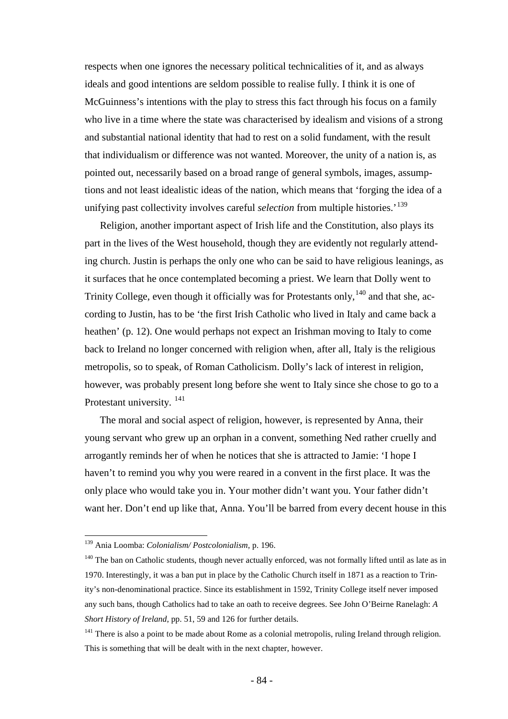respects when one ignores the necessary political technicalities of it, and as always ideals and good intentions are seldom possible to realise fully. I think it is one of McGuinness's intentions with the play to stress this fact through his focus on a family who live in a time where the state was characterised by idealism and visions of a strong and substantial national identity that had to rest on a solid fundament, with the result that individualism or difference was not wanted. Moreover, the unity of a nation is, as pointed out, necessarily based on a broad range of general symbols, images, assumptions and not least idealistic ideas of the nation, which means that 'forging the idea of a unifying past collectivity involves careful *selection* from multiple histories.<sup>[139](#page-83-0)</sup>

Religion, another important aspect of Irish life and the Constitution, also plays its part in the lives of the West household, though they are evidently not regularly attending church. Justin is perhaps the only one who can be said to have religious leanings, as it surfaces that he once contemplated becoming a priest. We learn that Dolly went to Trinity College, even though it officially was for Protestants only,  $140$  and that she, according to Justin, has to be 'the first Irish Catholic who lived in Italy and came back a heathen' (p. 12). One would perhaps not expect an Irishman moving to Italy to come back to Ireland no longer concerned with religion when, after all, Italy is the religious metropolis, so to speak, of Roman Catholicism. Dolly's lack of interest in religion, however, was probably present long before she went to Italy since she chose to go to a Protestant university.<sup>[141](#page-83-2)</sup>

The moral and social aspect of religion, however, is represented by Anna, their young servant who grew up an orphan in a convent, something Ned rather cruelly and arrogantly reminds her of when he notices that she is attracted to Jamie: 'I hope I haven't to remind you why you were reared in a convent in the first place. It was the only place who would take you in. Your mother didn't want you. Your father didn't want her. Don't end up like that, Anna. You'll be barred from every decent house in this

<span id="page-83-0"></span> <sup>139</sup> Ania Loomba: *Colonialism/ Postcolonialism*, p. 196.

<span id="page-83-1"></span><sup>&</sup>lt;sup>140</sup> The ban on Catholic students, though never actually enforced, was not formally lifted until as late as in 1970. Interestingly, it was a ban put in place by the Catholic Church itself in 1871 as a reaction to Trinity's non-denominational practice. Since its establishment in 1592, Trinity College itself never imposed any such bans, though Catholics had to take an oath to receive degrees. See John O'Beirne Ranelagh: *A Short History of Ireland*, pp. 51, 59 and 126 for further details.

<span id="page-83-2"></span><sup>&</sup>lt;sup>141</sup> There is also a point to be made about Rome as a colonial metropolis, ruling Ireland through religion. This is something that will be dealt with in the next chapter, however.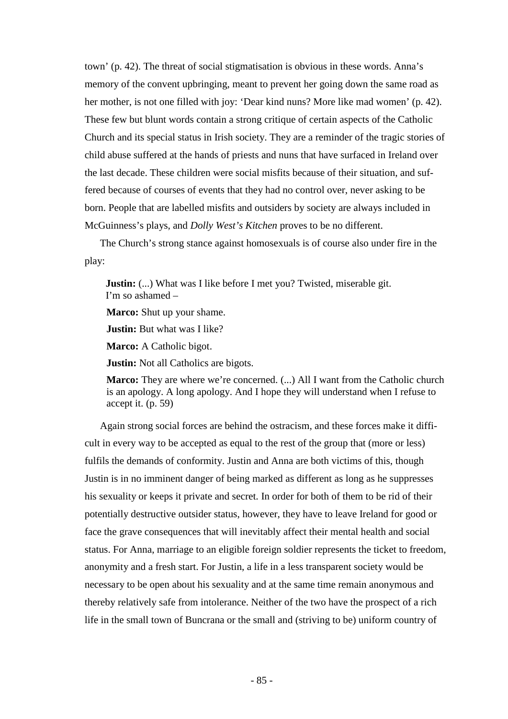town' (p. 42). The threat of social stigmatisation is obvious in these words. Anna's memory of the convent upbringing, meant to prevent her going down the same road as her mother, is not one filled with joy: 'Dear kind nuns? More like mad women' (p. 42). These few but blunt words contain a strong critique of certain aspects of the Catholic Church and its special status in Irish society. They are a reminder of the tragic stories of child abuse suffered at the hands of priests and nuns that have surfaced in Ireland over the last decade. These children were social misfits because of their situation, and suffered because of courses of events that they had no control over, never asking to be born. People that are labelled misfits and outsiders by society are always included in McGuinness's plays, and *Dolly West's Kitchen* proves to be no different.

The Church's strong stance against homosexuals is of course also under fire in the play:

**Justin:** (...) What was I like before I met you? Twisted, miserable git. I'm so ashamed –

**Marco:** Shut up your shame.

**Justin:** But what was I like?

**Marco:** A Catholic bigot.

**Justin:** Not all Catholics are bigots.

**Marco:** They are where we're concerned. (...) All I want from the Catholic church is an apology. A long apology. And I hope they will understand when I refuse to accept it. (p. 59)

Again strong social forces are behind the ostracism, and these forces make it difficult in every way to be accepted as equal to the rest of the group that (more or less) fulfils the demands of conformity. Justin and Anna are both victims of this, though Justin is in no imminent danger of being marked as different as long as he suppresses his sexuality or keeps it private and secret. In order for both of them to be rid of their potentially destructive outsider status, however, they have to leave Ireland for good or face the grave consequences that will inevitably affect their mental health and social status. For Anna, marriage to an eligible foreign soldier represents the ticket to freedom, anonymity and a fresh start. For Justin, a life in a less transparent society would be necessary to be open about his sexuality and at the same time remain anonymous and thereby relatively safe from intolerance. Neither of the two have the prospect of a rich life in the small town of Buncrana or the small and (striving to be) uniform country of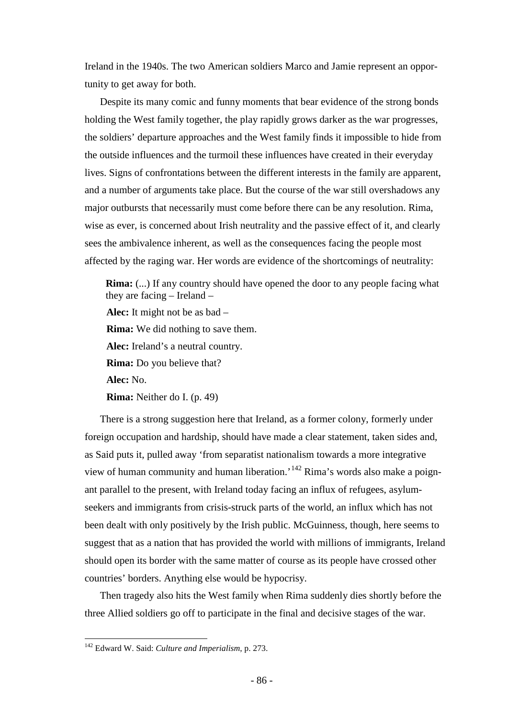Ireland in the 1940s. The two American soldiers Marco and Jamie represent an opportunity to get away for both.

Despite its many comic and funny moments that bear evidence of the strong bonds holding the West family together, the play rapidly grows darker as the war progresses, the soldiers' departure approaches and the West family finds it impossible to hide from the outside influences and the turmoil these influences have created in their everyday lives. Signs of confrontations between the different interests in the family are apparent, and a number of arguments take place. But the course of the war still overshadows any major outbursts that necessarily must come before there can be any resolution. Rima, wise as ever, is concerned about Irish neutrality and the passive effect of it, and clearly sees the ambivalence inherent, as well as the consequences facing the people most affected by the raging war. Her words are evidence of the shortcomings of neutrality:

**Rima:** (...) If any country should have opened the door to any people facing what they are facing – Ireland – **Alec:** It might not be as bad – **Rima:** We did nothing to save them. **Alec:** Ireland's a neutral country. **Rima:** Do you believe that? **Alec:** No. **Rima:** Neither do I. (p. 49)

There is a strong suggestion here that Ireland, as a former colony, formerly under foreign occupation and hardship, should have made a clear statement, taken sides and, as Said puts it, pulled away 'from separatist nationalism towards a more integrative view of human community and human liberation.<sup>[142](#page-85-0)</sup> Rima's words also make a poignant parallel to the present, with Ireland today facing an influx of refugees, asylumseekers and immigrants from crisis-struck parts of the world, an influx which has not been dealt with only positively by the Irish public. McGuinness, though, here seems to suggest that as a nation that has provided the world with millions of immigrants, Ireland should open its border with the same matter of course as its people have crossed other countries' borders. Anything else would be hypocrisy.

Then tragedy also hits the West family when Rima suddenly dies shortly before the three Allied soldiers go off to participate in the final and decisive stages of the war.

<span id="page-85-0"></span> <sup>142</sup> Edward W. Said: *Culture and Imperialism*, p. 273.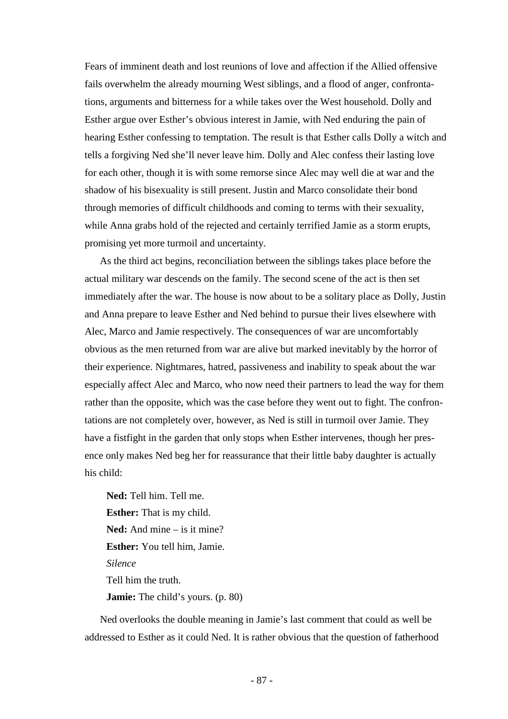Fears of imminent death and lost reunions of love and affection if the Allied offensive fails overwhelm the already mourning West siblings, and a flood of anger, confrontations, arguments and bitterness for a while takes over the West household. Dolly and Esther argue over Esther's obvious interest in Jamie, with Ned enduring the pain of hearing Esther confessing to temptation. The result is that Esther calls Dolly a witch and tells a forgiving Ned she'll never leave him. Dolly and Alec confess their lasting love for each other, though it is with some remorse since Alec may well die at war and the shadow of his bisexuality is still present. Justin and Marco consolidate their bond through memories of difficult childhoods and coming to terms with their sexuality, while Anna grabs hold of the rejected and certainly terrified Jamie as a storm erupts, promising yet more turmoil and uncertainty.

As the third act begins, reconciliation between the siblings takes place before the actual military war descends on the family. The second scene of the act is then set immediately after the war. The house is now about to be a solitary place as Dolly, Justin and Anna prepare to leave Esther and Ned behind to pursue their lives elsewhere with Alec, Marco and Jamie respectively. The consequences of war are uncomfortably obvious as the men returned from war are alive but marked inevitably by the horror of their experience. Nightmares, hatred, passiveness and inability to speak about the war especially affect Alec and Marco, who now need their partners to lead the way for them rather than the opposite, which was the case before they went out to fight. The confrontations are not completely over, however, as Ned is still in turmoil over Jamie. They have a fistfight in the garden that only stops when Esther intervenes, though her presence only makes Ned beg her for reassurance that their little baby daughter is actually his child:

**Ned:** Tell him. Tell me. **Esther:** That is my child. **Ned:** And mine – is it mine? **Esther:** You tell him, Jamie. *Silence* Tell him the truth. **Jamie:** The child's yours. (p. 80)

Ned overlooks the double meaning in Jamie's last comment that could as well be addressed to Esther as it could Ned. It is rather obvious that the question of fatherhood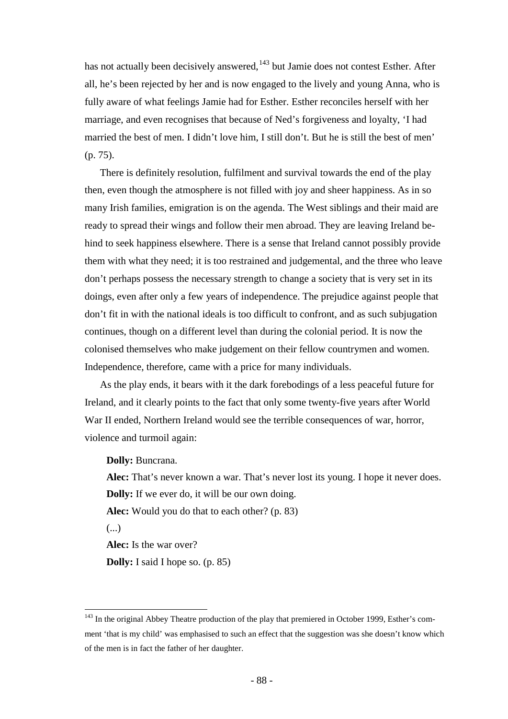has not actually been decisively answered,<sup>[143](#page-87-0)</sup> but Jamie does not contest Esther. After all, he's been rejected by her and is now engaged to the lively and young Anna, who is fully aware of what feelings Jamie had for Esther. Esther reconciles herself with her marriage, and even recognises that because of Ned's forgiveness and loyalty, 'I had married the best of men. I didn't love him, I still don't. But he is still the best of men' (p. 75).

There is definitely resolution, fulfilment and survival towards the end of the play then, even though the atmosphere is not filled with joy and sheer happiness. As in so many Irish families, emigration is on the agenda. The West siblings and their maid are ready to spread their wings and follow their men abroad. They are leaving Ireland behind to seek happiness elsewhere. There is a sense that Ireland cannot possibly provide them with what they need; it is too restrained and judgemental, and the three who leave don't perhaps possess the necessary strength to change a society that is very set in its doings, even after only a few years of independence. The prejudice against people that don't fit in with the national ideals is too difficult to confront, and as such subjugation continues, though on a different level than during the colonial period. It is now the colonised themselves who make judgement on their fellow countrymen and women. Independence, therefore, came with a price for many individuals.

As the play ends, it bears with it the dark forebodings of a less peaceful future for Ireland, and it clearly points to the fact that only some twenty-five years after World War II ended, Northern Ireland would see the terrible consequences of war, horror, violence and turmoil again:

**Dolly:** Buncrana.

**Alec:** That's never known a war. That's never lost its young. I hope it never does. **Dolly:** If we ever do, it will be our own doing.

**Alec:** Would you do that to each other? (p. 83)

(...)

**Alec:** Is the war over?

**Dolly:** I said I hope so. (p. 85)

<span id="page-87-0"></span><sup>&</sup>lt;sup>143</sup> In the original Abbey Theatre production of the play that premiered in October 1999, Esther's comment 'that is my child' was emphasised to such an effect that the suggestion was she doesn't know which of the men is in fact the father of her daughter.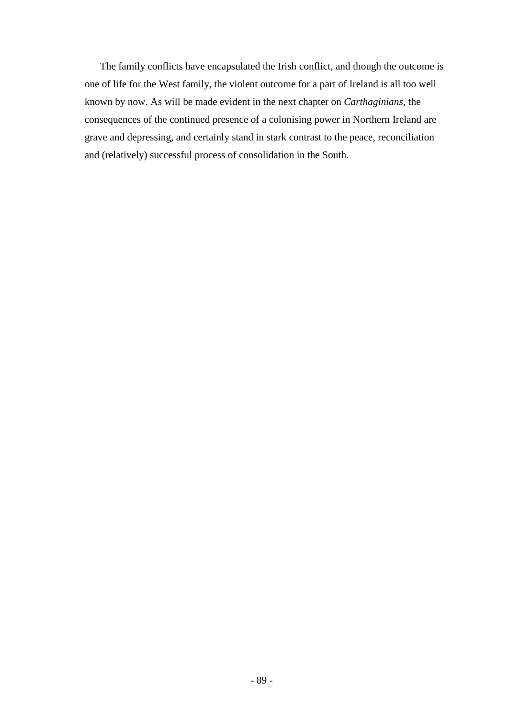The family conflicts have encapsulated the Irish conflict, and though the outcome is one of life for the West family, the violent outcome for a part of Ireland is all too well known by now. As will be made evident in the next chapter on *Carthaginians*, the consequences of the continued presence of a colonising power in Northern Ireland are grave and depressing, and certainly stand in stark contrast to the peace, reconciliation and (relatively) successful process of consolidation in the South.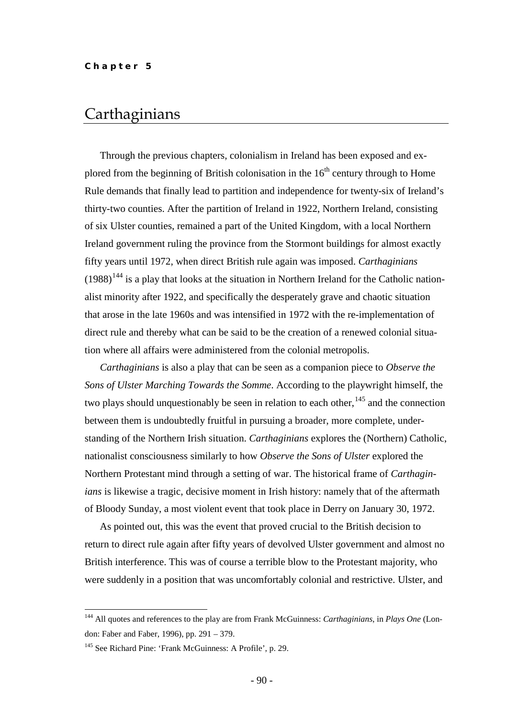## **Carthaginians**

Through the previous chapters, colonialism in Ireland has been exposed and explored from the beginning of British colonisation in the  $16<sup>th</sup>$  century through to Home Rule demands that finally lead to partition and independence for twenty-six of Ireland's thirty-two counties. After the partition of Ireland in 1922, Northern Ireland, consisting of six Ulster counties, remained a part of the United Kingdom, with a local Northern Ireland government ruling the province from the Stormont buildings for almost exactly fifty years until 1972, when direct British rule again was imposed. *Carthaginians*   $(1988)^{144}$  $(1988)^{144}$  $(1988)^{144}$  is a play that looks at the situation in Northern Ireland for the Catholic nationalist minority after 1922, and specifically the desperately grave and chaotic situation that arose in the late 1960s and was intensified in 1972 with the re-implementation of direct rule and thereby what can be said to be the creation of a renewed colonial situation where all affairs were administered from the colonial metropolis.

*Carthaginians* is also a play that can be seen as a companion piece to *Observe the Sons of Ulster Marching Towards the Somme*. According to the playwright himself, the two plays should unquestionably be seen in relation to each other,<sup>[145](#page-89-1)</sup> and the connection between them is undoubtedly fruitful in pursuing a broader, more complete, understanding of the Northern Irish situation. *Carthaginians* explores the (Northern) Catholic, nationalist consciousness similarly to how *Observe the Sons of Ulster* explored the Northern Protestant mind through a setting of war. The historical frame of *Carthaginians* is likewise a tragic, decisive moment in Irish history: namely that of the aftermath of Bloody Sunday, a most violent event that took place in Derry on January 30, 1972.

As pointed out, this was the event that proved crucial to the British decision to return to direct rule again after fifty years of devolved Ulster government and almost no British interference. This was of course a terrible blow to the Protestant majority, who were suddenly in a position that was uncomfortably colonial and restrictive. Ulster, and

<span id="page-89-0"></span> <sup>144</sup> All quotes and references to the play are from Frank McGuinness: *Carthaginians*, in *Plays One* (London: Faber and Faber, 1996), pp. 291 – 379.

<span id="page-89-1"></span><sup>145</sup> See Richard Pine: 'Frank McGuinness: A Profile', p. 29.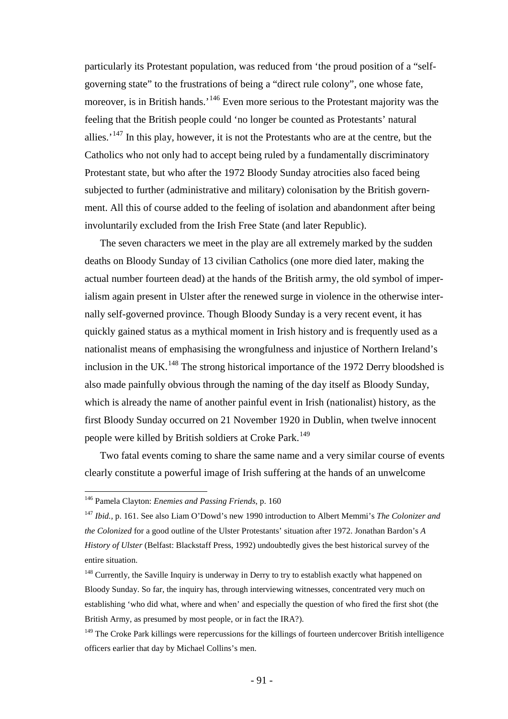particularly its Protestant population, was reduced from 'the proud position of a "selfgoverning state" to the frustrations of being a "direct rule colony", one whose fate, moreover, is in British hands.<sup>'[146](#page-90-0)</sup> Even more serious to the Protestant majority was the feeling that the British people could 'no longer be counted as Protestants' natural allies.<sup>'[147](#page-90-1)</sup> In this play, however, it is not the Protestants who are at the centre, but the Catholics who not only had to accept being ruled by a fundamentally discriminatory Protestant state, but who after the 1972 Bloody Sunday atrocities also faced being subjected to further (administrative and military) colonisation by the British government. All this of course added to the feeling of isolation and abandonment after being involuntarily excluded from the Irish Free State (and later Republic).

The seven characters we meet in the play are all extremely marked by the sudden deaths on Bloody Sunday of 13 civilian Catholics (one more died later, making the actual number fourteen dead) at the hands of the British army, the old symbol of imperialism again present in Ulster after the renewed surge in violence in the otherwise internally self-governed province. Though Bloody Sunday is a very recent event, it has quickly gained status as a mythical moment in Irish history and is frequently used as a nationalist means of emphasising the wrongfulness and injustice of Northern Ireland's inclusion in the UK.<sup>[148](#page-90-2)</sup> The strong historical importance of the 1972 Derry bloodshed is also made painfully obvious through the naming of the day itself as Bloody Sunday, which is already the name of another painful event in Irish (nationalist) history, as the first Bloody Sunday occurred on 21 November 1920 in Dublin, when twelve innocent people were killed by British soldiers at Croke Park.<sup>[149](#page-90-3)</sup>

Two fatal events coming to share the same name and a very similar course of events clearly constitute a powerful image of Irish suffering at the hands of an unwelcome

<span id="page-90-0"></span> <sup>146</sup> Pamela Clayton: *Enemies and Passing Friends*, p. 160

<span id="page-90-1"></span><sup>147</sup> *Ibid.,* p. 161. See also Liam O'Dowd's new 1990 introduction to Albert Memmi's *The Colonizer and the Colonized* for a good outline of the Ulster Protestants' situation after 1972. Jonathan Bardon's *A History of Ulster* (Belfast: Blackstaff Press, 1992) undoubtedly gives the best historical survey of the entire situation.

<span id="page-90-2"></span><sup>&</sup>lt;sup>148</sup> Currently, the Saville Inquiry is underway in Derry to try to establish exactly what happened on Bloody Sunday. So far, the inquiry has, through interviewing witnesses, concentrated very much on establishing 'who did what, where and when' and especially the question of who fired the first shot (the British Army, as presumed by most people, or in fact the IRA?).

<span id="page-90-3"></span><sup>&</sup>lt;sup>149</sup> The Croke Park killings were repercussions for the killings of fourteen undercover British intelligence officers earlier that day by Michael Collins's men.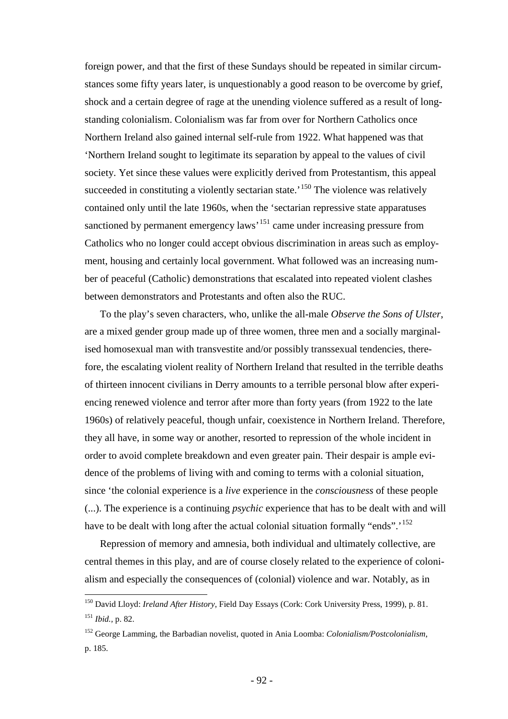foreign power, and that the first of these Sundays should be repeated in similar circumstances some fifty years later, is unquestionably a good reason to be overcome by grief, shock and a certain degree of rage at the unending violence suffered as a result of longstanding colonialism. Colonialism was far from over for Northern Catholics once Northern Ireland also gained internal self-rule from 1922. What happened was that 'Northern Ireland sought to legitimate its separation by appeal to the values of civil society. Yet since these values were explicitly derived from Protestantism, this appeal succeeded in constituting a violently sectarian state.<sup> $150$ </sup> The violence was relatively contained only until the late 1960s, when the 'sectarian repressive state apparatuses sanctioned by permanent emergency laws<sup>[151](#page-91-1)</sup> came under increasing pressure from Catholics who no longer could accept obvious discrimination in areas such as employment, housing and certainly local government. What followed was an increasing number of peaceful (Catholic) demonstrations that escalated into repeated violent clashes between demonstrators and Protestants and often also the RUC.

To the play's seven characters, who, unlike the all-male *Observe the Sons of Ulster*, are a mixed gender group made up of three women, three men and a socially marginalised homosexual man with transvestite and/or possibly transsexual tendencies, therefore, the escalating violent reality of Northern Ireland that resulted in the terrible deaths of thirteen innocent civilians in Derry amounts to a terrible personal blow after experiencing renewed violence and terror after more than forty years (from 1922 to the late 1960s) of relatively peaceful, though unfair, coexistence in Northern Ireland. Therefore, they all have, in some way or another, resorted to repression of the whole incident in order to avoid complete breakdown and even greater pain. Their despair is ample evidence of the problems of living with and coming to terms with a colonial situation, since 'the colonial experience is a *live* experience in the *consciousness* of these people (...). The experience is a continuing *psychic* experience that has to be dealt with and will have to be dealt with long after the actual colonial situation formally "ends".<sup>[152](#page-91-2)</sup>

Repression of memory and amnesia, both individual and ultimately collective, are central themes in this play, and are of course closely related to the experience of colonialism and especially the consequences of (colonial) violence and war. Notably, as in

<span id="page-91-0"></span> <sup>150</sup> David Lloyd: *Ireland After History*, Field Day Essays (Cork: Cork University Press, 1999), p. 81. <sup>151</sup> *Ibid.,* p. 82.

<span id="page-91-2"></span><span id="page-91-1"></span><sup>152</sup> George Lamming, the Barbadian novelist, quoted in Ania Loomba: *Colonialism/Postcolonialism*, p. 185.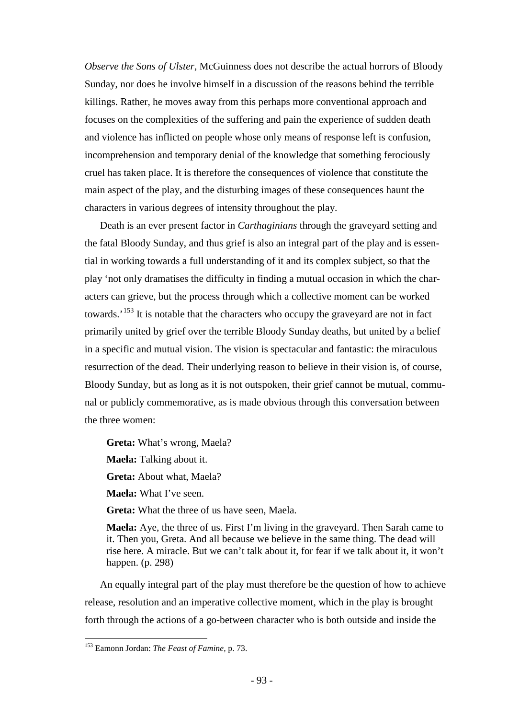*Observe the Sons of Ulster*, McGuinness does not describe the actual horrors of Bloody Sunday, nor does he involve himself in a discussion of the reasons behind the terrible killings. Rather, he moves away from this perhaps more conventional approach and focuses on the complexities of the suffering and pain the experience of sudden death and violence has inflicted on people whose only means of response left is confusion, incomprehension and temporary denial of the knowledge that something ferociously cruel has taken place. It is therefore the consequences of violence that constitute the main aspect of the play, and the disturbing images of these consequences haunt the characters in various degrees of intensity throughout the play.

Death is an ever present factor in *Carthaginians* through the graveyard setting and the fatal Bloody Sunday, and thus grief is also an integral part of the play and is essential in working towards a full understanding of it and its complex subject, so that the play 'not only dramatises the difficulty in finding a mutual occasion in which the characters can grieve, but the process through which a collective moment can be worked towards.<sup>[153](#page-92-0)</sup> It is notable that the characters who occupy the graveyard are not in fact primarily united by grief over the terrible Bloody Sunday deaths, but united by a belief in a specific and mutual vision. The vision is spectacular and fantastic: the miraculous resurrection of the dead. Their underlying reason to believe in their vision is, of course, Bloody Sunday, but as long as it is not outspoken, their grief cannot be mutual, communal or publicly commemorative, as is made obvious through this conversation between the three women:

**Greta:** What's wrong, Maela?

**Maela:** Talking about it.

**Greta:** About what, Maela?

**Maela:** What I've seen.

**Greta:** What the three of us have seen, Maela.

**Maela:** Aye, the three of us. First I'm living in the graveyard. Then Sarah came to it. Then you, Greta. And all because we believe in the same thing. The dead will rise here. A miracle. But we can't talk about it, for fear if we talk about it, it won't happen. (p. 298)

An equally integral part of the play must therefore be the question of how to achieve release, resolution and an imperative collective moment, which in the play is brought forth through the actions of a go-between character who is both outside and inside the

<span id="page-92-0"></span> <sup>153</sup> Eamonn Jordan: *The Feast of Famine*, p. 73.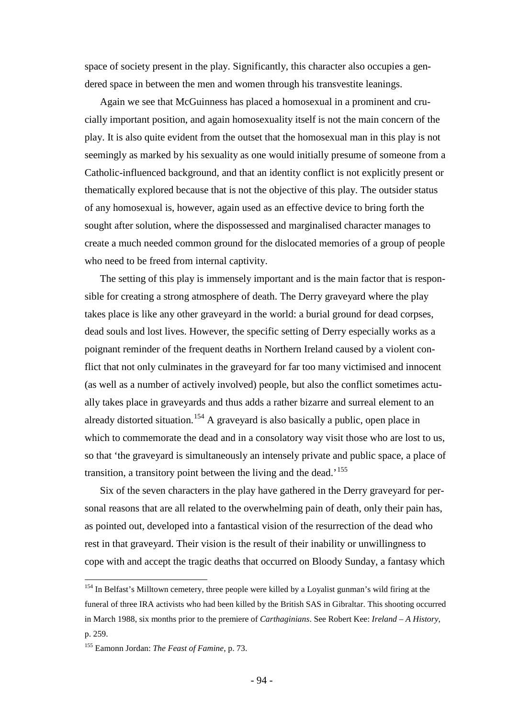space of society present in the play. Significantly, this character also occupies a gendered space in between the men and women through his transvestite leanings.

Again we see that McGuinness has placed a homosexual in a prominent and crucially important position, and again homosexuality itself is not the main concern of the play. It is also quite evident from the outset that the homosexual man in this play is not seemingly as marked by his sexuality as one would initially presume of someone from a Catholic-influenced background, and that an identity conflict is not explicitly present or thematically explored because that is not the objective of this play. The outsider status of any homosexual is, however, again used as an effective device to bring forth the sought after solution, where the dispossessed and marginalised character manages to create a much needed common ground for the dislocated memories of a group of people who need to be freed from internal captivity.

The setting of this play is immensely important and is the main factor that is responsible for creating a strong atmosphere of death. The Derry graveyard where the play takes place is like any other graveyard in the world: a burial ground for dead corpses, dead souls and lost lives. However, the specific setting of Derry especially works as a poignant reminder of the frequent deaths in Northern Ireland caused by a violent conflict that not only culminates in the graveyard for far too many victimised and innocent (as well as a number of actively involved) people, but also the conflict sometimes actually takes place in graveyards and thus adds a rather bizarre and surreal element to an already distorted situation.<sup>[154](#page-93-0)</sup> A graveyard is also basically a public, open place in which to commemorate the dead and in a consolatory way visit those who are lost to us, so that 'the graveyard is simultaneously an intensely private and public space, a place of transition, a transitory point between the living and the dead.<sup>[155](#page-93-1)</sup>

Six of the seven characters in the play have gathered in the Derry graveyard for personal reasons that are all related to the overwhelming pain of death, only their pain has, as pointed out, developed into a fantastical vision of the resurrection of the dead who rest in that graveyard. Their vision is the result of their inability or unwillingness to cope with and accept the tragic deaths that occurred on Bloody Sunday, a fantasy which

<span id="page-93-0"></span><sup>&</sup>lt;sup>154</sup> In Belfast's Milltown cemetery, three people were killed by a Loyalist gunman's wild firing at the funeral of three IRA activists who had been killed by the British SAS in Gibraltar. This shooting occurred in March 1988, six months prior to the premiere of *Carthaginians*. See Robert Kee: *Ireland – A History*, p. 259.

<span id="page-93-1"></span><sup>155</sup> Eamonn Jordan: *The Feast of Famine*, p. 73.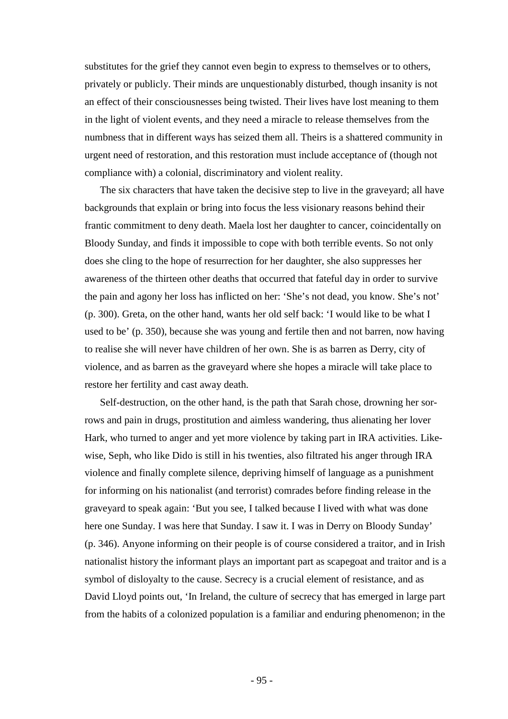substitutes for the grief they cannot even begin to express to themselves or to others, privately or publicly. Their minds are unquestionably disturbed, though insanity is not an effect of their consciousnesses being twisted. Their lives have lost meaning to them in the light of violent events, and they need a miracle to release themselves from the numbness that in different ways has seized them all. Theirs is a shattered community in urgent need of restoration, and this restoration must include acceptance of (though not compliance with) a colonial, discriminatory and violent reality.

The six characters that have taken the decisive step to live in the graveyard; all have backgrounds that explain or bring into focus the less visionary reasons behind their frantic commitment to deny death. Maela lost her daughter to cancer, coincidentally on Bloody Sunday, and finds it impossible to cope with both terrible events. So not only does she cling to the hope of resurrection for her daughter, she also suppresses her awareness of the thirteen other deaths that occurred that fateful day in order to survive the pain and agony her loss has inflicted on her: 'She's not dead, you know. She's not' (p. 300). Greta, on the other hand, wants her old self back: 'I would like to be what I used to be' (p. 350), because she was young and fertile then and not barren, now having to realise she will never have children of her own. She is as barren as Derry, city of violence, and as barren as the graveyard where she hopes a miracle will take place to restore her fertility and cast away death.

Self-destruction, on the other hand, is the path that Sarah chose, drowning her sorrows and pain in drugs, prostitution and aimless wandering, thus alienating her lover Hark, who turned to anger and yet more violence by taking part in IRA activities. Likewise, Seph, who like Dido is still in his twenties, also filtrated his anger through IRA violence and finally complete silence, depriving himself of language as a punishment for informing on his nationalist (and terrorist) comrades before finding release in the graveyard to speak again: 'But you see, I talked because I lived with what was done here one Sunday. I was here that Sunday. I saw it. I was in Derry on Bloody Sunday' (p. 346). Anyone informing on their people is of course considered a traitor, and in Irish nationalist history the informant plays an important part as scapegoat and traitor and is a symbol of disloyalty to the cause. Secrecy is a crucial element of resistance, and as David Lloyd points out, 'In Ireland, the culture of secrecy that has emerged in large part from the habits of a colonized population is a familiar and enduring phenomenon; in the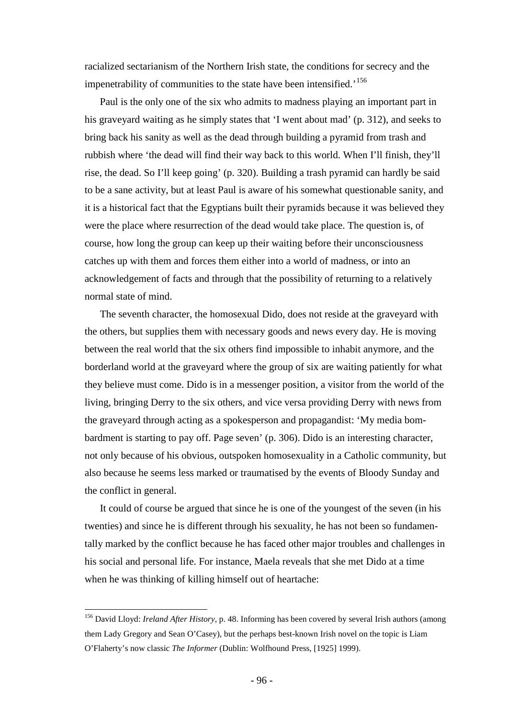racialized sectarianism of the Northern Irish state, the conditions for secrecy and the impenetrability of communities to the state have been intensified.<sup>[156](#page-95-0)</sup>

Paul is the only one of the six who admits to madness playing an important part in his graveyard waiting as he simply states that 'I went about mad' (p. 312), and seeks to bring back his sanity as well as the dead through building a pyramid from trash and rubbish where 'the dead will find their way back to this world. When I'll finish, they'll rise, the dead. So I'll keep going' (p. 320). Building a trash pyramid can hardly be said to be a sane activity, but at least Paul is aware of his somewhat questionable sanity, and it is a historical fact that the Egyptians built their pyramids because it was believed they were the place where resurrection of the dead would take place. The question is, of course, how long the group can keep up their waiting before their unconsciousness catches up with them and forces them either into a world of madness, or into an acknowledgement of facts and through that the possibility of returning to a relatively normal state of mind.

The seventh character, the homosexual Dido, does not reside at the graveyard with the others, but supplies them with necessary goods and news every day. He is moving between the real world that the six others find impossible to inhabit anymore, and the borderland world at the graveyard where the group of six are waiting patiently for what they believe must come. Dido is in a messenger position, a visitor from the world of the living, bringing Derry to the six others, and vice versa providing Derry with news from the graveyard through acting as a spokesperson and propagandist: 'My media bombardment is starting to pay off. Page seven' (p. 306). Dido is an interesting character, not only because of his obvious, outspoken homosexuality in a Catholic community, but also because he seems less marked or traumatised by the events of Bloody Sunday and the conflict in general.

It could of course be argued that since he is one of the youngest of the seven (in his twenties) and since he is different through his sexuality, he has not been so fundamentally marked by the conflict because he has faced other major troubles and challenges in his social and personal life. For instance, Maela reveals that she met Dido at a time when he was thinking of killing himself out of heartache:

<span id="page-95-0"></span> <sup>156</sup> David Lloyd: *Ireland After History*, p. 48. Informing has been covered by several Irish authors (among them Lady Gregory and Sean O'Casey), but the perhaps best-known Irish novel on the topic is Liam O'Flaherty's now classic *The Informer* (Dublin: Wolfhound Press, [1925] 1999).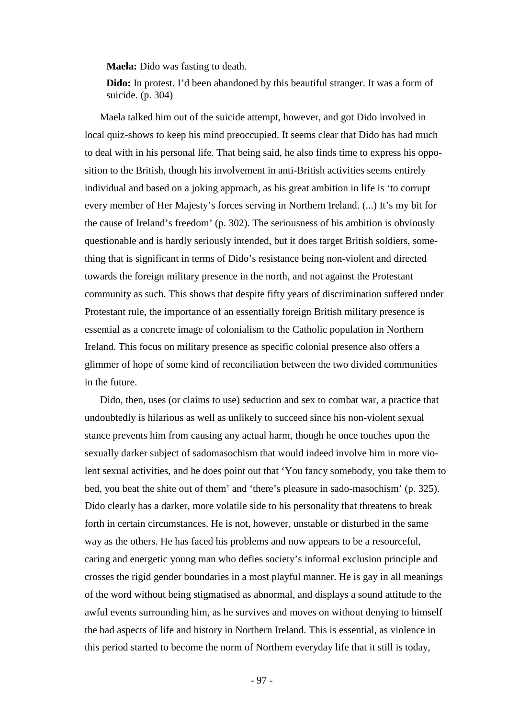**Maela:** Dido was fasting to death.

**Dido:** In protest. I'd been abandoned by this beautiful stranger. It was a form of suicide. (p. 304)

Maela talked him out of the suicide attempt, however, and got Dido involved in local quiz-shows to keep his mind preoccupied. It seems clear that Dido has had much to deal with in his personal life. That being said, he also finds time to express his opposition to the British, though his involvement in anti-British activities seems entirely individual and based on a joking approach, as his great ambition in life is 'to corrupt every member of Her Majesty's forces serving in Northern Ireland. (...) It's my bit for the cause of Ireland's freedom' (p. 302). The seriousness of his ambition is obviously questionable and is hardly seriously intended, but it does target British soldiers, something that is significant in terms of Dido's resistance being non-violent and directed towards the foreign military presence in the north, and not against the Protestant community as such. This shows that despite fifty years of discrimination suffered under Protestant rule, the importance of an essentially foreign British military presence is essential as a concrete image of colonialism to the Catholic population in Northern Ireland. This focus on military presence as specific colonial presence also offers a glimmer of hope of some kind of reconciliation between the two divided communities in the future.

Dido, then, uses (or claims to use) seduction and sex to combat war, a practice that undoubtedly is hilarious as well as unlikely to succeed since his non-violent sexual stance prevents him from causing any actual harm, though he once touches upon the sexually darker subject of sadomasochism that would indeed involve him in more violent sexual activities, and he does point out that 'You fancy somebody, you take them to bed, you beat the shite out of them' and 'there's pleasure in sado-masochism' (p. 325). Dido clearly has a darker, more volatile side to his personality that threatens to break forth in certain circumstances. He is not, however, unstable or disturbed in the same way as the others. He has faced his problems and now appears to be a resourceful, caring and energetic young man who defies society's informal exclusion principle and crosses the rigid gender boundaries in a most playful manner. He is gay in all meanings of the word without being stigmatised as abnormal, and displays a sound attitude to the awful events surrounding him, as he survives and moves on without denying to himself the bad aspects of life and history in Northern Ireland. This is essential, as violence in this period started to become the norm of Northern everyday life that it still is today,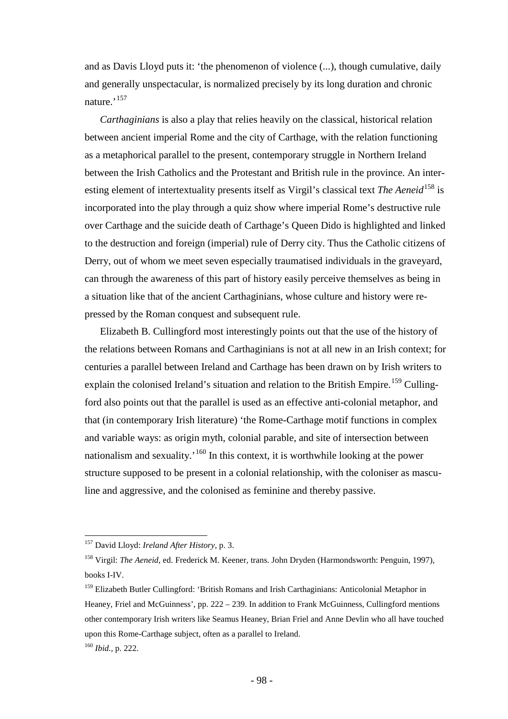and as Davis Lloyd puts it: 'the phenomenon of violence (...), though cumulative, daily and generally unspectacular, is normalized precisely by its long duration and chronic nature.<sup>[157](#page-97-0)</sup>

*Carthaginians* is also a play that relies heavily on the classical, historical relation between ancient imperial Rome and the city of Carthage, with the relation functioning as a metaphorical parallel to the present, contemporary struggle in Northern Ireland between the Irish Catholics and the Protestant and British rule in the province. An interesting element of intertextuality presents itself as Virgil's classical text *The Aeneid*<sup>[158](#page-97-1)</sup> is incorporated into the play through a quiz show where imperial Rome's destructive rule over Carthage and the suicide death of Carthage's Queen Dido is highlighted and linked to the destruction and foreign (imperial) rule of Derry city. Thus the Catholic citizens of Derry, out of whom we meet seven especially traumatised individuals in the graveyard, can through the awareness of this part of history easily perceive themselves as being in a situation like that of the ancient Carthaginians, whose culture and history were repressed by the Roman conquest and subsequent rule.

Elizabeth B. Cullingford most interestingly points out that the use of the history of the relations between Romans and Carthaginians is not at all new in an Irish context; for centuries a parallel between Ireland and Carthage has been drawn on by Irish writers to explain the colonised Ireland's situation and relation to the British Empire.<sup>[159](#page-97-2)</sup> Cullingford also points out that the parallel is used as an effective anti-colonial metaphor, and that (in contemporary Irish literature) 'the Rome-Carthage motif functions in complex and variable ways: as origin myth, colonial parable, and site of intersection between nationalism and sexuality.'<sup>[160](#page-97-3)</sup> In this context, it is worthwhile looking at the power structure supposed to be present in a colonial relationship, with the coloniser as masculine and aggressive, and the colonised as feminine and thereby passive.

<span id="page-97-0"></span> <sup>157</sup> David Lloyd: *Ireland After History*, p. 3.

<span id="page-97-1"></span><sup>158</sup> Virgil: *The Aeneid*, ed. Frederick M. Keener, trans. John Dryden (Harmondsworth: Penguin, 1997), books I-IV.

<span id="page-97-2"></span><sup>&</sup>lt;sup>159</sup> Elizabeth Butler Cullingford: 'British Romans and Irish Carthaginians: Anticolonial Metaphor in Heaney, Friel and McGuinness', pp. 222 – 239. In addition to Frank McGuinness, Cullingford mentions other contemporary Irish writers like Seamus Heaney, Brian Friel and Anne Devlin who all have touched upon this Rome-Carthage subject, often as a parallel to Ireland.

<span id="page-97-3"></span><sup>160</sup> *Ibid.,* p. 222.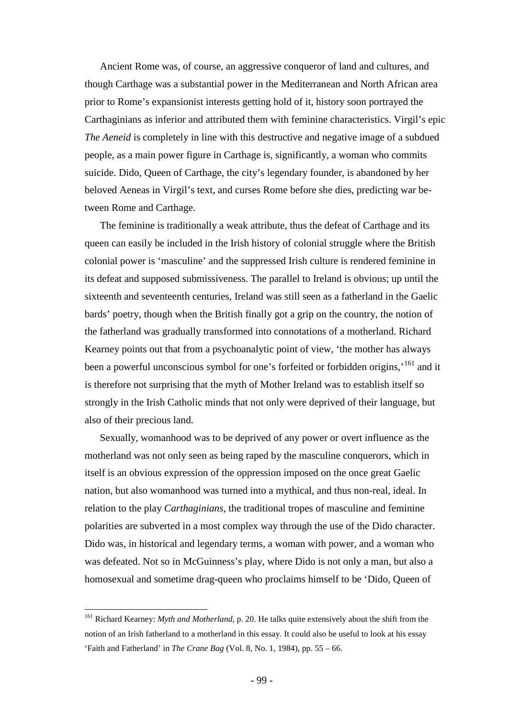Ancient Rome was, of course, an aggressive conqueror of land and cultures, and though Carthage was a substantial power in the Mediterranean and North African area prior to Rome's expansionist interests getting hold of it, history soon portrayed the Carthaginians as inferior and attributed them with feminine characteristics. Virgil's epic *The Aeneid* is completely in line with this destructive and negative image of a subdued people, as a main power figure in Carthage is, significantly, a woman who commits suicide. Dido, Queen of Carthage, the city's legendary founder, is abandoned by her beloved Aeneas in Virgil's text, and curses Rome before she dies, predicting war between Rome and Carthage.

The feminine is traditionally a weak attribute, thus the defeat of Carthage and its queen can easily be included in the Irish history of colonial struggle where the British colonial power is 'masculine' and the suppressed Irish culture is rendered feminine in its defeat and supposed submissiveness. The parallel to Ireland is obvious; up until the sixteenth and seventeenth centuries, Ireland was still seen as a fatherland in the Gaelic bards' poetry, though when the British finally got a grip on the country, the notion of the fatherland was gradually transformed into connotations of a motherland. Richard Kearney points out that from a psychoanalytic point of view, 'the mother has always been a powerful unconscious symbol for one's forfeited or forbidden origins,<sup>[161](#page-98-0)</sup> and it is therefore not surprising that the myth of Mother Ireland was to establish itself so strongly in the Irish Catholic minds that not only were deprived of their language, but also of their precious land.

Sexually, womanhood was to be deprived of any power or overt influence as the motherland was not only seen as being raped by the masculine conquerors, which in itself is an obvious expression of the oppression imposed on the once great Gaelic nation, but also womanhood was turned into a mythical, and thus non-real, ideal. In relation to the play *Carthaginians*, the traditional tropes of masculine and feminine polarities are subverted in a most complex way through the use of the Dido character. Dido was, in historical and legendary terms, a woman with power, and a woman who was defeated. Not so in McGuinness's play, where Dido is not only a man, but also a homosexual and sometime drag-queen who proclaims himself to be 'Dido, Queen of

<span id="page-98-0"></span> <sup>161</sup> Richard Kearney: *Myth and Motherland*, p. 20. He talks quite extensively about the shift from the notion of an Irish fatherland to a motherland in this essay. It could also be useful to look at his essay 'Faith and Fatherland' in *The Crane Bag* (Vol. 8, No. 1, 1984), pp. 55 – 66.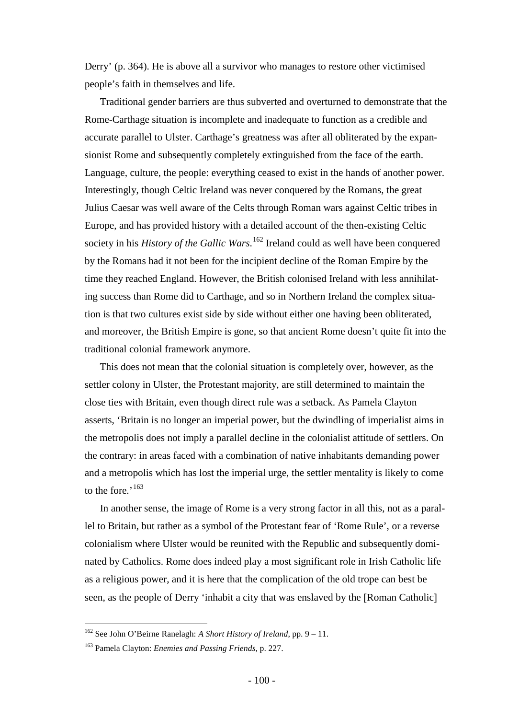Derry' (p. 364). He is above all a survivor who manages to restore other victimised people's faith in themselves and life.

Traditional gender barriers are thus subverted and overturned to demonstrate that the Rome-Carthage situation is incomplete and inadequate to function as a credible and accurate parallel to Ulster. Carthage's greatness was after all obliterated by the expansionist Rome and subsequently completely extinguished from the face of the earth. Language, culture, the people: everything ceased to exist in the hands of another power. Interestingly, though Celtic Ireland was never conquered by the Romans, the great Julius Caesar was well aware of the Celts through Roman wars against Celtic tribes in Europe, and has provided history with a detailed account of the then-existing Celtic society in his *History of the Gallic Wars*. [162](#page-99-0) Ireland could as well have been conquered by the Romans had it not been for the incipient decline of the Roman Empire by the time they reached England. However, the British colonised Ireland with less annihilating success than Rome did to Carthage, and so in Northern Ireland the complex situation is that two cultures exist side by side without either one having been obliterated, and moreover, the British Empire is gone, so that ancient Rome doesn't quite fit into the traditional colonial framework anymore.

This does not mean that the colonial situation is completely over, however, as the settler colony in Ulster, the Protestant majority, are still determined to maintain the close ties with Britain, even though direct rule was a setback. As Pamela Clayton asserts, 'Britain is no longer an imperial power, but the dwindling of imperialist aims in the metropolis does not imply a parallel decline in the colonialist attitude of settlers. On the contrary: in areas faced with a combination of native inhabitants demanding power and a metropolis which has lost the imperial urge, the settler mentality is likely to come to the fore.'<sup>[163](#page-99-1)</sup>

In another sense, the image of Rome is a very strong factor in all this, not as a parallel to Britain, but rather as a symbol of the Protestant fear of 'Rome Rule', or a reverse colonialism where Ulster would be reunited with the Republic and subsequently dominated by Catholics. Rome does indeed play a most significant role in Irish Catholic life as a religious power, and it is here that the complication of the old trope can best be seen, as the people of Derry 'inhabit a city that was enslaved by the [Roman Catholic]

<span id="page-99-0"></span> <sup>162</sup> See John O'Beirne Ranelagh: *A Short History of Ireland*, pp. 9 – 11.

<span id="page-99-1"></span><sup>163</sup> Pamela Clayton: *Enemies and Passing Friends*, p. 227.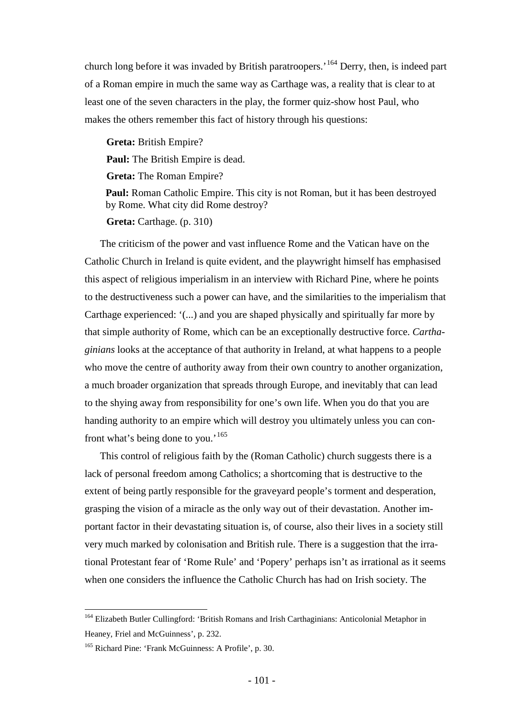church long before it was invaded by British paratroopers.'[164](#page-100-0) Derry, then, is indeed part of a Roman empire in much the same way as Carthage was, a reality that is clear to at least one of the seven characters in the play, the former quiz-show host Paul, who makes the others remember this fact of history through his questions:

**Greta:** British Empire? **Paul:** The British Empire is dead. **Greta:** The Roman Empire? **Paul:** Roman Catholic Empire. This city is not Roman, but it has been destroyed by Rome. What city did Rome destroy?

**Greta:** Carthage. (p. 310)

The criticism of the power and vast influence Rome and the Vatican have on the Catholic Church in Ireland is quite evident, and the playwright himself has emphasised this aspect of religious imperialism in an interview with Richard Pine, where he points to the destructiveness such a power can have, and the similarities to the imperialism that Carthage experienced: '(...) and you are shaped physically and spiritually far more by that simple authority of Rome, which can be an exceptionally destructive force. *Carthaginians* looks at the acceptance of that authority in Ireland, at what happens to a people who move the centre of authority away from their own country to another organization, a much broader organization that spreads through Europe, and inevitably that can lead to the shying away from responsibility for one's own life. When you do that you are handing authority to an empire which will destroy you ultimately unless you can con-front what's being done to you.'<sup>[165](#page-100-1)</sup>

This control of religious faith by the (Roman Catholic) church suggests there is a lack of personal freedom among Catholics; a shortcoming that is destructive to the extent of being partly responsible for the graveyard people's torment and desperation, grasping the vision of a miracle as the only way out of their devastation. Another important factor in their devastating situation is, of course, also their lives in a society still very much marked by colonisation and British rule. There is a suggestion that the irrational Protestant fear of 'Rome Rule' and 'Popery' perhaps isn't as irrational as it seems when one considers the influence the Catholic Church has had on Irish society. The

<span id="page-100-0"></span> <sup>164</sup> Elizabeth Butler Cullingford: 'British Romans and Irish Carthaginians: Anticolonial Metaphor in Heaney, Friel and McGuinness', p. 232.

<span id="page-100-1"></span><sup>165</sup> Richard Pine: 'Frank McGuinness: A Profile', p. 30.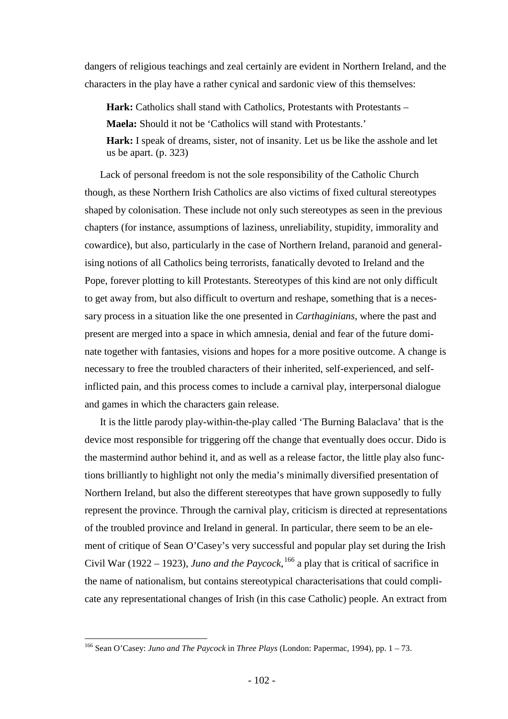dangers of religious teachings and zeal certainly are evident in Northern Ireland, and the characters in the play have a rather cynical and sardonic view of this themselves:

**Hark:** Catholics shall stand with Catholics, Protestants with Protestants –

**Maela:** Should it not be 'Catholics will stand with Protestants.'

**Hark:** I speak of dreams, sister, not of insanity. Let us be like the asshole and let us be apart. (p. 323)

Lack of personal freedom is not the sole responsibility of the Catholic Church though, as these Northern Irish Catholics are also victims of fixed cultural stereotypes shaped by colonisation. These include not only such stereotypes as seen in the previous chapters (for instance, assumptions of laziness, unreliability, stupidity, immorality and cowardice), but also, particularly in the case of Northern Ireland, paranoid and generalising notions of all Catholics being terrorists, fanatically devoted to Ireland and the Pope, forever plotting to kill Protestants. Stereotypes of this kind are not only difficult to get away from, but also difficult to overturn and reshape, something that is a necessary process in a situation like the one presented in *Carthaginians,* where the past and present are merged into a space in which amnesia, denial and fear of the future dominate together with fantasies, visions and hopes for a more positive outcome. A change is necessary to free the troubled characters of their inherited, self-experienced, and selfinflicted pain, and this process comes to include a carnival play, interpersonal dialogue and games in which the characters gain release.

It is the little parody play-within-the-play called 'The Burning Balaclava' that is the device most responsible for triggering off the change that eventually does occur. Dido is the mastermind author behind it, and as well as a release factor, the little play also functions brilliantly to highlight not only the media's minimally diversified presentation of Northern Ireland, but also the different stereotypes that have grown supposedly to fully represent the province. Through the carnival play, criticism is directed at representations of the troubled province and Ireland in general. In particular, there seem to be an element of critique of Sean O'Casey's very successful and popular play set during the Irish Civil War (1922 – 1923), *Juno and the Paycock*,  $^{166}$  $^{166}$  $^{166}$  a play that is critical of sacrifice in the name of nationalism, but contains stereotypical characterisations that could complicate any representational changes of Irish (in this case Catholic) people. An extract from

<span id="page-101-0"></span> <sup>166</sup> Sean O'Casey: *Juno and The Paycock* in *Three Plays* (London: Papermac, 1994), pp. 1 – 73.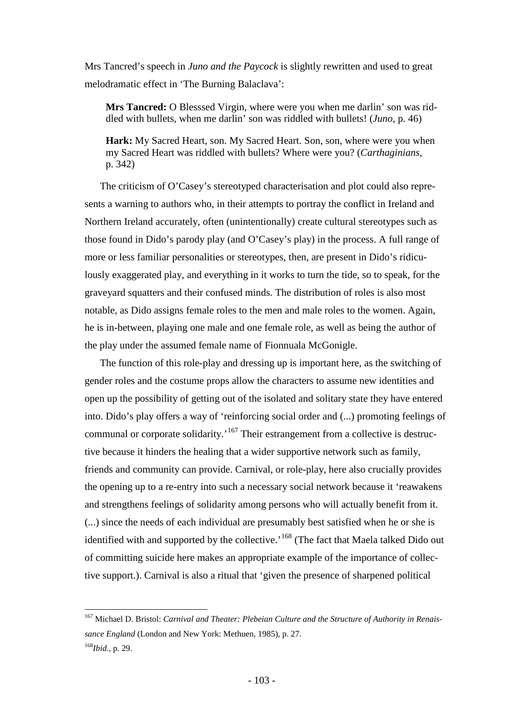Mrs Tancred's speech in *Juno and the Paycock* is slightly rewritten and used to great melodramatic effect in 'The Burning Balaclava':

**Mrs Tancred:** O Blesssed Virgin, where were you when me darlin' son was riddled with bullets, when me darlin' son was riddled with bullets! (*Juno*, p. 46)

**Hark:** My Sacred Heart, son. My Sacred Heart. Son, son, where were you when my Sacred Heart was riddled with bullets? Where were you? (*Carthaginians*, p. 342)

The criticism of O'Casey's stereotyped characterisation and plot could also represents a warning to authors who, in their attempts to portray the conflict in Ireland and Northern Ireland accurately, often (unintentionally) create cultural stereotypes such as those found in Dido's parody play (and O'Casey's play) in the process. A full range of more or less familiar personalities or stereotypes, then, are present in Dido's ridiculously exaggerated play, and everything in it works to turn the tide, so to speak, for the graveyard squatters and their confused minds. The distribution of roles is also most notable, as Dido assigns female roles to the men and male roles to the women. Again, he is in-between, playing one male and one female role, as well as being the author of the play under the assumed female name of Fionnuala McGonigle.

The function of this role-play and dressing up is important here, as the switching of gender roles and the costume props allow the characters to assume new identities and open up the possibility of getting out of the isolated and solitary state they have entered into. Dido's play offers a way of 'reinforcing social order and (...) promoting feelings of communal or corporate solidarity.<sup>[167](#page-102-0)</sup> Their estrangement from a collective is destructive because it hinders the healing that a wider supportive network such as family, friends and community can provide. Carnival, or role-play, here also crucially provides the opening up to a re-entry into such a necessary social network because it 'reawakens and strengthens feelings of solidarity among persons who will actually benefit from it. (...) since the needs of each individual are presumably best satisfied when he or she is identified with and supported by the collective.<sup>'[168](#page-102-1)</sup> (The fact that Maela talked Dido out of committing suicide here makes an appropriate example of the importance of collective support.). Carnival is also a ritual that 'given the presence of sharpened political

<span id="page-102-1"></span><span id="page-102-0"></span> <sup>167</sup> Michael D. Bristol: *Carnival and Theater: Plebeian Culture and the Structure of Authority in Renaissance England* (London and New York: Methuen, 1985), p. 27. <sup>168</sup>*Ibid.,* p. 29.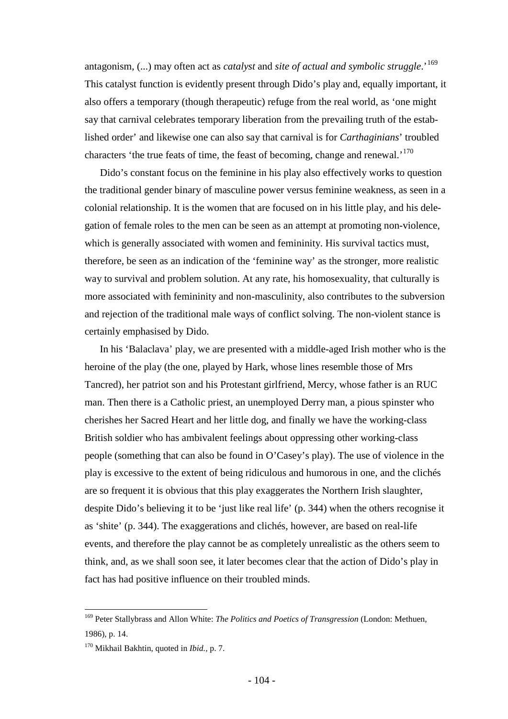antagonism, (...) may often act as *catalyst* and *site of actual and symbolic struggle*.'[169](#page-103-0) This catalyst function is evidently present through Dido's play and, equally important, it also offers a temporary (though therapeutic) refuge from the real world, as 'one might say that carnival celebrates temporary liberation from the prevailing truth of the established order' and likewise one can also say that carnival is for *Carthaginians*' troubled characters 'the true feats of time, the feast of becoming, change and renewal.'[170](#page-103-1)

Dido's constant focus on the feminine in his play also effectively works to question the traditional gender binary of masculine power versus feminine weakness, as seen in a colonial relationship. It is the women that are focused on in his little play, and his delegation of female roles to the men can be seen as an attempt at promoting non-violence, which is generally associated with women and femininity. His survival tactics must, therefore, be seen as an indication of the 'feminine way' as the stronger, more realistic way to survival and problem solution. At any rate, his homosexuality, that culturally is more associated with femininity and non-masculinity, also contributes to the subversion and rejection of the traditional male ways of conflict solving. The non-violent stance is certainly emphasised by Dido.

In his 'Balaclava' play, we are presented with a middle-aged Irish mother who is the heroine of the play (the one, played by Hark, whose lines resemble those of Mrs Tancred), her patriot son and his Protestant girlfriend, Mercy, whose father is an RUC man. Then there is a Catholic priest, an unemployed Derry man, a pious spinster who cherishes her Sacred Heart and her little dog, and finally we have the working-class British soldier who has ambivalent feelings about oppressing other working-class people (something that can also be found in O'Casey's play). The use of violence in the play is excessive to the extent of being ridiculous and humorous in one, and the clichés are so frequent it is obvious that this play exaggerates the Northern Irish slaughter, despite Dido's believing it to be 'just like real life' (p. 344) when the others recognise it as 'shite' (p. 344). The exaggerations and clichés, however, are based on real-life events, and therefore the play cannot be as completely unrealistic as the others seem to think, and, as we shall soon see, it later becomes clear that the action of Dido's play in fact has had positive influence on their troubled minds.

<span id="page-103-0"></span> <sup>169</sup> Peter Stallybrass and Allon White: *The Politics and Poetics of Transgression* (London: Methuen, 1986), p. 14.

<span id="page-103-1"></span><sup>170</sup> Mikhail Bakhtin, quoted in *Ibid.,* p. 7.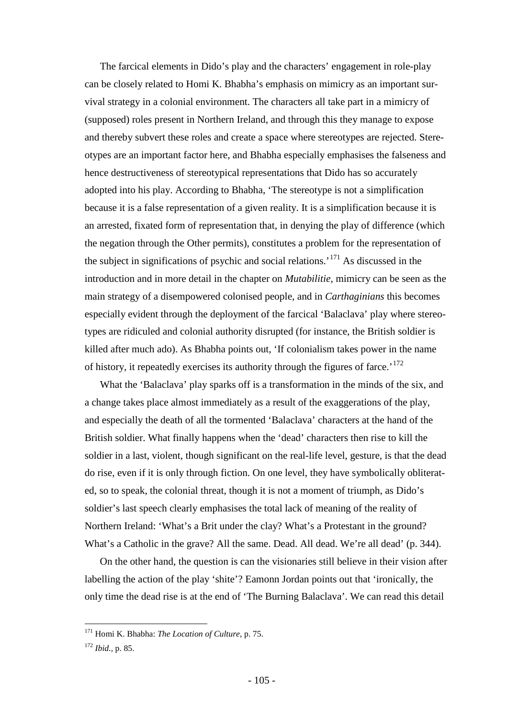The farcical elements in Dido's play and the characters' engagement in role-play can be closely related to Homi K. Bhabha's emphasis on mimicry as an important survival strategy in a colonial environment. The characters all take part in a mimicry of (supposed) roles present in Northern Ireland, and through this they manage to expose and thereby subvert these roles and create a space where stereotypes are rejected. Stereotypes are an important factor here, and Bhabha especially emphasises the falseness and hence destructiveness of stereotypical representations that Dido has so accurately adopted into his play. According to Bhabha, 'The stereotype is not a simplification because it is a false representation of a given reality. It is a simplification because it is an arrested, fixated form of representation that, in denying the play of difference (which the negation through the Other permits), constitutes a problem for the representation of the subject in significations of psychic and social relations.<sup> $171$ </sup> As discussed in the introduction and in more detail in the chapter on *Mutabilitie*, mimicry can be seen as the main strategy of a disempowered colonised people, and in *Carthaginians* this becomes especially evident through the deployment of the farcical 'Balaclava' play where stereotypes are ridiculed and colonial authority disrupted (for instance, the British soldier is killed after much ado). As Bhabha points out, 'If colonialism takes power in the name of history, it repeatedly exercises its authority through the figures of farce.<sup>[172](#page-104-1)</sup>

What the 'Balaclava' play sparks off is a transformation in the minds of the six, and a change takes place almost immediately as a result of the exaggerations of the play, and especially the death of all the tormented 'Balaclava' characters at the hand of the British soldier. What finally happens when the 'dead' characters then rise to kill the soldier in a last, violent, though significant on the real-life level, gesture, is that the dead do rise, even if it is only through fiction. On one level, they have symbolically obliterated, so to speak, the colonial threat, though it is not a moment of triumph, as Dido's soldier's last speech clearly emphasises the total lack of meaning of the reality of Northern Ireland: 'What's a Brit under the clay? What's a Protestant in the ground? What's a Catholic in the grave? All the same. Dead. All dead. We're all dead' (p. 344).

On the other hand, the question is can the visionaries still believe in their vision after labelling the action of the play 'shite'? Eamonn Jordan points out that 'ironically, the only time the dead rise is at the end of 'The Burning Balaclava'. We can read this detail

<span id="page-104-0"></span> <sup>171</sup> Homi K. Bhabha: *The Location of Culture*, p. 75.

<span id="page-104-1"></span><sup>172</sup> *Ibid.,* p. 85.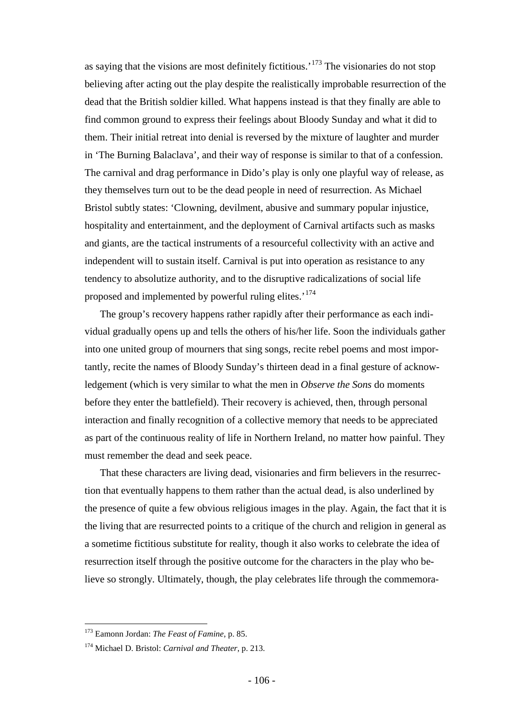as saying that the visions are most definitely fictitious.<sup> $173$ </sup> The visionaries do not stop believing after acting out the play despite the realistically improbable resurrection of the dead that the British soldier killed. What happens instead is that they finally are able to find common ground to express their feelings about Bloody Sunday and what it did to them. Their initial retreat into denial is reversed by the mixture of laughter and murder in 'The Burning Balaclava', and their way of response is similar to that of a confession. The carnival and drag performance in Dido's play is only one playful way of release, as they themselves turn out to be the dead people in need of resurrection. As Michael Bristol subtly states: 'Clowning, devilment, abusive and summary popular injustice, hospitality and entertainment, and the deployment of Carnival artifacts such as masks and giants, are the tactical instruments of a resourceful collectivity with an active and independent will to sustain itself. Carnival is put into operation as resistance to any tendency to absolutize authority, and to the disruptive radicalizations of social life proposed and implemented by powerful ruling elites.<sup>[174](#page-105-1)</sup>

The group's recovery happens rather rapidly after their performance as each individual gradually opens up and tells the others of his/her life. Soon the individuals gather into one united group of mourners that sing songs, recite rebel poems and most importantly, recite the names of Bloody Sunday's thirteen dead in a final gesture of acknowledgement (which is very similar to what the men in *Observe the Sons* do moments before they enter the battlefield). Their recovery is achieved, then, through personal interaction and finally recognition of a collective memory that needs to be appreciated as part of the continuous reality of life in Northern Ireland, no matter how painful. They must remember the dead and seek peace.

That these characters are living dead, visionaries and firm believers in the resurrection that eventually happens to them rather than the actual dead, is also underlined by the presence of quite a few obvious religious images in the play. Again, the fact that it is the living that are resurrected points to a critique of the church and religion in general as a sometime fictitious substitute for reality, though it also works to celebrate the idea of resurrection itself through the positive outcome for the characters in the play who believe so strongly. Ultimately, though, the play celebrates life through the commemora-

<span id="page-105-0"></span> <sup>173</sup> Eamonn Jordan: *The Feast of Famine*, p. 85.

<span id="page-105-1"></span><sup>174</sup> Michael D. Bristol: *Carnival and Theater*, p. 213.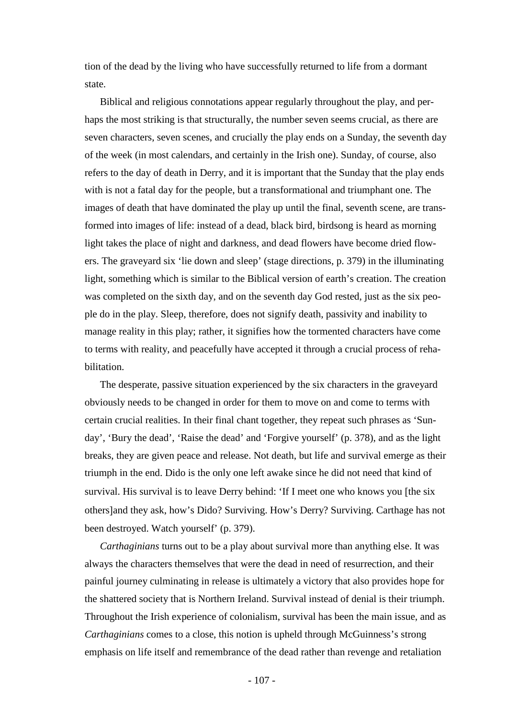tion of the dead by the living who have successfully returned to life from a dormant state.

Biblical and religious connotations appear regularly throughout the play, and perhaps the most striking is that structurally, the number seven seems crucial, as there are seven characters, seven scenes, and crucially the play ends on a Sunday, the seventh day of the week (in most calendars, and certainly in the Irish one). Sunday, of course, also refers to the day of death in Derry, and it is important that the Sunday that the play ends with is not a fatal day for the people, but a transformational and triumphant one. The images of death that have dominated the play up until the final, seventh scene, are transformed into images of life: instead of a dead, black bird, birdsong is heard as morning light takes the place of night and darkness, and dead flowers have become dried flowers. The graveyard six 'lie down and sleep' (stage directions, p. 379) in the illuminating light, something which is similar to the Biblical version of earth's creation. The creation was completed on the sixth day, and on the seventh day God rested, just as the six people do in the play. Sleep, therefore, does not signify death, passivity and inability to manage reality in this play; rather, it signifies how the tormented characters have come to terms with reality, and peacefully have accepted it through a crucial process of rehabilitation.

The desperate, passive situation experienced by the six characters in the graveyard obviously needs to be changed in order for them to move on and come to terms with certain crucial realities. In their final chant together, they repeat such phrases as 'Sunday', 'Bury the dead', 'Raise the dead' and 'Forgive yourself' (p. 378), and as the light breaks, they are given peace and release. Not death, but life and survival emerge as their triumph in the end. Dido is the only one left awake since he did not need that kind of survival. His survival is to leave Derry behind: 'If I meet one who knows you [the six others]and they ask, how's Dido? Surviving. How's Derry? Surviving. Carthage has not been destroyed. Watch yourself' (p. 379).

*Carthaginians* turns out to be a play about survival more than anything else. It was always the characters themselves that were the dead in need of resurrection, and their painful journey culminating in release is ultimately a victory that also provides hope for the shattered society that is Northern Ireland. Survival instead of denial is their triumph. Throughout the Irish experience of colonialism, survival has been the main issue, and as *Carthaginians* comes to a close, this notion is upheld through McGuinness's strong emphasis on life itself and remembrance of the dead rather than revenge and retaliation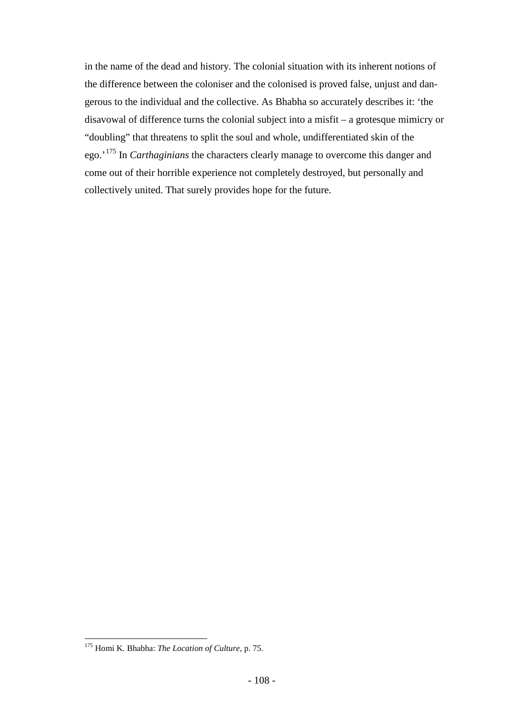in the name of the dead and history. The colonial situation with its inherent notions of the difference between the coloniser and the colonised is proved false, unjust and dangerous to the individual and the collective. As Bhabha so accurately describes it: 'the disavowal of difference turns the colonial subject into a misfit – a grotesque mimicry or "doubling" that threatens to split the soul and whole, undifferentiated skin of the ego.'[175](#page-107-0) In *Carthaginians* the characters clearly manage to overcome this danger and come out of their horrible experience not completely destroyed, but personally and collectively united. That surely provides hope for the future.

<span id="page-107-0"></span> <sup>175</sup> Homi K. Bhabha: *The Location of Culture*, p. 75.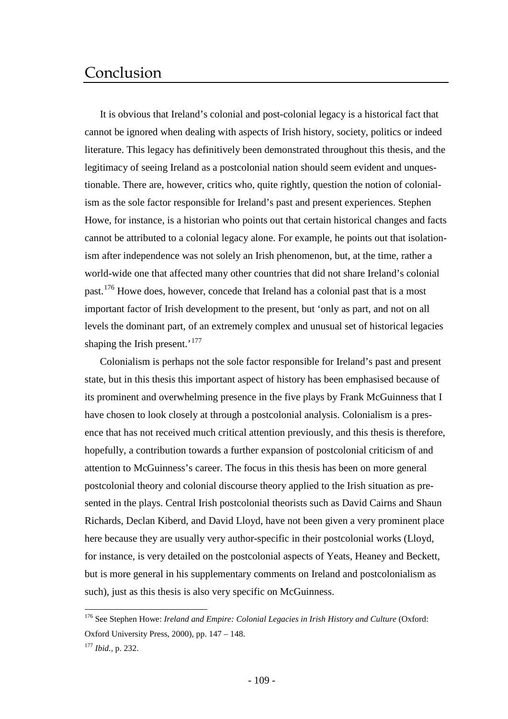# Conclusion

It is obvious that Ireland's colonial and post-colonial legacy is a historical fact that cannot be ignored when dealing with aspects of Irish history, society, politics or indeed literature. This legacy has definitively been demonstrated throughout this thesis, and the legitimacy of seeing Ireland as a postcolonial nation should seem evident and unquestionable. There are, however, critics who, quite rightly, question the notion of colonialism as the sole factor responsible for Ireland's past and present experiences. Stephen Howe, for instance, is a historian who points out that certain historical changes and facts cannot be attributed to a colonial legacy alone. For example, he points out that isolationism after independence was not solely an Irish phenomenon, but, at the time, rather a world-wide one that affected many other countries that did not share Ireland's colonial past.<sup>[176](#page-108-0)</sup> Howe does, however, concede that Ireland has a colonial past that is a most important factor of Irish development to the present, but 'only as part, and not on all levels the dominant part, of an extremely complex and unusual set of historical legacies shaping the Irish present.'<sup>[177](#page-108-1)</sup>

Colonialism is perhaps not the sole factor responsible for Ireland's past and present state, but in this thesis this important aspect of history has been emphasised because of its prominent and overwhelming presence in the five plays by Frank McGuinness that I have chosen to look closely at through a postcolonial analysis. Colonialism is a presence that has not received much critical attention previously, and this thesis is therefore, hopefully, a contribution towards a further expansion of postcolonial criticism of and attention to McGuinness's career. The focus in this thesis has been on more general postcolonial theory and colonial discourse theory applied to the Irish situation as presented in the plays. Central Irish postcolonial theorists such as David Cairns and Shaun Richards, Declan Kiberd, and David Lloyd, have not been given a very prominent place here because they are usually very author-specific in their postcolonial works (Lloyd, for instance, is very detailed on the postcolonial aspects of Yeats, Heaney and Beckett, but is more general in his supplementary comments on Ireland and postcolonialism as such), just as this thesis is also very specific on McGuinness.

<span id="page-108-0"></span><sup>&</sup>lt;sup>176</sup> See Stephen Howe: *Ireland and Empire: Colonial Legacies in Irish History and Culture* (Oxford: Oxford University Press, 2000), pp. 147 – 148.

<span id="page-108-1"></span><sup>177</sup> *Ibid.,* p. 232.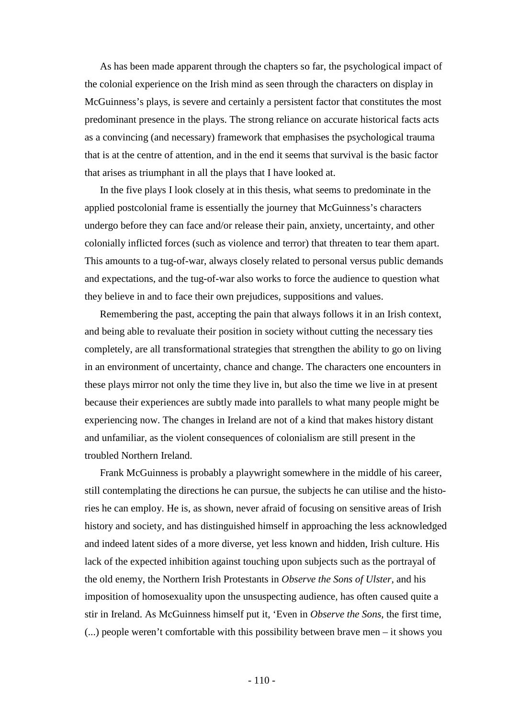As has been made apparent through the chapters so far, the psychological impact of the colonial experience on the Irish mind as seen through the characters on display in McGuinness's plays, is severe and certainly a persistent factor that constitutes the most predominant presence in the plays. The strong reliance on accurate historical facts acts as a convincing (and necessary) framework that emphasises the psychological trauma that is at the centre of attention, and in the end it seems that survival is the basic factor that arises as triumphant in all the plays that I have looked at.

In the five plays I look closely at in this thesis, what seems to predominate in the applied postcolonial frame is essentially the journey that McGuinness's characters undergo before they can face and/or release their pain, anxiety, uncertainty, and other colonially inflicted forces (such as violence and terror) that threaten to tear them apart. This amounts to a tug-of-war, always closely related to personal versus public demands and expectations, and the tug-of-war also works to force the audience to question what they believe in and to face their own prejudices, suppositions and values.

Remembering the past, accepting the pain that always follows it in an Irish context, and being able to revaluate their position in society without cutting the necessary ties completely, are all transformational strategies that strengthen the ability to go on living in an environment of uncertainty, chance and change. The characters one encounters in these plays mirror not only the time they live in, but also the time we live in at present because their experiences are subtly made into parallels to what many people might be experiencing now. The changes in Ireland are not of a kind that makes history distant and unfamiliar, as the violent consequences of colonialism are still present in the troubled Northern Ireland.

Frank McGuinness is probably a playwright somewhere in the middle of his career, still contemplating the directions he can pursue, the subjects he can utilise and the histories he can employ. He is, as shown, never afraid of focusing on sensitive areas of Irish history and society, and has distinguished himself in approaching the less acknowledged and indeed latent sides of a more diverse, yet less known and hidden, Irish culture. His lack of the expected inhibition against touching upon subjects such as the portrayal of the old enemy, the Northern Irish Protestants in *Observe the Sons of Ulster,* and his imposition of homosexuality upon the unsuspecting audience, has often caused quite a stir in Ireland. As McGuinness himself put it, 'Even in *Observe the Sons*, the first time, (...) people weren't comfortable with this possibility between brave men – it shows you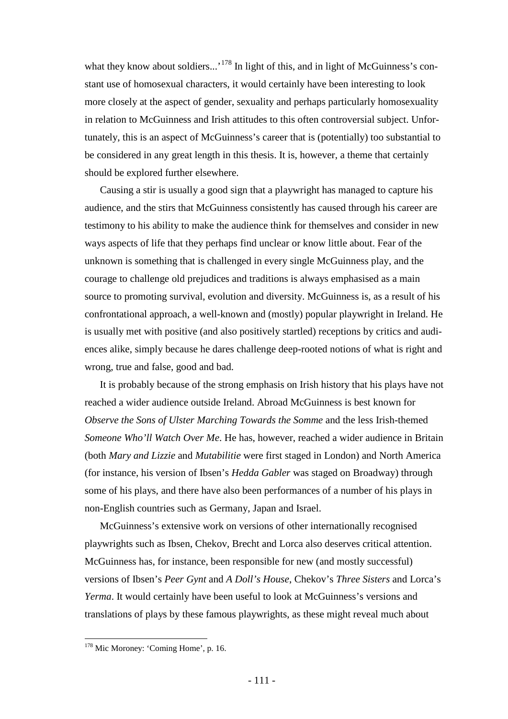what they know about soldiers...'<sup>[178](#page-110-0)</sup> In light of this, and in light of McGuinness's constant use of homosexual characters, it would certainly have been interesting to look more closely at the aspect of gender, sexuality and perhaps particularly homosexuality in relation to McGuinness and Irish attitudes to this often controversial subject. Unfortunately, this is an aspect of McGuinness's career that is (potentially) too substantial to be considered in any great length in this thesis. It is, however, a theme that certainly should be explored further elsewhere.

Causing a stir is usually a good sign that a playwright has managed to capture his audience, and the stirs that McGuinness consistently has caused through his career are testimony to his ability to make the audience think for themselves and consider in new ways aspects of life that they perhaps find unclear or know little about. Fear of the unknown is something that is challenged in every single McGuinness play, and the courage to challenge old prejudices and traditions is always emphasised as a main source to promoting survival, evolution and diversity. McGuinness is, as a result of his confrontational approach, a well-known and (mostly) popular playwright in Ireland. He is usually met with positive (and also positively startled) receptions by critics and audiences alike, simply because he dares challenge deep-rooted notions of what is right and wrong, true and false, good and bad.

It is probably because of the strong emphasis on Irish history that his plays have not reached a wider audience outside Ireland. Abroad McGuinness is best known for *Observe the Sons of Ulster Marching Towards the Somme* and the less Irish-themed *Someone Who'll Watch Over Me*. He has, however, reached a wider audience in Britain (both *Mary and Lizzie* and *Mutabilitie* were first staged in London) and North America (for instance, his version of Ibsen's *Hedda Gabler* was staged on Broadway) through some of his plays, and there have also been performances of a number of his plays in non-English countries such as Germany, Japan and Israel.

McGuinness's extensive work on versions of other internationally recognised playwrights such as Ibsen, Chekov, Brecht and Lorca also deserves critical attention. McGuinness has, for instance, been responsible for new (and mostly successful) versions of Ibsen's *Peer Gynt* and *A Doll's House*, Chekov's *Three Sisters* and Lorca's *Yerma*. It would certainly have been useful to look at McGuinness's versions and translations of plays by these famous playwrights, as these might reveal much about

<span id="page-110-0"></span><sup>&</sup>lt;sup>178</sup> Mic Moroney: 'Coming Home', p. 16.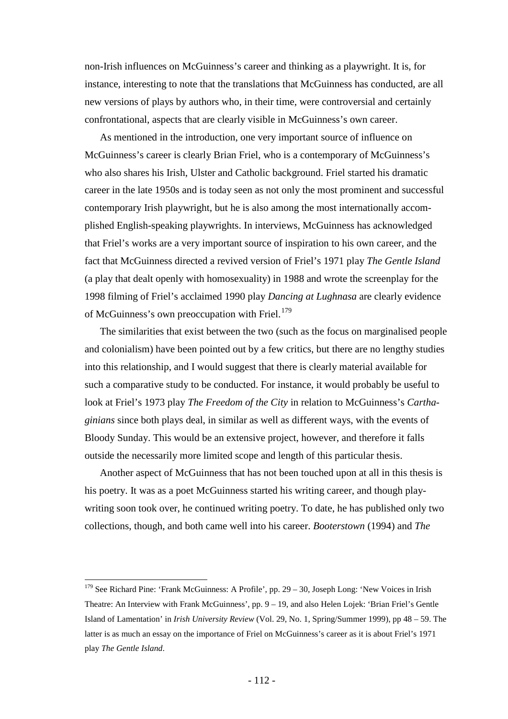non-Irish influences on McGuinness's career and thinking as a playwright. It is, for instance, interesting to note that the translations that McGuinness has conducted, are all new versions of plays by authors who, in their time, were controversial and certainly confrontational, aspects that are clearly visible in McGuinness's own career.

As mentioned in the introduction, one very important source of influence on McGuinness's career is clearly Brian Friel, who is a contemporary of McGuinness's who also shares his Irish, Ulster and Catholic background. Friel started his dramatic career in the late 1950s and is today seen as not only the most prominent and successful contemporary Irish playwright, but he is also among the most internationally accomplished English-speaking playwrights. In interviews, McGuinness has acknowledged that Friel's works are a very important source of inspiration to his own career, and the fact that McGuinness directed a revived version of Friel's 1971 play *The Gentle Island* (a play that dealt openly with homosexuality) in 1988 and wrote the screenplay for the 1998 filming of Friel's acclaimed 1990 play *Dancing at Lughnasa* are clearly evidence of McGuinness's own preoccupation with Friel.<sup>[179](#page-111-0)</sup>

The similarities that exist between the two (such as the focus on marginalised people and colonialism) have been pointed out by a few critics, but there are no lengthy studies into this relationship, and I would suggest that there is clearly material available for such a comparative study to be conducted. For instance, it would probably be useful to look at Friel's 1973 play *The Freedom of the City* in relation to McGuinness's *Carthaginians* since both plays deal, in similar as well as different ways, with the events of Bloody Sunday. This would be an extensive project, however, and therefore it falls outside the necessarily more limited scope and length of this particular thesis.

Another aspect of McGuinness that has not been touched upon at all in this thesis is his poetry. It was as a poet McGuinness started his writing career, and though playwriting soon took over, he continued writing poetry. To date, he has published only two collections, though, and both came well into his career. *Booterstown* (1994) and *The* 

<span id="page-111-0"></span> $179$  See Richard Pine: 'Frank McGuinness: A Profile', pp. 29 – 30, Joseph Long: 'New Voices in Irish Theatre: An Interview with Frank McGuinness', pp. 9 – 19, and also Helen Lojek: 'Brian Friel's Gentle Island of Lamentation' in *Irish University Review* (Vol. 29, No. 1, Spring/Summer 1999), pp 48 – 59. The latter is as much an essay on the importance of Friel on McGuinness's career as it is about Friel's 1971 play *The Gentle Island*.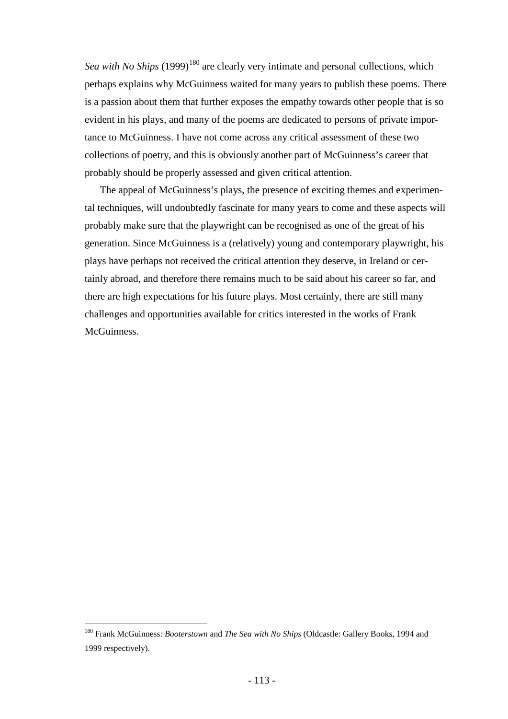*Sea with No Ships* (1999)<sup>[180](#page-112-0)</sup> are clearly very intimate and personal collections, which perhaps explains why McGuinness waited for many years to publish these poems. There is a passion about them that further exposes the empathy towards other people that is so evident in his plays, and many of the poems are dedicated to persons of private importance to McGuinness. I have not come across any critical assessment of these two collections of poetry, and this is obviously another part of McGuinness's career that probably should be properly assessed and given critical attention.

The appeal of McGuinness's plays, the presence of exciting themes and experimental techniques, will undoubtedly fascinate for many years to come and these aspects will probably make sure that the playwright can be recognised as one of the great of his generation. Since McGuinness is a (relatively) young and contemporary playwright, his plays have perhaps not received the critical attention they deserve, in Ireland or certainly abroad, and therefore there remains much to be said about his career so far, and there are high expectations for his future plays. Most certainly, there are still many challenges and opportunities available for critics interested in the works of Frank McGuinness.

<span id="page-112-0"></span> <sup>180</sup> Frank McGuinness: *Booterstown* and *The Sea with No Ships* (Oldcastle: Gallery Books, 1994 and 1999 respectively).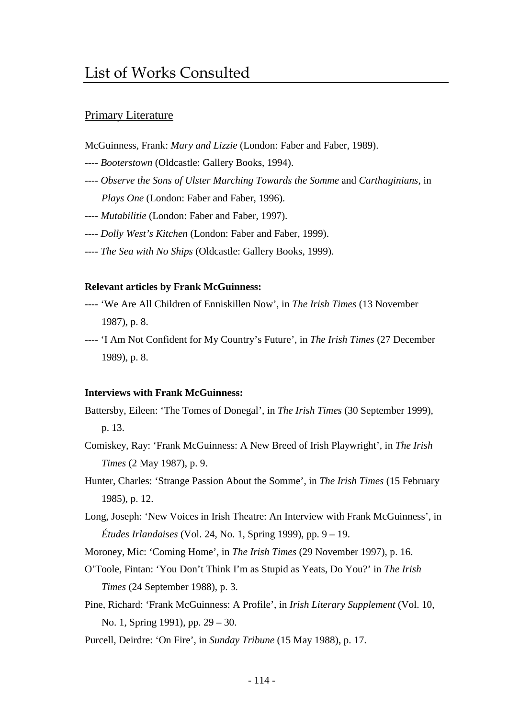# List of Works Consulted

## Primary Literature

McGuinness, Frank: *Mary and Lizzie* (London: Faber and Faber, 1989).

- ---- *Booterstown* (Oldcastle: Gallery Books, 1994).
- ---- *Observe the Sons of Ulster Marching Towards the Somme* and *Carthaginians*, in *Plays One* (London: Faber and Faber, 1996).
- ---- *Mutabilitie* (London: Faber and Faber, 1997).
- ---- *Dolly West's Kitchen* (London: Faber and Faber, 1999).
- ---- *The Sea with No Ships* (Oldcastle: Gallery Books, 1999).

### **Relevant articles by Frank McGuinness:**

- ---- 'We Are All Children of Enniskillen Now', in *The Irish Times* (13 November 1987), p. 8.
- ---- 'I Am Not Confident for My Country's Future', in *The Irish Times* (27 December 1989), p. 8.

#### **Interviews with Frank McGuinness:**

Battersby, Eileen: 'The Tomes of Donegal', in *The Irish Times* (30 September 1999), p. 13.

- Comiskey, Ray: 'Frank McGuinness: A New Breed of Irish Playwright', in *The Irish Times* (2 May 1987), p. 9.
- Hunter, Charles: 'Strange Passion About the Somme', in *The Irish Times* (15 February 1985), p. 12.
- Long, Joseph: 'New Voices in Irish Theatre: An Interview with Frank McGuinness', in *Études Irlandaises* (Vol. 24, No. 1, Spring 1999), pp. 9 – 19.

Moroney, Mic: 'Coming Home', in *The Irish Times* (29 November 1997), p. 16.

- O'Toole, Fintan: 'You Don't Think I'm as Stupid as Yeats, Do You?' in *The Irish Times* (24 September 1988), p. 3.
- Pine, Richard: 'Frank McGuinness: A Profile', in *Irish Literary Supplement* (Vol. 10, No. 1, Spring 1991), pp. 29 – 30.
- Purcell, Deirdre: 'On Fire', in *Sunday Tribune* (15 May 1988), p. 17.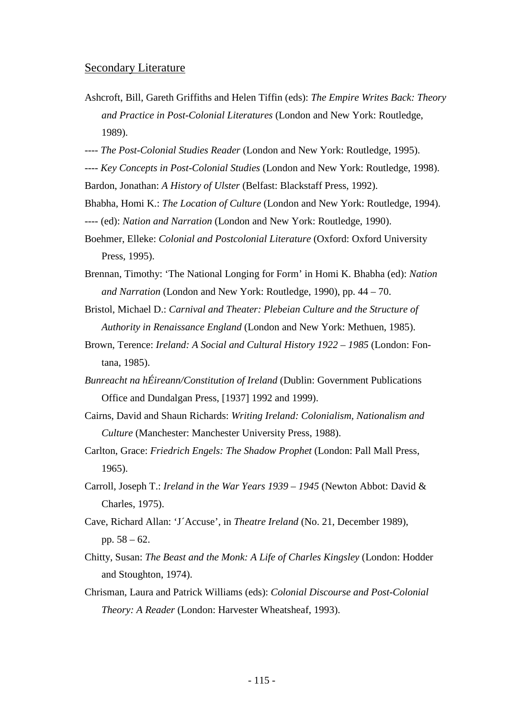## Secondary Literature

- Ashcroft, Bill, Gareth Griffiths and Helen Tiffin (eds): *The Empire Writes Back: Theory and Practice in Post-Colonial Literatures* (London and New York: Routledge, 1989).
- ---- *The Post-Colonial Studies Reader* (London and New York: Routledge, 1995).
- ---- *Key Concepts in Post-Colonial Studies* (London and New York: Routledge, 1998). Bardon, Jonathan: *A History of Ulster* (Belfast: Blackstaff Press, 1992).
- Bhabha, Homi K.: *The Location of Culture* (London and New York: Routledge, 1994).
- ---- (ed): *Nation and Narration* (London and New York: Routledge, 1990).
- Boehmer, Elleke: *Colonial and Postcolonial Literature* (Oxford: Oxford University Press, 1995).
- Brennan, Timothy: 'The National Longing for Form' in Homi K. Bhabha (ed): *Nation and Narration* (London and New York: Routledge, 1990), pp. 44 – 70.
- Bristol, Michael D.: *Carnival and Theater: Plebeian Culture and the Structure of Authority in Renaissance England* (London and New York: Methuen, 1985).
- Brown, Terence: *Ireland: A Social and Cultural History 1922 – 1985* (London: Fontana, 1985).
- *Bunreacht na hÉireann/Constitution of Ireland* (Dublin: Government Publications Office and Dundalgan Press, [1937] 1992 and 1999).
- Cairns, David and Shaun Richards: *Writing Ireland: Colonialism, Nationalism and Culture* (Manchester: Manchester University Press, 1988).
- Carlton, Grace: *Friedrich Engels: The Shadow Prophet* (London: Pall Mall Press, 1965).
- Carroll, Joseph T.: *Ireland in the War Years 1939 – 1945* (Newton Abbot: David & Charles, 1975).
- Cave, Richard Allan: 'J´Accuse', in *Theatre Ireland* (No. 21, December 1989), pp. 58 – 62.
- Chitty, Susan: *The Beast and the Monk: A Life of Charles Kingsley* (London: Hodder and Stoughton, 1974).
- Chrisman, Laura and Patrick Williams (eds): *Colonial Discourse and Post-Colonial Theory: A Reader* (London: Harvester Wheatsheaf, 1993).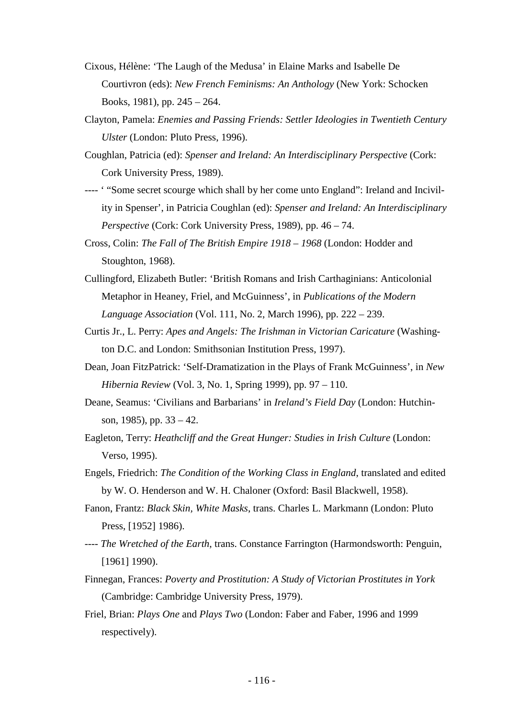- Cixous, Hélène: 'The Laugh of the Medusa' in Elaine Marks and Isabelle De Courtivron (eds): *New French Feminisms: An Anthology* (New York: Schocken Books, 1981), pp. 245 – 264.
- Clayton, Pamela: *Enemies and Passing Friends: Settler Ideologies in Twentieth Century Ulster* (London: Pluto Press, 1996).
- Coughlan, Patricia (ed): *Spenser and Ireland: An Interdisciplinary Perspective* (Cork: Cork University Press, 1989).
- ---- ' "Some secret scourge which shall by her come unto England": Ireland and Incivility in Spenser', in Patricia Coughlan (ed): *Spenser and Ireland: An Interdisciplinary Perspective* (Cork: Cork University Press, 1989), pp. 46 – 74.
- Cross, Colin: *The Fall of The British Empire 1918 – 1968* (London: Hodder and Stoughton, 1968).
- Cullingford, Elizabeth Butler: 'British Romans and Irish Carthaginians: Anticolonial Metaphor in Heaney, Friel, and McGuinness', in *Publications of the Modern Language Association* (Vol. 111, No. 2, March 1996), pp. 222 – 239.
- Curtis Jr., L. Perry: *Apes and Angels: The Irishman in Victorian Caricature* (Washington D.C. and London: Smithsonian Institution Press, 1997).
- Dean, Joan FitzPatrick: 'Self-Dramatization in the Plays of Frank McGuinness', in *New Hibernia Review* (Vol. 3, No. 1, Spring 1999), pp. 97 – 110.
- Deane, Seamus: 'Civilians and Barbarians' in *Ireland's Field Day* (London: Hutchinson, 1985), pp. 33 – 42.
- Eagleton, Terry: *Heathcliff and the Great Hunger: Studies in Irish Culture* (London: Verso, 1995).
- Engels, Friedrich: *The Condition of the Working Class in England*, translated and edited by W. O. Henderson and W. H. Chaloner (Oxford: Basil Blackwell, 1958).
- Fanon, Frantz: *Black Skin, White Masks*, trans. Charles L. Markmann (London: Pluto Press, [1952] 1986).
- ---- *The Wretched of the Earth*, trans. Constance Farrington (Harmondsworth: Penguin, [1961] 1990).
- Finnegan, Frances: *Poverty and Prostitution: A Study of Victorian Prostitutes in York* (Cambridge: Cambridge University Press, 1979).
- Friel, Brian: *Plays One* and *Plays Two* (London: Faber and Faber, 1996 and 1999 respectively).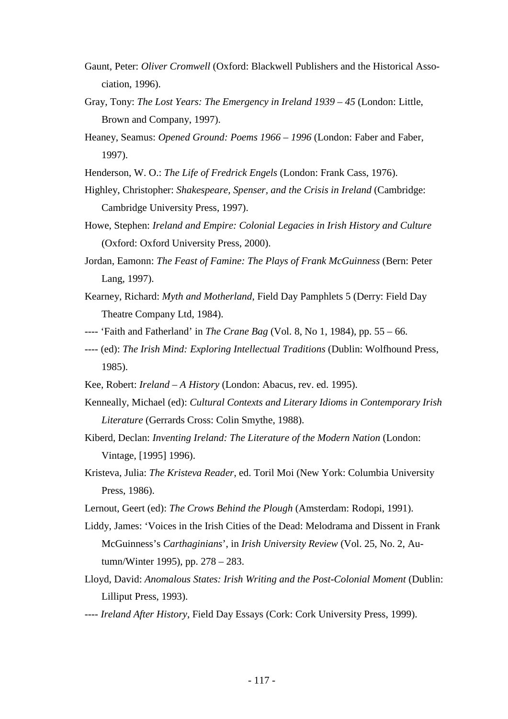- Gaunt, Peter: *Oliver Cromwell* (Oxford: Blackwell Publishers and the Historical Association, 1996).
- Gray, Tony: *The Lost Years: The Emergency in Ireland 1939 – 45* (London: Little, Brown and Company, 1997).
- Heaney, Seamus: Opened Ground: Poems 1966 1996 (London: Faber and Faber, 1997).
- Henderson, W. O.: *The Life of Fredrick Engels* (London: Frank Cass, 1976).
- Highley, Christopher: *Shakespeare, Spenser, and the Crisis in Ireland* (Cambridge: Cambridge University Press, 1997).
- Howe, Stephen: *Ireland and Empire: Colonial Legacies in Irish History and Culture* (Oxford: Oxford University Press, 2000).
- Jordan, Eamonn: *The Feast of Famine: The Plays of Frank McGuinness* (Bern: Peter Lang, 1997).
- Kearney, Richard: *Myth and Motherland*, Field Day Pamphlets 5 (Derry: Field Day Theatre Company Ltd, 1984).
- ---- 'Faith and Fatherland' in *The Crane Bag* (Vol. 8, No 1, 1984), pp. 55 66.
- ---- (ed): *The Irish Mind: Exploring Intellectual Traditions* (Dublin: Wolfhound Press, 1985).
- Kee, Robert: *Ireland – A History* (London: Abacus, rev. ed. 1995).
- Kenneally, Michael (ed): *Cultural Contexts and Literary Idioms in Contemporary Irish Literature* (Gerrards Cross: Colin Smythe, 1988).
- Kiberd, Declan: *Inventing Ireland: The Literature of the Modern Nation* (London: Vintage, [1995] 1996).
- Kristeva, Julia: *The Kristeva Reader*, ed. Toril Moi (New York: Columbia University Press, 1986).
- Lernout, Geert (ed): *The Crows Behind the Plough* (Amsterdam: Rodopi, 1991).
- Liddy, James: 'Voices in the Irish Cities of the Dead: Melodrama and Dissent in Frank McGuinness's *Carthaginians*', in *Irish University Review* (Vol. 25, No. 2, Autumn/Winter 1995), pp. 278 – 283.
- Lloyd, David: *Anomalous States: Irish Writing and the Post-Colonial Moment* (Dublin: Lilliput Press, 1993).
- ---- *Ireland After History*, Field Day Essays (Cork: Cork University Press, 1999).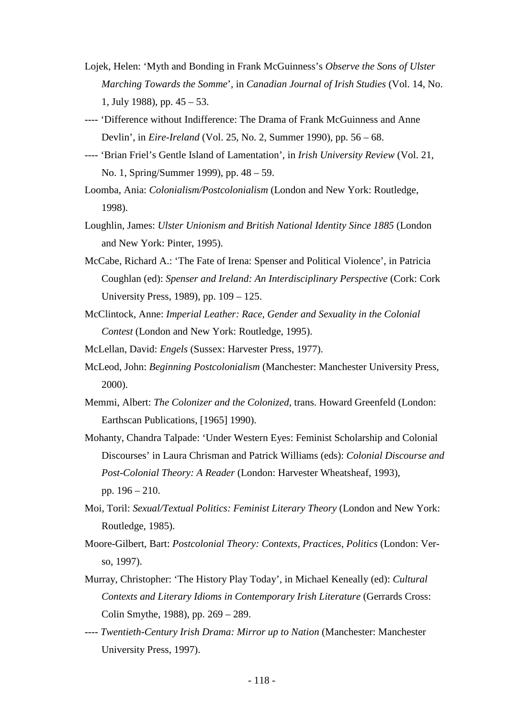- Lojek, Helen: 'Myth and Bonding in Frank McGuinness's *Observe the Sons of Ulster Marching Towards the Somme*', in *Canadian Journal of Irish Studies* (Vol. 14, No. 1, July 1988), pp. 45 – 53.
- ---- 'Difference without Indifference: The Drama of Frank McGuinness and Anne Devlin', in *Eire-Ireland* (Vol. 25, No. 2, Summer 1990), pp. 56 – 68.
- ---- 'Brian Friel's Gentle Island of Lamentation', in *Irish University Review* (Vol. 21, No. 1, Spring/Summer 1999), pp. 48 – 59.
- Loomba, Ania: *Colonialism/Postcolonialism* (London and New York: Routledge, 1998).
- Loughlin, James: *Ulster Unionism and British National Identity Since 1885* (London and New York: Pinter, 1995).
- McCabe, Richard A.: 'The Fate of Irena: Spenser and Political Violence', in Patricia Coughlan (ed): *Spenser and Ireland: An Interdisciplinary Perspective* (Cork: Cork University Press, 1989), pp. 109 – 125.
- McClintock, Anne: *Imperial Leather: Race, Gender and Sexuality in the Colonial Contest* (London and New York: Routledge, 1995).
- McLellan, David: *Engels* (Sussex: Harvester Press, 1977).
- McLeod, John: *Beginning Postcolonialism* (Manchester: Manchester University Press, 2000).
- Memmi, Albert: *The Colonizer and the Colonized*, trans. Howard Greenfeld (London: Earthscan Publications, [1965] 1990).
- Mohanty, Chandra Talpade: 'Under Western Eyes: Feminist Scholarship and Colonial Discourses' in Laura Chrisman and Patrick Williams (eds): *Colonial Discourse and Post-Colonial Theory: A Reader* (London: Harvester Wheatsheaf, 1993), pp. 196 – 210.
- Moi, Toril: *Sexual/Textual Politics: Feminist Literary Theory* (London and New York: Routledge, 1985).
- Moore-Gilbert, Bart: *Postcolonial Theory: Contexts, Practices, Politics* (London: Verso, 1997).
- Murray, Christopher: 'The History Play Today', in Michael Keneally (ed): *Cultural Contexts and Literary Idioms in Contemporary Irish Literature* (Gerrards Cross: Colin Smythe, 1988), pp. 269 – 289.
- ---- *Twentieth-Century Irish Drama: Mirror up to Nation* (Manchester: Manchester University Press, 1997).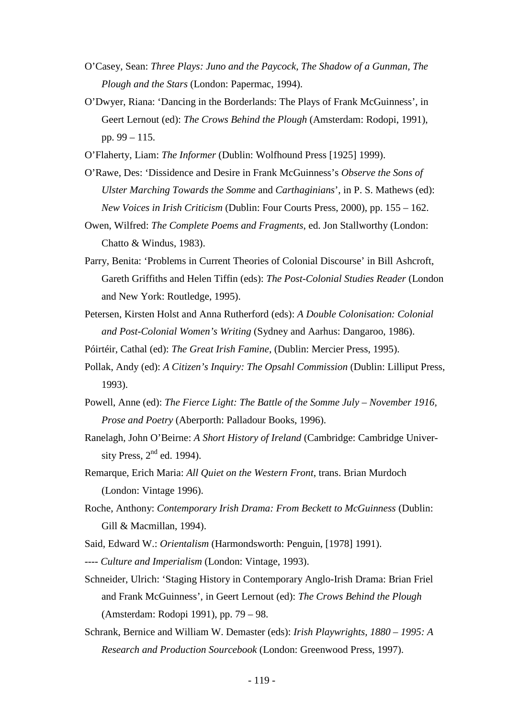- O'Casey, Sean: *Three Plays: Juno and the Paycock, The Shadow of a Gunman, The Plough and the Stars* (London: Papermac, 1994).
- O'Dwyer, Riana: 'Dancing in the Borderlands: The Plays of Frank McGuinness', in Geert Lernout (ed): *The Crows Behind the Plough* (Amsterdam: Rodopi, 1991), pp. 99 – 115.
- O'Flaherty, Liam: *The Informer* (Dublin: Wolfhound Press [1925] 1999).
- O'Rawe, Des: 'Dissidence and Desire in Frank McGuinness's *Observe the Sons of Ulster Marching Towards the Somme* and *Carthaginians*', in P. S. Mathews (ed): *New Voices in Irish Criticism* (Dublin: Four Courts Press, 2000), pp. 155 – 162.
- Owen, Wilfred: *The Complete Poems and Fragments*, ed. Jon Stallworthy (London: Chatto & Windus, 1983).
- Parry, Benita: 'Problems in Current Theories of Colonial Discourse' in Bill Ashcroft, Gareth Griffiths and Helen Tiffin (eds): *The Post-Colonial Studies Reader* (London and New York: Routledge, 1995).
- Petersen, Kirsten Holst and Anna Rutherford (eds): *A Double Colonisation: Colonial and Post-Colonial Women's Writing* (Sydney and Aarhus: Dangaroo, 1986).
- Póirtéir, Cathal (ed): *The Great Irish Famine*, (Dublin: Mercier Press, 1995).
- Pollak, Andy (ed): *A Citizen's Inquiry: The Opsahl Commission* (Dublin: Lilliput Press, 1993).
- Powell, Anne (ed): *The Fierce Light: The Battle of the Somme July – November 1916, Prose and Poetry* (Aberporth: Palladour Books, 1996).
- Ranelagh, John O'Beirne: *A Short History of Ireland* (Cambridge: Cambridge University Press,  $2<sup>nd</sup>$  ed. 1994).
- Remarque, Erich Maria: *All Quiet on the Western Front*, trans. Brian Murdoch (London: Vintage 1996).
- Roche, Anthony: *Contemporary Irish Drama: From Beckett to McGuinness* (Dublin: Gill & Macmillan, 1994).
- Said, Edward W.: *Orientalism* (Harmondsworth: Penguin, [1978] 1991).
- ---- *Culture and Imperialism* (London: Vintage, 1993).
- Schneider, Ulrich: 'Staging History in Contemporary Anglo-Irish Drama: Brian Friel and Frank McGuinness', in Geert Lernout (ed): *The Crows Behind the Plough* (Amsterdam: Rodopi 1991), pp. 79 – 98.
- Schrank, Bernice and William W. Demaster (eds): *Irish Playwrights, 1880 – 1995: A Research and Production Sourcebook* (London: Greenwood Press, 1997).